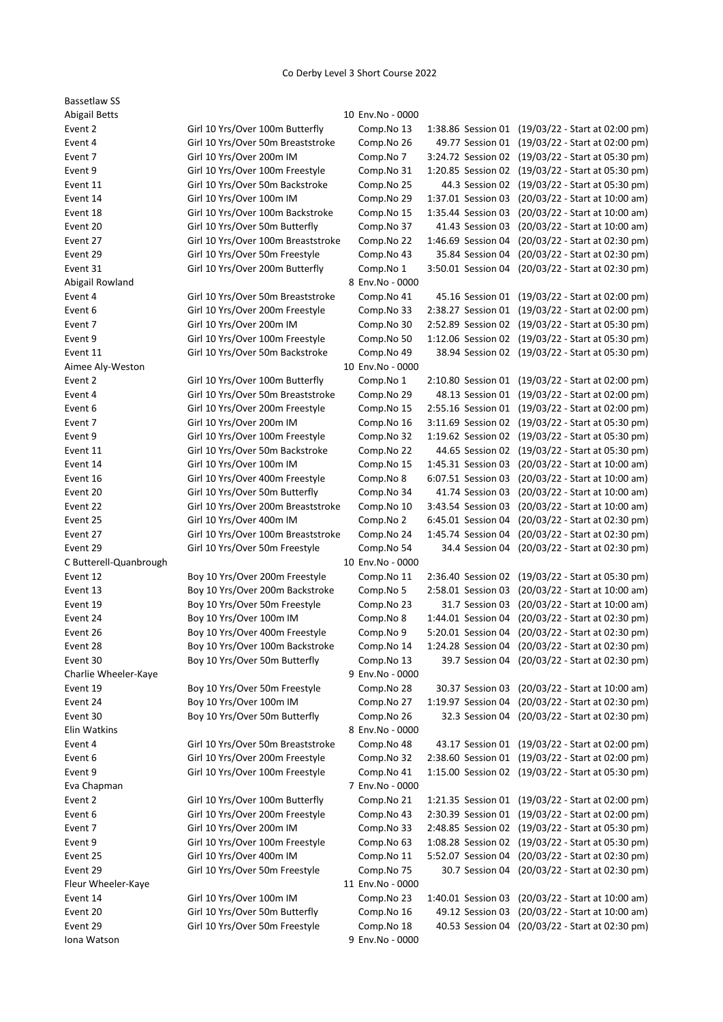## Co Derby Level 3 Short Course 2022

| <b>Bassetlaw SS</b>    |                                    |                  |                    |                                                   |
|------------------------|------------------------------------|------------------|--------------------|---------------------------------------------------|
| <b>Abigail Betts</b>   |                                    | 10 Env.No - 0000 |                    |                                                   |
| Event 2                | Girl 10 Yrs/Over 100m Butterfly    | Comp.No 13       |                    | 1:38.86 Session 01 (19/03/22 - Start at 02:00 pm) |
| Event 4                | Girl 10 Yrs/Over 50m Breaststroke  | Comp.No 26       |                    | 49.77 Session 01 (19/03/22 - Start at 02:00 pm)   |
| Event 7                | Girl 10 Yrs/Over 200m IM           | Comp.No 7        |                    | 3:24.72 Session 02 (19/03/22 - Start at 05:30 pm) |
| Event 9                | Girl 10 Yrs/Over 100m Freestyle    | Comp.No 31       |                    | 1:20.85 Session 02 (19/03/22 - Start at 05:30 pm) |
| Event 11               | Girl 10 Yrs/Over 50m Backstroke    | Comp.No 25       |                    | 44.3 Session 02 (19/03/22 - Start at 05:30 pm)    |
| Event 14               | Girl 10 Yrs/Over 100m IM           | Comp.No 29       | 1:37.01 Session 03 | (20/03/22 - Start at 10:00 am)                    |
| Event 18               | Girl 10 Yrs/Over 100m Backstroke   | Comp.No 15       | 1:35.44 Session 03 | (20/03/22 - Start at 10:00 am)                    |
| Event 20               | Girl 10 Yrs/Over 50m Butterfly     | Comp.No 37       | 41.43 Session 03   | (20/03/22 - Start at 10:00 am)                    |
| Event 27               | Girl 10 Yrs/Over 100m Breaststroke | Comp.No 22       | 1:46.69 Session 04 | (20/03/22 - Start at 02:30 pm)                    |
| Event 29               | Girl 10 Yrs/Over 50m Freestyle     | Comp.No 43       | 35.84 Session 04   | (20/03/22 - Start at 02:30 pm)                    |
| Event 31               | Girl 10 Yrs/Over 200m Butterfly    | Comp.No 1        | 3:50.01 Session 04 | (20/03/22 - Start at 02:30 pm)                    |
| Abigail Rowland        |                                    | 8 Env.No - 0000  |                    |                                                   |
| Event 4                | Girl 10 Yrs/Over 50m Breaststroke  | Comp.No 41       |                    | 45.16 Session 01 (19/03/22 - Start at 02:00 pm)   |
| Event 6                | Girl 10 Yrs/Over 200m Freestyle    | Comp.No 33       |                    | 2:38.27 Session 01 (19/03/22 - Start at 02:00 pm) |
| Event 7                | Girl 10 Yrs/Over 200m IM           | Comp.No 30       |                    | 2:52.89 Session 02 (19/03/22 - Start at 05:30 pm) |
| Event 9                | Girl 10 Yrs/Over 100m Freestyle    | Comp.No 50       |                    | 1:12.06 Session 02 (19/03/22 - Start at 05:30 pm) |
| Event 11               | Girl 10 Yrs/Over 50m Backstroke    | Comp.No 49       |                    | 38.94 Session 02 (19/03/22 - Start at 05:30 pm)   |
| Aimee Aly-Weston       |                                    | 10 Env.No - 0000 |                    |                                                   |
| Event 2                | Girl 10 Yrs/Over 100m Butterfly    | Comp.No 1        |                    | 2:10.80 Session 01 (19/03/22 - Start at 02:00 pm) |
| Event 4                | Girl 10 Yrs/Over 50m Breaststroke  | Comp.No 29       |                    | 48.13 Session 01 (19/03/22 - Start at 02:00 pm)   |
| Event 6                | Girl 10 Yrs/Over 200m Freestyle    | Comp.No 15       |                    | 2:55.16 Session 01 (19/03/22 - Start at 02:00 pm) |
| Event 7                | Girl 10 Yrs/Over 200m IM           | Comp.No 16       |                    | 3:11.69 Session 02 (19/03/22 - Start at 05:30 pm) |
| Event 9                | Girl 10 Yrs/Over 100m Freestyle    | Comp.No 32       | 1:19.62 Session 02 | (19/03/22 - Start at 05:30 pm)                    |
| Event 11               | Girl 10 Yrs/Over 50m Backstroke    | Comp.No 22       | 44.65 Session 02   | (19/03/22 - Start at 05:30 pm)                    |
| Event 14               | Girl 10 Yrs/Over 100m IM           | Comp.No 15       | 1:45.31 Session 03 | (20/03/22 - Start at 10:00 am)                    |
| Event 16               | Girl 10 Yrs/Over 400m Freestyle    | Comp.No 8        | 6:07.51 Session 03 | (20/03/22 - Start at 10:00 am)                    |
| Event 20               | Girl 10 Yrs/Over 50m Butterfly     | Comp.No 34       | 41.74 Session 03   | (20/03/22 - Start at 10:00 am)                    |
| Event 22               | Girl 10 Yrs/Over 200m Breaststroke | Comp.No 10       | 3:43.54 Session 03 | (20/03/22 - Start at 10:00 am)                    |
|                        | Girl 10 Yrs/Over 400m IM           |                  |                    |                                                   |
| Event 25               |                                    | Comp.No 2        | 6:45.01 Session 04 | (20/03/22 - Start at 02:30 pm)                    |
| Event 27               | Girl 10 Yrs/Over 100m Breaststroke | Comp.No 24       | 1:45.74 Session 04 | (20/03/22 - Start at 02:30 pm)                    |
| Event 29               | Girl 10 Yrs/Over 50m Freestyle     | Comp.No 54       | 34.4 Session 04    | (20/03/22 - Start at 02:30 pm)                    |
| C Butterell-Quanbrough |                                    | 10 Env.No - 0000 |                    |                                                   |
| Event 12               | Boy 10 Yrs/Over 200m Freestyle     | Comp.No 11       |                    | 2:36.40 Session 02 (19/03/22 - Start at 05:30 pm) |
| Event 13               | Boy 10 Yrs/Over 200m Backstroke    | Comp.No 5        | 2:58.01 Session 03 | (20/03/22 - Start at 10:00 am)                    |
| Event 19               | Boy 10 Yrs/Over 50m Freestyle      | Comp.No 23       | 31.7 Session 03    | (20/03/22 - Start at 10:00 am)                    |
| Event 24               | Boy 10 Yrs/Over 100m IM            | Comp.No 8        | 1:44.01 Session 04 | (20/03/22 - Start at 02:30 pm)                    |
| Event 26               | Boy 10 Yrs/Over 400m Freestyle     | Comp.No 9        | 5:20.01 Session 04 | (20/03/22 - Start at 02:30 pm)                    |
| Event 28               | Boy 10 Yrs/Over 100m Backstroke    | Comp.No 14       |                    | 1:24.28 Session 04 (20/03/22 - Start at 02:30 pm) |
| Event 30               | Boy 10 Yrs/Over 50m Butterfly      | Comp.No 13       |                    | 39.7 Session 04 (20/03/22 - Start at 02:30 pm)    |
| Charlie Wheeler-Kaye   |                                    | 9 Env.No - 0000  |                    |                                                   |
| Event 19               | Boy 10 Yrs/Over 50m Freestyle      | Comp.No 28       | 30.37 Session 03   | (20/03/22 - Start at 10:00 am)                    |
| Event 24               | Boy 10 Yrs/Over 100m IM            | Comp.No 27       | 1:19.97 Session 04 | (20/03/22 - Start at 02:30 pm)                    |
| Event 30               | Boy 10 Yrs/Over 50m Butterfly      | Comp.No 26       |                    | 32.3 Session 04 (20/03/22 - Start at 02:30 pm)    |
| Elin Watkins           |                                    | 8 Env.No - 0000  |                    |                                                   |
| Event 4                | Girl 10 Yrs/Over 50m Breaststroke  | Comp.No 48       |                    | 43.17 Session 01 (19/03/22 - Start at 02:00 pm)   |
| Event 6                | Girl 10 Yrs/Over 200m Freestyle    | Comp.No 32       |                    | 2:38.60 Session 01 (19/03/22 - Start at 02:00 pm) |
| Event 9                | Girl 10 Yrs/Over 100m Freestyle    | Comp.No 41       |                    | 1:15.00 Session 02 (19/03/22 - Start at 05:30 pm) |
| Eva Chapman            |                                    | 7 Env.No - 0000  |                    |                                                   |
| Event 2                | Girl 10 Yrs/Over 100m Butterfly    | Comp.No 21       |                    | 1:21.35 Session 01 (19/03/22 - Start at 02:00 pm) |
| Event 6                | Girl 10 Yrs/Over 200m Freestyle    | Comp.No 43       |                    | 2:30.39 Session 01 (19/03/22 - Start at 02:00 pm) |
| Event 7                | Girl 10 Yrs/Over 200m IM           | Comp.No 33       |                    | 2:48.85 Session 02 (19/03/22 - Start at 05:30 pm) |
| Event 9                | Girl 10 Yrs/Over 100m Freestyle    | Comp.No 63       |                    | 1:08.28 Session 02 (19/03/22 - Start at 05:30 pm) |
| Event 25               | Girl 10 Yrs/Over 400m IM           | Comp.No 11       |                    | 5:52.07 Session 04 (20/03/22 - Start at 02:30 pm) |
| Event 29               | Girl 10 Yrs/Over 50m Freestyle     | Comp.No 75       |                    | 30.7 Session 04 (20/03/22 - Start at 02:30 pm)    |
| Fleur Wheeler-Kaye     |                                    | 11 Env.No - 0000 |                    |                                                   |
| Event 14               | Girl 10 Yrs/Over 100m IM           | Comp.No 23       | 1:40.01 Session 03 | (20/03/22 - Start at 10:00 am)                    |
| Event 20               | Girl 10 Yrs/Over 50m Butterfly     | Comp.No 16       | 49.12 Session 03   | (20/03/22 - Start at 10:00 am)                    |
| Event 29               | Girl 10 Yrs/Over 50m Freestyle     | Comp.No 18       |                    | 40.53 Session 04 (20/03/22 - Start at 02:30 pm)   |
| Iona Watson            |                                    | 9 Env.No - 0000  |                    |                                                   |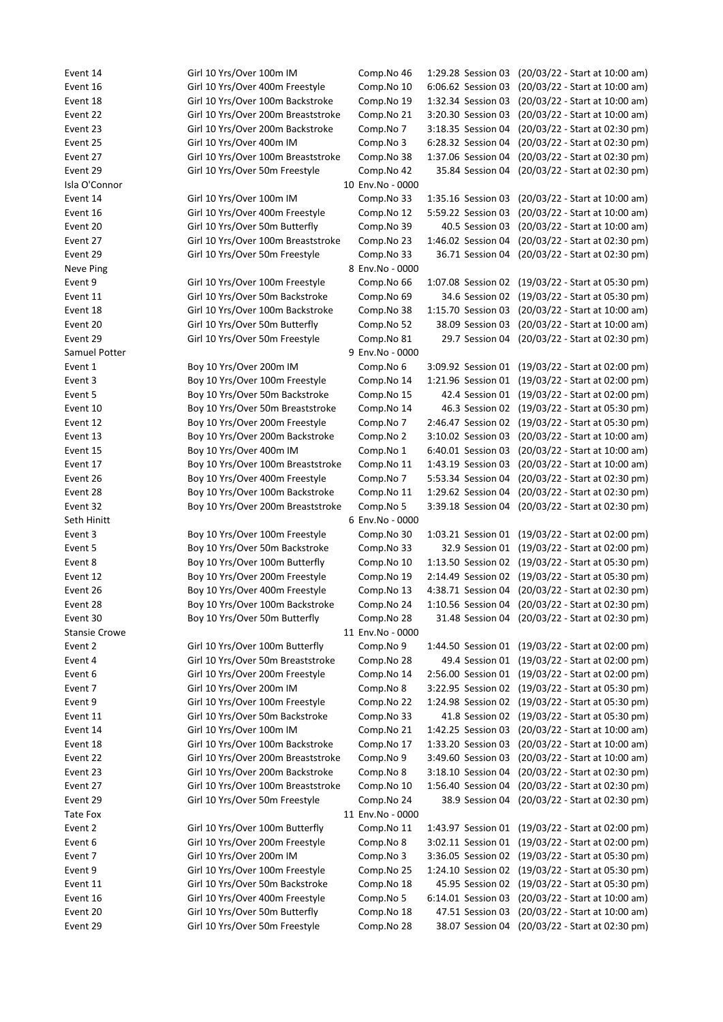Event 14 Girl 10 Yrs/Over 100m IM Comp.No 46 1:29.28 Session 03 (20/03/22 - Start at 10:00 am) Event 16 Girl 10 Yrs/Over 400m Freestyle Comp.No 10 6:06.62 Session 03 (20/03/22 - Start at 10:00 am) Event 18 Girl 10 Yrs/Over 100m Backstroke Comp.No 19 1:32.34 Session 03 (20/03/22 - Start at 10:00 am) Event 22 Girl 10 Yrs/Over 200m Breaststroke Comp.No 21 3:20.30 Session 03 (20/03/22 - Start at 10:00 am) Event 23 Girl 10 Yrs/Over 200m Backstroke Comp.No 7 3:18.35 Session 04 (20/03/22 - Start at 02:30 pm) Event 25 Girl 10 Yrs/Over 400m IM Comp.No 3 6:28.32 Session 04 (20/03/22 - Start at 02:30 pm) Event 27 Girl 10 Yrs/Over 100m Breaststroke Comp.No 38 1:37.06 Session 04 (20/03/22 - Start at 02:30 pm) Event 29 Girl 10 Yrs/Over 50m Freestyle Comp.No 42 35.84 Session 04 (20/03/22 - Start at 02:30 pm) Isla O'Connor 10 Env.No - 0000 Event 14 Girl 10 Yrs/Over 100m IM Comp.No 33 1:35.16 Session 03 (20/03/22 - Start at 10:00 am) Event 16 Girl 10 Yrs/Over 400m Freestyle Comp.No 12 5:59.22 Session 03 (20/03/22 - Start at 10:00 am) Event 20 Girl 10 Yrs/Over 50m Butterfly Comp.No 39 40.5 Session 03 (20/03/22 - Start at 10:00 am) Event 27 Girl 10 Yrs/Over 100m Breaststroke Comp.No 23 1:46.02 Session 04 (20/03/22 - Start at 02:30 pm) Event 29 Girl 10 Yrs/Over 50m Freestyle Comp.No 33 36.71 Session 04 (20/03/22 - Start at 02:30 pm) Neve Ping 8 Env.No - 0000 Event 9 Girl 10 Yrs/Over 100m Freestyle Comp.No 66 1:07.08 Session 02 (19/03/22 - Start at 05:30 pm) Event 11 Girl 10 Yrs/Over 50m Backstroke Comp.No 69 34.6 Session 02 (19/03/22 - Start at 05:30 pm) Event 18 Girl 10 Yrs/Over 100m Backstroke Comp.No 38 1:15.70 Session 03 (20/03/22 - Start at 10:00 am) Event 20 Girl 10 Yrs/Over 50m Butterfly Comp.No 52 38.09 Session 03 (20/03/22 - Start at 10:00 am) Event 29 Girl 10 Yrs/Over 50m Freestyle Comp.No 81 29.7 Session 04 (20/03/22 - Start at 02:30 pm) Samuel Potter 9 Env.No - 0000 Event 1 Boy 10 Yrs/Over 200m IM Comp.No 6 3:09.92 Session 01 (19/03/22 - Start at 02:00 pm) Event 3 Boy 10 Yrs/Over 100m Freestyle Comp.No 14 1:21.96 Session 01 (19/03/22 - Start at 02:00 pm) Event 5 Boy 10 Yrs/Over 50m Backstroke Comp.No 15 42.4 Session 01 (19/03/22 - Start at 02:00 pm) Event 10 Boy 10 Yrs/Over 50m Breaststroke Comp.No 14 46.3 Session 02 (19/03/22 - Start at 05:30 pm) Event 12 Boy 10 Yrs/Over 200m Freestyle Comp.No 7 2:46.47 Session 02 (19/03/22 - Start at 05:30 pm) Event 13 Boy 10 Yrs/Over 200m Backstroke Comp.No 2 3:10.02 Session 03 (20/03/22 - Start at 10:00 am) Event 15 Boy 10 Yrs/Over 400m IM Comp.No 1 6:40.01 Session 03 (20/03/22 - Start at 10:00 am) Event 17 Boy 10 Yrs/Over 100m Breaststroke Comp.No 11 1:43.19 Session 03 (20/03/22 - Start at 10:00 am) Event 26 Boy 10 Yrs/Over 400m Freestyle Comp.No 7 5:53.34 Session 04 (20/03/22 - Start at 02:30 pm) Event 28 Boy 10 Yrs/Over 100m Backstroke Comp.No 11 1:29.62 Session 04 (20/03/22 - Start at 02:30 pm) Event 32 Boy 10 Yrs/Over 200m Breaststroke Comp.No 5 3:39.18 Session 04 (20/03/22 - Start at 02:30 pm) Seth Hinitt 6 Env.No - 0000 Event 3 Boy 10 Yrs/Over 100m Freestyle Comp.No 30 1:03.21 Session 01 (19/03/22 - Start at 02:00 pm) Event 5 Boy 10 Yrs/Over 50m Backstroke Comp.No 33 32.9 Session 01 (19/03/22 - Start at 02:00 pm) Event 8 Boy 10 Yrs/Over 100m Butterfly Comp.No 10 1:13.50 Session 02 (19/03/22 - Start at 05:30 pm) Event 12 Boy 10 Yrs/Over 200m Freestyle Comp.No 19 2:14.49 Session 02 (19/03/22 - Start at 05:30 pm) Event 26 Boy 10 Yrs/Over 400m Freestyle Comp.No 13 4:38.71 Session 04 (20/03/22 - Start at 02:30 pm) Event 28 Boy 10 Yrs/Over 100m Backstroke Comp.No 24 1:10.56 Session 04 (20/03/22 - Start at 02:30 pm) Event 30 Boy 10 Yrs/Over 50m Butterfly Comp.No 28 31.48 Session 04 (20/03/22 - Start at 02:30 pm) Stansie Crowe 11 Env.No - 0000 Event 2 Girl 10 Yrs/Over 100m Butterfly Comp.No 9 1:44.50 Session 01 (19/03/22 - Start at 02:00 pm) Event 4 Girl 10 Yrs/Over 50m Breaststroke Comp.No 28 49.4 Session 01 (19/03/22 - Start at 02:00 pm) Event 6 Girl 10 Yrs/Over 200m Freestyle Comp.No 14 2:56.00 Session 01 (19/03/22 - Start at 02:00 pm) Event 7 Girl 10 Yrs/Over 200m IM Comp.No 8 3:22.95 Session 02 (19/03/22 - Start at 05:30 pm) Event 9 Girl 10 Yrs/Over 100m Freestyle Comp.No 22 1:24.98 Session 02 (19/03/22 - Start at 05:30 pm) Event 11 Girl 10 Yrs/Over 50m Backstroke Comp.No 33 41.8 Session 02 (19/03/22 - Start at 05:30 pm) Event 14 Girl 10 Yrs/Over 100m IM Comp.No 21 1:42.25 Session 03 (20/03/22 - Start at 10:00 am) Event 18 Girl 10 Yrs/Over 100m Backstroke Comp.No 17 1:33.20 Session 03 (20/03/22 - Start at 10:00 am) Event 22 Girl 10 Yrs/Over 200m Breaststroke Comp.No 9 3:49.60 Session 03 (20/03/22 - Start at 10:00 am) Event 23 Girl 10 Yrs/Over 200m Backstroke Comp.No 8 3:18.10 Session 04 (20/03/22 - Start at 02:30 pm) Event 27 Girl 10 Yrs/Over 100m Breaststroke Comp.No 10 1:56.40 Session 04 (20/03/22 - Start at 02:30 pm) Event 29 Girl 10 Yrs/Over 50m Freestyle Comp.No 24 38.9 Session 04 (20/03/22 - Start at 02:30 pm) Tate Fox 11 Env.No - 0000 Event 2 Girl 10 Yrs/Over 100m Butterfly Comp.No 11 1:43.97 Session 01 (19/03/22 - Start at 02:00 pm) Event 6 Girl 10 Yrs/Over 200m Freestyle Comp.No 8 3:02.11 Session 01 (19/03/22 - Start at 02:00 pm) Event 7 Girl 10 Yrs/Over 200m IM Comp.No 3 3:36.05 Session 02 (19/03/22 - Start at 05:30 pm) Event 9 Girl 10 Yrs/Over 100m Freestyle Comp.No 25 1:24.10 Session 02 (19/03/22 - Start at 05:30 pm) Event 11 Girl 10 Yrs/Over 50m Backstroke Comp.No 18 45.95 Session 02 (19/03/22 - Start at 05:30 pm) Event 16 Girl 10 Yrs/Over 400m Freestyle Comp.No 5 6:14.01 Session 03 (20/03/22 - Start at 10:00 am) Event 20 Girl 10 Yrs/Over 50m Butterfly Comp.No 18 47.51 Session 03 (20/03/22 - Start at 10:00 am) Event 29 Girl 10 Yrs/Over 50m Freestyle Comp.No 28 38.07 Session 04 (20/03/22 - Start at 02:30 pm)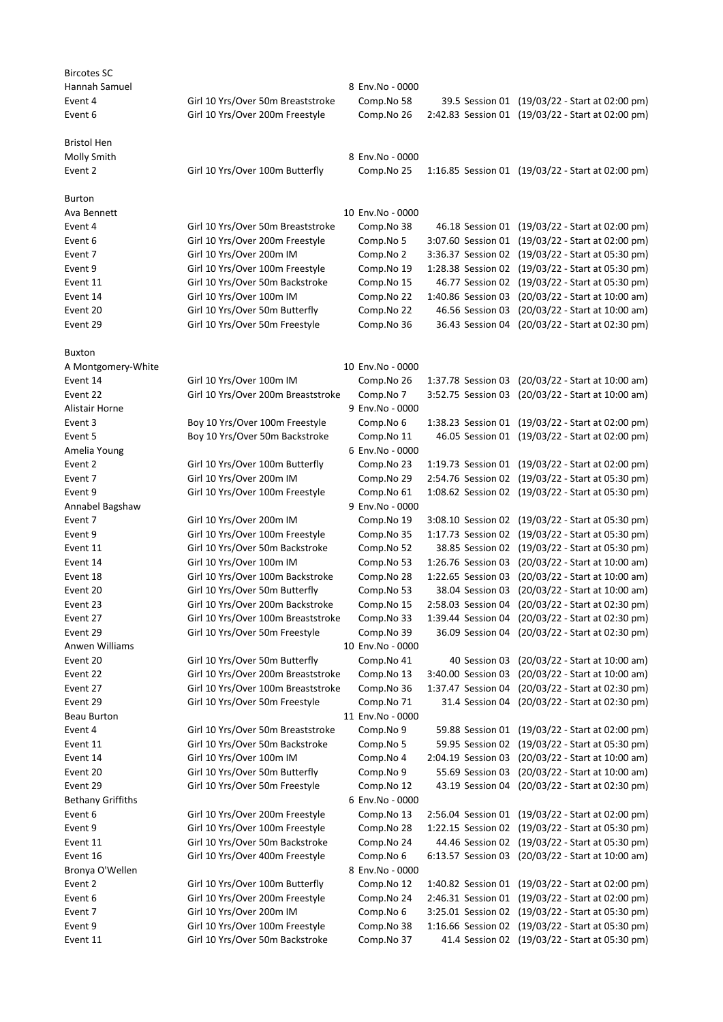| <b>Bircotes SC</b><br>Hannah Samuel |                                    | 8 Env.No - 0000                |                                     |                                                                                                      |
|-------------------------------------|------------------------------------|--------------------------------|-------------------------------------|------------------------------------------------------------------------------------------------------|
| Event 4                             | Girl 10 Yrs/Over 50m Breaststroke  | Comp.No 58                     |                                     | 39.5 Session 01 (19/03/22 - Start at 02:00 pm)                                                       |
| Event 6                             | Girl 10 Yrs/Over 200m Freestyle    | Comp.No 26                     |                                     | 2:42.83 Session 01 (19/03/22 - Start at 02:00 pm)                                                    |
|                                     |                                    |                                |                                     |                                                                                                      |
| <b>Bristol Hen</b>                  |                                    |                                |                                     |                                                                                                      |
| Molly Smith                         |                                    | 8 Env.No - 0000                |                                     |                                                                                                      |
| Event 2                             | Girl 10 Yrs/Over 100m Butterfly    | Comp.No 25                     |                                     | 1:16.85 Session 01 (19/03/22 - Start at 02:00 pm)                                                    |
| <b>Burton</b>                       |                                    |                                |                                     |                                                                                                      |
| Ava Bennett                         |                                    | 10 Env.No - 0000               |                                     |                                                                                                      |
| Event 4                             | Girl 10 Yrs/Over 50m Breaststroke  | Comp.No 38                     |                                     | 46.18 Session 01 (19/03/22 - Start at 02:00 pm)                                                      |
| Event 6                             | Girl 10 Yrs/Over 200m Freestyle    | Comp.No 5                      |                                     | 3:07.60 Session 01 (19/03/22 - Start at 02:00 pm)                                                    |
| Event 7                             | Girl 10 Yrs/Over 200m IM           | Comp.No 2                      |                                     | 3:36.37 Session 02 (19/03/22 - Start at 05:30 pm)                                                    |
| Event 9                             | Girl 10 Yrs/Over 100m Freestyle    | Comp.No 19                     |                                     | 1:28.38 Session 02 (19/03/22 - Start at 05:30 pm)                                                    |
| Event 11                            | Girl 10 Yrs/Over 50m Backstroke    | Comp.No 15                     |                                     | 46.77 Session 02 (19/03/22 - Start at 05:30 pm)                                                      |
| Event 14                            | Girl 10 Yrs/Over 100m IM           | Comp.No 22                     |                                     | 1:40.86 Session 03 (20/03/22 - Start at 10:00 am)                                                    |
| Event 20                            | Girl 10 Yrs/Over 50m Butterfly     | Comp.No 22                     |                                     | 46.56 Session 03 (20/03/22 - Start at 10:00 am)                                                      |
| Event 29                            | Girl 10 Yrs/Over 50m Freestyle     | Comp.No 36                     |                                     | 36.43 Session 04 (20/03/22 - Start at 02:30 pm)                                                      |
| <b>Buxton</b>                       |                                    |                                |                                     |                                                                                                      |
| A Montgomery-White                  |                                    | 10 Env.No - 0000               |                                     |                                                                                                      |
| Event 14                            | Girl 10 Yrs/Over 100m IM           | Comp.No 26                     |                                     | 1:37.78 Session 03 (20/03/22 - Start at 10:00 am)                                                    |
| Event 22                            | Girl 10 Yrs/Over 200m Breaststroke | Comp.No 7                      |                                     | 3:52.75 Session 03 (20/03/22 - Start at 10:00 am)                                                    |
| Alistair Horne                      |                                    | 9 Env.No - 0000                |                                     |                                                                                                      |
| Event 3                             | Boy 10 Yrs/Over 100m Freestyle     | Comp.No 6                      |                                     | 1:38.23 Session 01 (19/03/22 - Start at 02:00 pm)                                                    |
| Event 5                             | Boy 10 Yrs/Over 50m Backstroke     | Comp.No 11                     |                                     | 46.05 Session 01 (19/03/22 - Start at 02:00 pm)                                                      |
| Amelia Young                        |                                    | 6 Env.No - 0000                |                                     |                                                                                                      |
| Event 2                             | Girl 10 Yrs/Over 100m Butterfly    | Comp.No 23                     |                                     | 1:19.73 Session 01 (19/03/22 - Start at 02:00 pm)                                                    |
| Event 7                             | Girl 10 Yrs/Over 200m IM           | Comp.No 29                     |                                     | 2:54.76 Session 02 (19/03/22 - Start at 05:30 pm)                                                    |
| Event 9                             | Girl 10 Yrs/Over 100m Freestyle    | Comp.No 61                     |                                     | 1:08.62 Session 02 (19/03/22 - Start at 05:30 pm)                                                    |
| Annabel Bagshaw                     |                                    | 9 Env.No - 0000                |                                     |                                                                                                      |
| Event 7                             | Girl 10 Yrs/Over 200m IM           | Comp.No 19                     |                                     | 3:08.10 Session 02 (19/03/22 - Start at 05:30 pm)                                                    |
| Event 9                             | Girl 10 Yrs/Over 100m Freestyle    | Comp.No 35                     |                                     | 1:17.73 Session 02 (19/03/22 - Start at 05:30 pm)                                                    |
| Event 11                            | Girl 10 Yrs/Over 50m Backstroke    | Comp.No 52                     |                                     | 38.85 Session 02 (19/03/22 - Start at 05:30 pm)                                                      |
| Event 14                            | Girl 10 Yrs/Over 100m IM           | Comp.No 53                     | 1:26.76 Session 03                  | (20/03/22 - Start at 10:00 am)                                                                       |
| Event 18                            | Girl 10 Yrs/Over 100m Backstroke   | Comp.No 28                     |                                     | 1:22.65 Session 03 (20/03/22 - Start at 10:00 am)                                                    |
| Event 20                            | Girl 10 Yrs/Over 50m Butterfly     | Comp.No 53                     |                                     | 38.04 Session 03 (20/03/22 - Start at 10:00 am)                                                      |
| Event 23                            | Girl 10 Yrs/Over 200m Backstroke   | Comp.No 15                     |                                     | 2:58.03 Session 04 (20/03/22 - Start at 02:30 pm)                                                    |
| Event 27                            | Girl 10 Yrs/Over 100m Breaststroke | Comp.No 33                     |                                     | 1:39.44 Session 04 (20/03/22 - Start at 02:30 pm)<br>36.09 Session 04 (20/03/22 - Start at 02:30 pm) |
| Event 29                            | Girl 10 Yrs/Over 50m Freestyle     | Comp.No 39                     |                                     |                                                                                                      |
| Anwen Williams                      | Girl 10 Yrs/Over 50m Butterfly     | 10 Env.No - 0000<br>Comp.No 41 |                                     |                                                                                                      |
| Event 20<br>Event 22                | Girl 10 Yrs/Over 200m Breaststroke | Comp.No 13                     | 40 Session 03<br>3:40.00 Session 03 | (20/03/22 - Start at 10:00 am)<br>(20/03/22 - Start at 10:00 am)                                     |
| Event 27                            | Girl 10 Yrs/Over 100m Breaststroke | Comp.No 36                     | 1:37.47 Session 04                  | (20/03/22 - Start at 02:30 pm)                                                                       |
| Event 29                            | Girl 10 Yrs/Over 50m Freestyle     | Comp.No 71                     |                                     | 31.4 Session 04 (20/03/22 - Start at 02:30 pm)                                                       |
| Beau Burton                         |                                    | 11 Env.No - 0000               |                                     |                                                                                                      |
| Event 4                             | Girl 10 Yrs/Over 50m Breaststroke  | Comp.No 9                      | 59.88 Session 01                    | (19/03/22 - Start at 02:00 pm)                                                                       |
| Event 11                            | Girl 10 Yrs/Over 50m Backstroke    | Comp.No 5                      | 59.95 Session 02                    | (19/03/22 - Start at 05:30 pm)                                                                       |
| Event 14                            | Girl 10 Yrs/Over 100m IM           | Comp.No 4                      | 2:04.19 Session 03                  | (20/03/22 - Start at 10:00 am)                                                                       |
| Event 20                            | Girl 10 Yrs/Over 50m Butterfly     | Comp.No 9                      | 55.69 Session 03                    | (20/03/22 - Start at 10:00 am)                                                                       |
| Event 29                            | Girl 10 Yrs/Over 50m Freestyle     | Comp.No 12                     |                                     | 43.19 Session 04 (20/03/22 - Start at 02:30 pm)                                                      |
| <b>Bethany Griffiths</b>            |                                    | 6 Env.No - 0000                |                                     |                                                                                                      |
| Event 6                             | Girl 10 Yrs/Over 200m Freestyle    | Comp.No 13                     |                                     | 2:56.04 Session 01 (19/03/22 - Start at 02:00 pm)                                                    |
| Event 9                             | Girl 10 Yrs/Over 100m Freestyle    | Comp.No 28                     |                                     | 1:22.15 Session 02 (19/03/22 - Start at 05:30 pm)                                                    |
| Event 11                            | Girl 10 Yrs/Over 50m Backstroke    | Comp.No 24                     |                                     | 44.46 Session 02 (19/03/22 - Start at 05:30 pm)                                                      |
| Event 16                            | Girl 10 Yrs/Over 400m Freestyle    | Comp.No 6                      |                                     | 6:13.57 Session 03 (20/03/22 - Start at 10:00 am)                                                    |
| Bronya O'Wellen                     |                                    | 8 Env.No - 0000                |                                     |                                                                                                      |
| Event 2                             | Girl 10 Yrs/Over 100m Butterfly    | Comp.No 12                     |                                     | 1:40.82 Session 01 (19/03/22 - Start at 02:00 pm)                                                    |
| Event 6                             | Girl 10 Yrs/Over 200m Freestyle    | Comp.No 24                     |                                     | 2:46.31 Session 01 (19/03/22 - Start at 02:00 pm)                                                    |
| Event 7                             | Girl 10 Yrs/Over 200m IM           | Comp.No 6                      |                                     | 3:25.01 Session 02 (19/03/22 - Start at 05:30 pm)                                                    |
| Event 9                             | Girl 10 Yrs/Over 100m Freestyle    | Comp.No 38                     |                                     | 1:16.66 Session 02 (19/03/22 - Start at 05:30 pm)                                                    |
| Event 11                            | Girl 10 Yrs/Over 50m Backstroke    | Comp.No 37                     |                                     | 41.4 Session 02 (19/03/22 - Start at 05:30 pm)                                                       |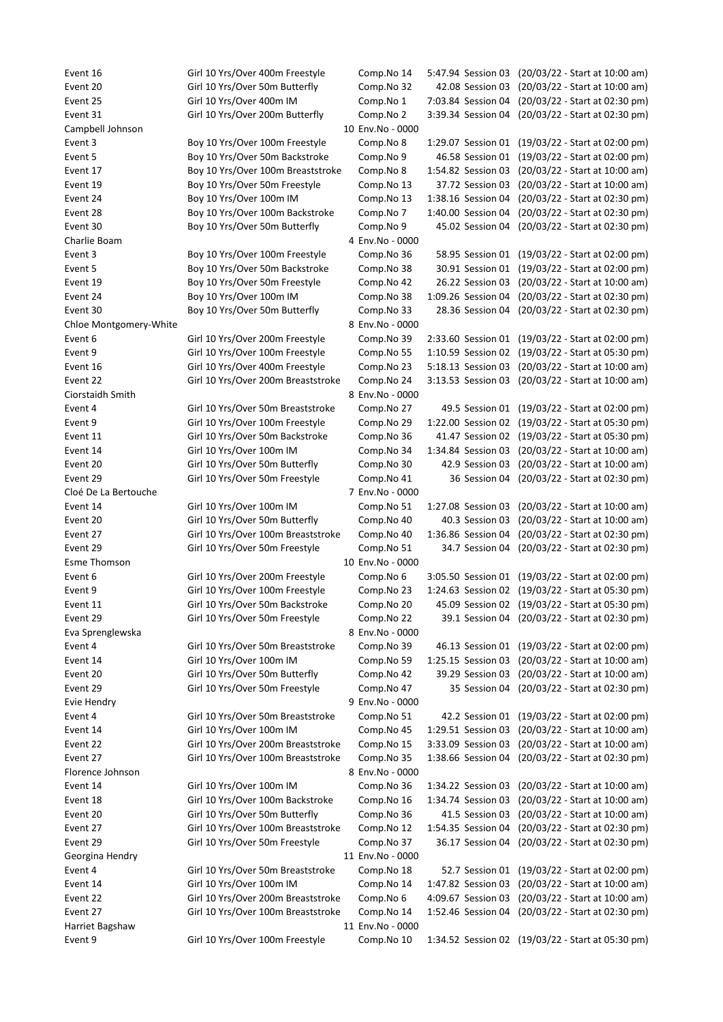Event 16 Girl 10 Yrs/Over 400m Freestyle Comp.No 14 5:47.94 Session 03 (20/03/22 - Start at 10:00 am) Event 20 Girl 10 Yrs/Over 50m Butterfly Comp.No 32 42.08 Session 03 (20/03/22 - Start at 10:00 am) Event 25 Girl 10 Yrs/Over 400m IM Comp.No 1 7:03.84 Session 04 (20/03/22 - Start at 02:30 pm) Event 31 Girl 10 Yrs/Over 200m Butterfly Comp.No 2 3:39.34 Session 04 (20/03/22 - Start at 02:30 pm) Campbell Johnson 10 Env.No - 0000 Event 3 Boy 10 Yrs/Over 100m Freestyle Comp.No 8 1:29.07 Session 01 (19/03/22 - Start at 02:00 pm) Event 5 Boy 10 Yrs/Over 50m Backstroke Comp.No 9 46.58 Session 01 (19/03/22 - Start at 02:00 pm) Event 17 Boy 10 Yrs/Over 100m Breaststroke Comp.No 8 1:54.82 Session 03 (20/03/22 - Start at 10:00 am) Event 19 Boy 10 Yrs/Over 50m Freestyle Comp.No 13 37.72 Session 03 (20/03/22 - Start at 10:00 am) Event 24 Boy 10 Yrs/Over 100m IM Comp.No 13 1:38.16 Session 04 (20/03/22 - Start at 02:30 pm) Event 28 Boy 10 Yrs/Over 100m Backstroke Comp.No 7 1:40.00 Session 04 (20/03/22 - Start at 02:30 pm) Event 30 Boy 10 Yrs/Over 50m Butterfly Comp.No 9 45.02 Session 04 (20/03/22 - Start at 02:30 pm) Charlie Boam 4 Env.No - 0000 Event 3 Boy 10 Yrs/Over 100m Freestyle Comp.No 36 58.95 Session 01 (19/03/22 - Start at 02:00 pm) Event 5 Boy 10 Yrs/Over 50m Backstroke Comp.No 38 30.91 Session 01 (19/03/22 - Start at 02:00 pm) Event 19 Boy 10 Yrs/Over 50m Freestyle Comp.No 42 26.22 Session 03 (20/03/22 - Start at 10:00 am) Event 24 Boy 10 Yrs/Over 100m IM Comp.No 38 1:09.26 Session 04 (20/03/22 - Start at 02:30 pm) Event 30 Boy 10 Yrs/Over 50m Butterfly Comp.No 33 28.36 Session 04 (20/03/22 - Start at 02:30 pm) Chloe Montgomery-White **8 Env.No - 0000** Event 6 Girl 10 Yrs/Over 200m Freestyle Comp.No 39 2:33.60 Session 01 (19/03/22 - Start at 02:00 pm) Event 9 Girl 10 Yrs/Over 100m Freestyle Comp.No 55 1:10.59 Session 02 (19/03/22 - Start at 05:30 pm) Event 16 Girl 10 Yrs/Over 400m Freestyle Comp.No 23 5:18.13 Session 03 (20/03/22 - Start at 10:00 am) Event 22 Girl 10 Yrs/Over 200m Breaststroke Comp.No 24 3:13.53 Session 03 (20/03/22 - Start at 10:00 am) Ciorstaidh Smith 8 Env.No - 0000 Event 4 Girl 10 Yrs/Over 50m Breaststroke Comp.No 27 49.5 Session 01 (19/03/22 - Start at 02:00 pm) Event 9 Girl 10 Yrs/Over 100m Freestyle Comp.No 29 1:22.00 Session 02 (19/03/22 - Start at 05:30 pm) Event 11 Girl 10 Yrs/Over 50m Backstroke Comp.No 36 41.47 Session 02 (19/03/22 - Start at 05:30 pm) Event 14 Girl 10 Yrs/Over 100m IM Comp.No 34 1:34.84 Session 03 (20/03/22 - Start at 10:00 am) Event 20 Girl 10 Yrs/Over 50m Butterfly Comp.No 30 42.9 Session 03 (20/03/22 - Start at 10:00 am) Event 29 Girl 10 Yrs/Over 50m Freestyle Comp.No 41 36 Session 04 (20/03/22 - Start at 02:30 pm) Cloé De La Bertouche 7 Env.No - 0000 Event 14 Girl 10 Yrs/Over 100m IM Comp.No 51 1:27.08 Session 03 (20/03/22 - Start at 10:00 am) Event 20 Girl 10 Yrs/Over 50m Butterfly Comp.No 40 40.3 Session 03 (20/03/22 - Start at 10:00 am) Event 27 Girl 10 Yrs/Over 100m Breaststroke Comp.No 40 1:36.86 Session 04 (20/03/22 - Start at 02:30 pm) Event 29 Girl 10 Yrs/Over 50m Freestyle Comp.No 51 34.7 Session 04 (20/03/22 - Start at 02:30 pm) Esme Thomson **10 Env.No** - 0000 Event 6 Girl 10 Yrs/Over 200m Freestyle Comp.No 6 3:05.50 Session 01 (19/03/22 - Start at 02:00 pm) Event 9 Girl 10 Yrs/Over 100m Freestyle Comp.No 23 1:24.63 Session 02 (19/03/22 - Start at 05:30 pm) Event 11 Girl 10 Yrs/Over 50m Backstroke Comp.No 20 45.09 Session 02 (19/03/22 - Start at 05:30 pm) Event 29 Girl 10 Yrs/Over 50m Freestyle Comp.No 22 39.1 Session 04 (20/03/22 - Start at 02:30 pm) Eva Sprenglewska 8 Env.No - 0000 Event 4 Girl 10 Yrs/Over 50m Breaststroke Comp.No 39 46.13 Session 01 (19/03/22 - Start at 02:00 pm) Event 14 Girl 10 Yrs/Over 100m IM Comp.No 59 1:25.15 Session 03 (20/03/22 - Start at 10:00 am) Event 20 Girl 10 Yrs/Over 50m Butterfly Comp.No 42 39.29 Session 03 (20/03/22 - Start at 10:00 am) Event 29 Girl 10 Yrs/Over 50m Freestyle Comp.No 47 35 Session 04 (20/03/22 - Start at 02:30 pm) Evie Hendry 9 Env.No - 0000 Event 4 Girl 10 Yrs/Over 50m Breaststroke Comp.No 51 42.2 Session 01 (19/03/22 - Start at 02:00 pm) Event 14 Girl 10 Yrs/Over 100m IM Comp.No 45 1:29.51 Session 03 (20/03/22 - Start at 10:00 am) Event 22 Girl 10 Yrs/Over 200m Breaststroke Comp.No 15 3:33.09 Session 03 (20/03/22 - Start at 10:00 am) Event 27 Girl 10 Yrs/Over 100m Breaststroke Comp.No 35 1:38.66 Session 04 (20/03/22 - Start at 02:30 pm) Florence Johnson 8 Env.No - 0000 Event 14 Girl 10 Yrs/Over 100m IM Comp.No 36 1:34.22 Session 03 (20/03/22 - Start at 10:00 am) Event 18 Girl 10 Yrs/Over 100m Backstroke Comp.No 16 1:34.74 Session 03 (20/03/22 - Start at 10:00 am) Event 20 Girl 10 Yrs/Over 50m Butterfly Comp.No 36 41.5 Session 03 (20/03/22 - Start at 10:00 am) Event 27 Girl 10 Yrs/Over 100m Breaststroke Comp.No 12 1:54.35 Session 04 (20/03/22 - Start at 02:30 pm) Event 29 Girl 10 Yrs/Over 50m Freestyle Comp.No 37 36.17 Session 04 (20/03/22 - Start at 02:30 pm) Georgina Hendry **11 Env.No** - 0000 Event 4 Girl 10 Yrs/Over 50m Breaststroke Comp.No 18 52.7 Session 01 (19/03/22 - Start at 02:00 pm) Event 14 Girl 10 Yrs/Over 100m IM Comp.No 14 1:47.82 Session 03 (20/03/22 - Start at 10:00 am) Event 22 Girl 10 Yrs/Over 200m Breaststroke Comp.No 6 4:09.67 Session 03 (20/03/22 - Start at 10:00 am) Event 27 Girl 10 Yrs/Over 100m Breaststroke Comp.No 14 1:52.46 Session 04 (20/03/22 - Start at 02:30 pm) Harriet Bagshaw 11 Env.No - 0000 Event 9 Girl 10 Yrs/Over 100m Freestyle Comp.No 10 1:34.52 Session 02 (19/03/22 - Start at 05:30 pm)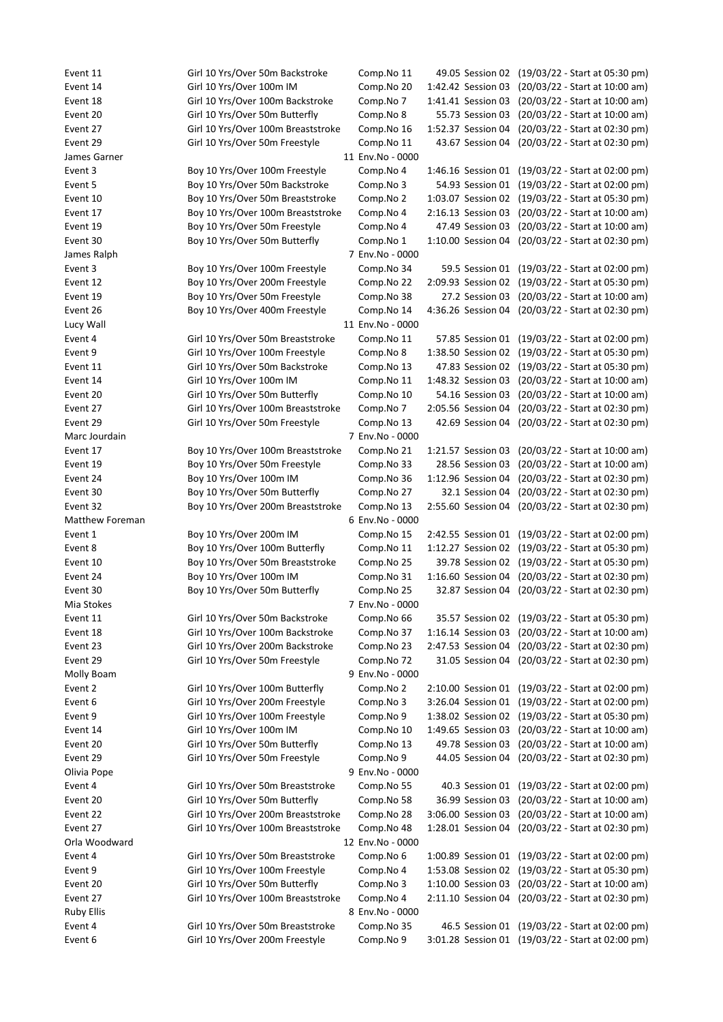Event 11 Girl 10 Yrs/Over 50m Backstroke Comp.No 11 49.05 Session 02 (19/03/22 - Start at 05:30 pm) Event 14 Girl 10 Yrs/Over 100m IM Comp.No 20 1:42.42 Session 03 (20/03/22 - Start at 10:00 am) Event 18 Girl 10 Yrs/Over 100m Backstroke Comp.No 7 1:41.41 Session 03 (20/03/22 - Start at 10:00 am) Event 20 Girl 10 Yrs/Over 50m Butterfly Comp.No 8 55.73 Session 03 (20/03/22 - Start at 10:00 am) Event 27 Girl 10 Yrs/Over 100m Breaststroke Comp.No 16 1:52.37 Session 04 (20/03/22 - Start at 02:30 pm) Event 29 Girl 10 Yrs/Over 50m Freestyle Comp.No 11 43.67 Session 04 (20/03/22 - Start at 02:30 pm) James Garner 11 Env.No - 0000 Event 3 Boy 10 Yrs/Over 100m Freestyle Comp.No 4 1:46.16 Session 01 (19/03/22 - Start at 02:00 pm) Event 5 Boy 10 Yrs/Over 50m Backstroke Comp.No 3 54.93 Session 01 (19/03/22 - Start at 02:00 pm) Event 10 Boy 10 Yrs/Over 50m Breaststroke Comp.No 2 1:03.07 Session 02 (19/03/22 - Start at 05:30 pm) Event 17 Boy 10 Yrs/Over 100m Breaststroke Comp.No 4 2:16.13 Session 03 (20/03/22 - Start at 10:00 am) Event 19 Boy 10 Yrs/Over 50m Freestyle Comp.No 4 47.49 Session 03 (20/03/22 - Start at 10:00 am) Event 30 Boy 10 Yrs/Over 50m Butterfly Comp.No 1 1:10.00 Session 04 (20/03/22 - Start at 02:30 pm) James Ralph 7 Env.No - 0000 Event 3 Boy 10 Yrs/Over 100m Freestyle Comp.No 34 59.5 Session 01 (19/03/22 - Start at 02:00 pm) Event 12 Boy 10 Yrs/Over 200m Freestyle Comp.No 22 2:09.93 Session 02 (19/03/22 - Start at 05:30 pm) Event 19 Boy 10 Yrs/Over 50m Freestyle Comp.No 38 27.2 Session 03 (20/03/22 - Start at 10:00 am) Event 26 Boy 10 Yrs/Over 400m Freestyle Comp.No 14 4:36.26 Session 04 (20/03/22 - Start at 02:30 pm) Lucy Wall **11 Env.No** - 0000 Event 4 Girl 10 Yrs/Over 50m Breaststroke Comp.No 11 57.85 Session 01 (19/03/22 - Start at 02:00 pm) Event 9 Girl 10 Yrs/Over 100m Freestyle Comp.No 8 1:38.50 Session 02 (19/03/22 - Start at 05:30 pm) Event 11 Girl 10 Yrs/Over 50m Backstroke Comp.No 13 47.83 Session 02 (19/03/22 - Start at 05:30 pm) Event 14 Girl 10 Yrs/Over 100m IM Comp.No 11 1:48.32 Session 03 (20/03/22 - Start at 10:00 am) Event 20 Girl 10 Yrs/Over 50m Butterfly Comp.No 10 54.16 Session 03 (20/03/22 - Start at 10:00 am) Event 27 Girl 10 Yrs/Over 100m Breaststroke Comp.No 7 2:05.56 Session 04 (20/03/22 - Start at 02:30 pm) Event 29 Girl 10 Yrs/Over 50m Freestyle Comp.No 13 42.69 Session 04 (20/03/22 - Start at 02:30 pm) Marc Jourdain 7 Env.No - 0000 Event 17 Boy 10 Yrs/Over 100m Breaststroke Comp.No 21 1:21.57 Session 03 (20/03/22 - Start at 10:00 am) Event 19 Boy 10 Yrs/Over 50m Freestyle Comp.No 33 28.56 Session 03 (20/03/22 - Start at 10:00 am) Event 24 Boy 10 Yrs/Over 100m IM Comp.No 36 1:12.96 Session 04 (20/03/22 - Start at 02:30 pm) Event 30 Boy 10 Yrs/Over 50m Butterfly Comp.No 27 32.1 Session 04 (20/03/22 - Start at 02:30 pm) Event 32 Boy 10 Yrs/Over 200m Breaststroke Comp.No 13 2:55.60 Session 04 (20/03/22 - Start at 02:30 pm) Matthew Foreman 6 Env.No - 0000 Event 1 Boy 10 Yrs/Over 200m IM Comp.No 15 2:42.55 Session 01 (19/03/22 - Start at 02:00 pm) Event 8 Boy 10 Yrs/Over 100m Butterfly Comp.No 11 1:12.27 Session 02 (19/03/22 - Start at 05:30 pm) Event 10 Boy 10 Yrs/Over 50m Breaststroke Comp.No 25 39.78 Session 02 (19/03/22 - Start at 05:30 pm) Event 24 Boy 10 Yrs/Over 100m IM Comp.No 31 1:16.60 Session 04 (20/03/22 - Start at 02:30 pm) Event 30 Boy 10 Yrs/Over 50m Butterfly Comp.No 25 32.87 Session 04 (20/03/22 - Start at 02:30 pm) Mia Stokes 7 Env.No - 0000 Event 11 Girl 10 Yrs/Over 50m Backstroke Comp.No 66 35.57 Session 02 (19/03/22 - Start at 05:30 pm) Event 18 Girl 10 Yrs/Over 100m Backstroke Comp.No 37 1:16.14 Session 03 (20/03/22 - Start at 10:00 am) Event 23 Girl 10 Yrs/Over 200m Backstroke Comp.No 23 2:47.53 Session 04 (20/03/22 - Start at 02:30 pm) Event 29 Girl 10 Yrs/Over 50m Freestyle Comp.No 72 31.05 Session 04 (20/03/22 - Start at 02:30 pm) Molly Boam 9 Env.No - 0000 Event 2 Girl 10 Yrs/Over 100m Butterfly Comp.No 2 2:10.00 Session 01 (19/03/22 - Start at 02:00 pm) Event 6 Girl 10 Yrs/Over 200m Freestyle Comp.No 3 3:26.04 Session 01 (19/03/22 - Start at 02:00 pm) Event 9 Girl 10 Yrs/Over 100m Freestyle Comp.No 9 1:38.02 Session 02 (19/03/22 - Start at 05:30 pm) Event 14 Girl 10 Yrs/Over 100m IM Comp.No 10 1:49.65 Session 03 (20/03/22 - Start at 10:00 am) Event 20 Girl 10 Yrs/Over 50m Butterfly Comp.No 13 49.78 Session 03 (20/03/22 - Start at 10:00 am) Event 29 Girl 10 Yrs/Over 50m Freestyle Comp.No 9 44.05 Session 04 (20/03/22 - Start at 02:30 pm) Olivia Pope 9 Env.No - 0000 Event 4 Girl 10 Yrs/Over 50m Breaststroke Comp.No 55 40.3 Session 01 (19/03/22 - Start at 02:00 pm) Event 20 Girl 10 Yrs/Over 50m Butterfly Comp.No 58 36.99 Session 03 (20/03/22 - Start at 10:00 am) Event 22 Girl 10 Yrs/Over 200m Breaststroke Comp.No 28 3:06.00 Session 03 (20/03/22 - Start at 10:00 am) Event 27 Girl 10 Yrs/Over 100m Breaststroke Comp.No 48 1:28.01 Session 04 (20/03/22 - Start at 02:30 pm) Orla Woodward 12 Env.No - 0000 Event 4 Girl 10 Yrs/Over 50m Breaststroke Comp.No 6 1:00.89 Session 01 (19/03/22 - Start at 02:00 pm) Event 9 Girl 10 Yrs/Over 100m Freestyle Comp.No 4 1:53.08 Session 02 (19/03/22 - Start at 05:30 pm) Event 20 Girl 10 Yrs/Over 50m Butterfly Comp.No 3 1:10.00 Session 03 (20/03/22 - Start at 10:00 am) Event 27 Girl 10 Yrs/Over 100m Breaststroke Comp.No 4 2:11.10 Session 04 (20/03/22 - Start at 02:30 pm) Ruby Ellis 8 Env.No - 0000 Event 4 Girl 10 Yrs/Over 50m Breaststroke Comp.No 35 46.5 Session 01 (19/03/22 - Start at 02:00 pm) Event 6 Girl 10 Yrs/Over 200m Freestyle Comp.No 9 3:01.28 Session 01 (19/03/22 - Start at 02:00 pm)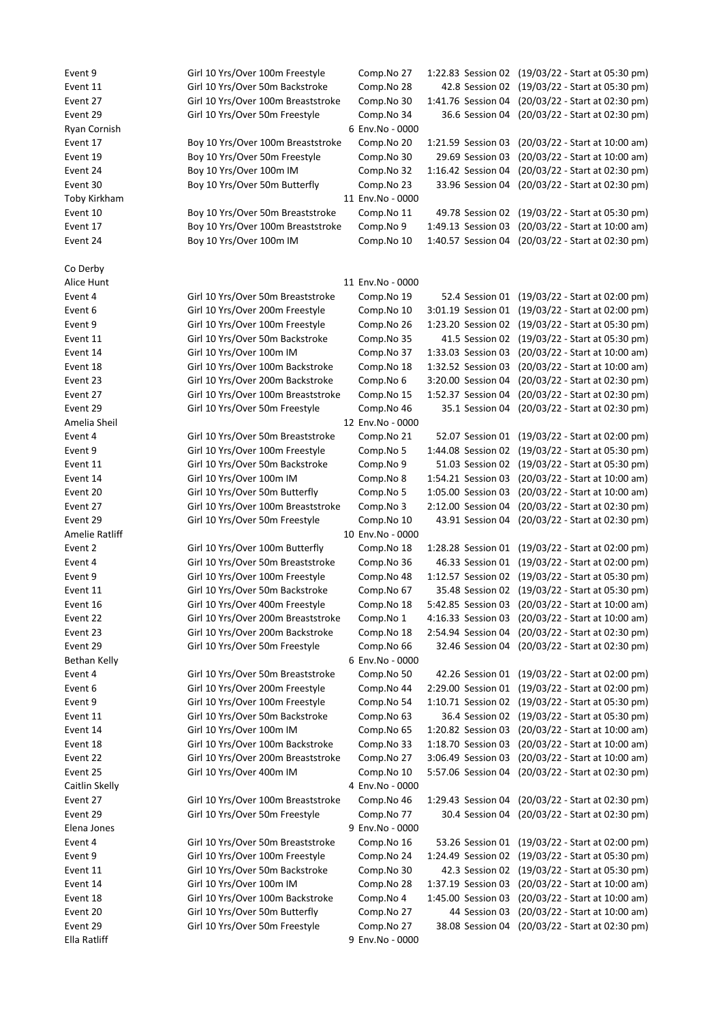| Event 9             | Girl 10 Yrs/Over 100m Freestyle    | Comp.No 27       |                    | 1:22.83 Session 02 (19/03/22 - Start at 05:30 pm) |
|---------------------|------------------------------------|------------------|--------------------|---------------------------------------------------|
| Event 11            | Girl 10 Yrs/Over 50m Backstroke    | Comp.No 28       |                    | 42.8 Session 02 (19/03/22 - Start at 05:30 pm)    |
| Event 27            | Girl 10 Yrs/Over 100m Breaststroke | Comp.No 30       |                    | 1:41.76 Session 04 (20/03/22 - Start at 02:30 pm) |
| Event 29            | Girl 10 Yrs/Over 50m Freestyle     | Comp.No 34       |                    | 36.6 Session 04 (20/03/22 - Start at 02:30 pm)    |
| Ryan Cornish        |                                    | 6 Env.No - 0000  |                    |                                                   |
| Event 17            | Boy 10 Yrs/Over 100m Breaststroke  | Comp.No 20       | 1:21.59 Session 03 | (20/03/22 - Start at 10:00 am)                    |
| Event 19            | Boy 10 Yrs/Over 50m Freestyle      | Comp.No 30       | 29.69 Session 03   | (20/03/22 - Start at 10:00 am)                    |
| Event 24            | Boy 10 Yrs/Over 100m IM            | Comp.No 32       | 1:16.42 Session 04 | (20/03/22 - Start at 02:30 pm)                    |
| Event 30            | Boy 10 Yrs/Over 50m Butterfly      | Comp.No 23       | 33.96 Session 04   | (20/03/22 - Start at 02:30 pm)                    |
| Toby Kirkham        |                                    | 11 Env.No - 0000 |                    |                                                   |
| Event 10            | Boy 10 Yrs/Over 50m Breaststroke   | Comp.No 11       |                    | 49.78 Session 02 (19/03/22 - Start at 05:30 pm)   |
| Event 17            | Boy 10 Yrs/Over 100m Breaststroke  | Comp.No 9        | 1:49.13 Session 03 | (20/03/22 - Start at 10:00 am)                    |
| Event 24            | Boy 10 Yrs/Over 100m IM            | Comp.No 10       | 1:40.57 Session 04 | (20/03/22 - Start at 02:30 pm)                    |
| Co Derby            |                                    |                  |                    |                                                   |
| Alice Hunt          |                                    | 11 Env.No - 0000 |                    |                                                   |
| Event 4             | Girl 10 Yrs/Over 50m Breaststroke  | Comp.No 19       |                    | 52.4 Session 01 (19/03/22 - Start at 02:00 pm)    |
| Event 6             | Girl 10 Yrs/Over 200m Freestyle    | Comp.No 10       |                    | 3:01.19 Session 01 (19/03/22 - Start at 02:00 pm) |
| Event 9             | Girl 10 Yrs/Over 100m Freestyle    | Comp.No 26       |                    | 1:23.20 Session 02 (19/03/22 - Start at 05:30 pm) |
| Event 11            | Girl 10 Yrs/Over 50m Backstroke    | Comp.No 35       |                    | 41.5 Session 02 (19/03/22 - Start at 05:30 pm)    |
| Event 14            | Girl 10 Yrs/Over 100m IM           | Comp.No 37       | 1:33.03 Session 03 | (20/03/22 - Start at 10:00 am)                    |
| Event 18            | Girl 10 Yrs/Over 100m Backstroke   | Comp.No 18       | 1:32.52 Session 03 | (20/03/22 - Start at 10:00 am)                    |
| Event 23            | Girl 10 Yrs/Over 200m Backstroke   | Comp.No 6        | 3:20.00 Session 04 | (20/03/22 - Start at 02:30 pm)                    |
| Event 27            | Girl 10 Yrs/Over 100m Breaststroke | Comp.No 15       | 1:52.37 Session 04 | (20/03/22 - Start at 02:30 pm)                    |
| Event 29            | Girl 10 Yrs/Over 50m Freestyle     | Comp.No 46       | 35.1 Session 04    | (20/03/22 - Start at 02:30 pm)                    |
| Amelia Sheil        |                                    | 12 Env.No - 0000 |                    |                                                   |
| Event 4             | Girl 10 Yrs/Over 50m Breaststroke  | Comp.No 21       | 52.07 Session 01   | (19/03/22 - Start at 02:00 pm)                    |
| Event 9             | Girl 10 Yrs/Over 100m Freestyle    | Comp.No 5        | 1:44.08 Session 02 | (19/03/22 - Start at 05:30 pm)                    |
| Event 11            | Girl 10 Yrs/Over 50m Backstroke    | Comp.No 9        |                    | 51.03 Session 02 (19/03/22 - Start at 05:30 pm)   |
| Event 14            | Girl 10 Yrs/Over 100m IM           | Comp.No 8        | 1:54.21 Session 03 | (20/03/22 - Start at 10:00 am)                    |
| Event 20            | Girl 10 Yrs/Over 50m Butterfly     | Comp.No 5        | 1:05.00 Session 03 | (20/03/22 - Start at 10:00 am)                    |
| Event 27            | Girl 10 Yrs/Over 100m Breaststroke | Comp.No 3        | 2:12.00 Session 04 | (20/03/22 - Start at 02:30 pm)                    |
| Event 29            | Girl 10 Yrs/Over 50m Freestyle     | Comp.No 10       | 43.91 Session 04   | (20/03/22 - Start at 02:30 pm)                    |
| Amelie Ratliff      |                                    | 10 Env.No - 0000 |                    |                                                   |
| Event 2             | Girl 10 Yrs/Over 100m Butterfly    | Comp.No 18       |                    | 1:28.28 Session 01 (19/03/22 - Start at 02:00 pm) |
| Event 4             | Girl 10 Yrs/Over 50m Breaststroke  | Comp.No 36       |                    | 46.33 Session 01 (19/03/22 - Start at 02:00 pm)   |
| Event 9             | Girl 10 Yrs/Over 100m Freestyle    | Comp.No 48       |                    | 1:12.57 Session 02 (19/03/22 - Start at 05:30 pm) |
| Event 11            | Girl 10 Yrs/Over 50m Backstroke    | Comp.No 67       |                    | 35.48 Session 02 (19/03/22 - Start at 05:30 pm)   |
| Event 16            | Girl 10 Yrs/Over 400m Freestyle    | Comp.No 18       |                    | 5:42.85 Session 03 (20/03/22 - Start at 10:00 am) |
| Event 22            | Girl 10 Yrs/Over 200m Breaststroke | Comp.No 1        |                    | 4:16.33 Session 03 (20/03/22 - Start at 10:00 am) |
| Event 23            | Girl 10 Yrs/Over 200m Backstroke   | Comp.No 18       |                    | 2:54.94 Session 04 (20/03/22 - Start at 02:30 pm) |
| Event 29            | Girl 10 Yrs/Over 50m Freestyle     | Comp.No 66       |                    | 32.46 Session 04 (20/03/22 - Start at 02:30 pm)   |
| <b>Bethan Kelly</b> |                                    | 6 Env.No - 0000  |                    |                                                   |
| Event 4             | Girl 10 Yrs/Over 50m Breaststroke  | Comp.No 50       |                    | 42.26 Session 01 (19/03/22 - Start at 02:00 pm)   |
| Event 6             | Girl 10 Yrs/Over 200m Freestyle    | Comp.No 44       | 2:29.00 Session 01 | (19/03/22 - Start at 02:00 pm)                    |
| Event 9             | Girl 10 Yrs/Over 100m Freestyle    | Comp.No 54       |                    | 1:10.71 Session 02 (19/03/22 - Start at 05:30 pm) |
| Event 11            | Girl 10 Yrs/Over 50m Backstroke    | Comp.No 63       |                    | 36.4 Session 02 (19/03/22 - Start at 05:30 pm)    |
| Event 14            | Girl 10 Yrs/Over 100m IM           | Comp.No 65       |                    | 1:20.82 Session 03 (20/03/22 - Start at 10:00 am) |
| Event 18            | Girl 10 Yrs/Over 100m Backstroke   | Comp.No 33       | 1:18.70 Session 03 | (20/03/22 - Start at 10:00 am)                    |
| Event 22            | Girl 10 Yrs/Over 200m Breaststroke | Comp.No 27       | 3:06.49 Session 03 | (20/03/22 - Start at 10:00 am)                    |
| Event 25            | Girl 10 Yrs/Over 400m IM           | Comp.No 10       | 5:57.06 Session 04 | (20/03/22 - Start at 02:30 pm)                    |
| Caitlin Skelly      |                                    | 4 Env.No - 0000  |                    |                                                   |
| Event 27            | Girl 10 Yrs/Over 100m Breaststroke | Comp.No 46       |                    | 1:29.43 Session 04 (20/03/22 - Start at 02:30 pm) |
| Event 29            | Girl 10 Yrs/Over 50m Freestyle     | Comp.No 77       |                    | 30.4 Session 04 (20/03/22 - Start at 02:30 pm)    |
| Elena Jones         |                                    | 9 Env.No - 0000  |                    |                                                   |
| Event 4             | Girl 10 Yrs/Over 50m Breaststroke  | Comp.No 16       |                    | 53.26 Session 01 (19/03/22 - Start at 02:00 pm)   |
| Event 9             | Girl 10 Yrs/Over 100m Freestyle    | Comp.No 24       |                    | 1:24.49 Session 02 (19/03/22 - Start at 05:30 pm) |
| Event 11            | Girl 10 Yrs/Over 50m Backstroke    | Comp.No 30       |                    | 42.3 Session 02 (19/03/22 - Start at 05:30 pm)    |
| Event 14            | Girl 10 Yrs/Over 100m IM           | Comp.No 28       | 1:37.19 Session 03 | (20/03/22 - Start at 10:00 am)                    |
| Event 18            | Girl 10 Yrs/Over 100m Backstroke   | Comp.No 4        |                    | 1:45.00 Session 03 (20/03/22 - Start at 10:00 am) |
| Event 20            | Girl 10 Yrs/Over 50m Butterfly     | Comp.No 27       | 44 Session 03      | (20/03/22 - Start at 10:00 am)                    |
| Event 29            | Girl 10 Yrs/Over 50m Freestyle     | Comp.No 27       |                    | 38.08 Session 04 (20/03/22 - Start at 02:30 pm)   |
| Ella Ratliff        |                                    | 9 Env.No - 0000  |                    |                                                   |
|                     |                                    |                  |                    |                                                   |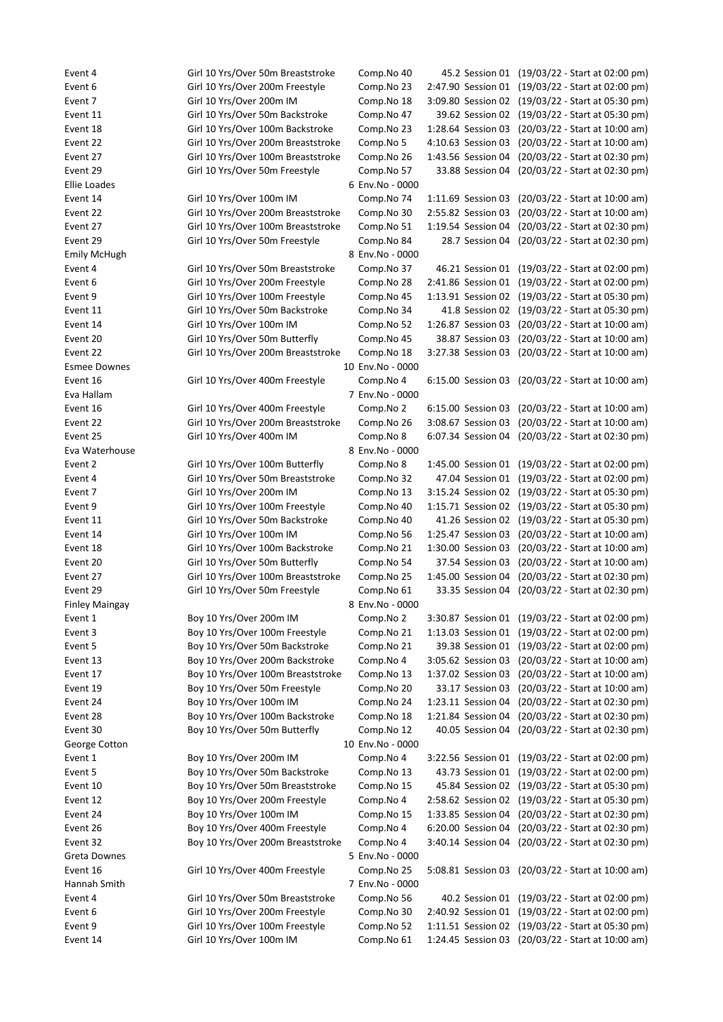Event 4 Girl 10 Yrs/Over 50m Breaststroke Comp.No 40 45.2 Session 01 (19/03/22 - Start at 02:00 pm) Event 6 Girl 10 Yrs/Over 200m Freestyle Comp.No 23 2:47.90 Session 01 (19/03/22 - Start at 02:00 pm) Event 7 Girl 10 Yrs/Over 200m IM Comp.No 18 3:09.80 Session 02 (19/03/22 - Start at 05:30 pm) Event 11 Girl 10 Yrs/Over 50m Backstroke Comp.No 47 39.62 Session 02 (19/03/22 - Start at 05:30 pm) Event 18 Girl 10 Yrs/Over 100m Backstroke Comp.No 23 1:28.64 Session 03 (20/03/22 - Start at 10:00 am) Event 22 Girl 10 Yrs/Over 200m Breaststroke Comp.No 5 4:10.63 Session 03 (20/03/22 - Start at 10:00 am) Event 27 Girl 10 Yrs/Over 100m Breaststroke Comp.No 26 1:43.56 Session 04 (20/03/22 - Start at 02:30 pm) Event 29 Girl 10 Yrs/Over 50m Freestyle Comp.No 57 33.88 Session 04 (20/03/22 - Start at 02:30 pm) Ellie Loades 6 Env.No - 0000 Event 14 Girl 10 Yrs/Over 100m IM Comp.No 74 1:11.69 Session 03 (20/03/22 - Start at 10:00 am) Event 22 Girl 10 Yrs/Over 200m Breaststroke Comp.No 30 2:55.82 Session 03 (20/03/22 - Start at 10:00 am) Event 27 Girl 10 Yrs/Over 100m Breaststroke Comp.No 51 1:19.54 Session 04 (20/03/22 - Start at 02:30 pm) Event 29 Girl 10 Yrs/Over 50m Freestyle Comp.No 84 28.7 Session 04 (20/03/22 - Start at 02:30 pm) Emily McHugh 8 Env.No - 0000 Event 4 Girl 10 Yrs/Over 50m Breaststroke Comp.No 37 46.21 Session 01 (19/03/22 - Start at 02:00 pm) Event 6 Girl 10 Yrs/Over 200m Freestyle Comp.No 28 2:41.86 Session 01 (19/03/22 - Start at 02:00 pm) Event 9 Girl 10 Yrs/Over 100m Freestyle Comp.No 45 1:13.91 Session 02 (19/03/22 - Start at 05:30 pm) Event 11 Girl 10 Yrs/Over 50m Backstroke Comp.No 34 41.8 Session 02 (19/03/22 - Start at 05:30 pm) Event 14 Girl 10 Yrs/Over 100m IM Comp.No 52 1:26.87 Session 03 (20/03/22 - Start at 10:00 am) Event 20 Girl 10 Yrs/Over 50m Butterfly Comp.No 45 38.87 Session 03 (20/03/22 - Start at 10:00 am) Event 22 Girl 10 Yrs/Over 200m Breaststroke Comp.No 18 3:27.38 Session 03 (20/03/22 - Start at 10:00 am) Esmee Downes 10 Env.No - 0000 Event 16 Girl 10 Yrs/Over 400m Freestyle Comp.No 4 6:15.00 Session 03 (20/03/22 - Start at 10:00 am) Eva Hallam 7 Env.No - 0000 Event 16 Girl 10 Yrs/Over 400m Freestyle Comp.No 2 6:15.00 Session 03 (20/03/22 - Start at 10:00 am) Event 22 Girl 10 Yrs/Over 200m Breaststroke Comp.No 26 3:08.67 Session 03 (20/03/22 - Start at 10:00 am) Event 25 Girl 10 Yrs/Over 400m IM Comp.No 8 6:07.34 Session 04 (20/03/22 - Start at 02:30 pm) Eva Waterhouse 8 Env.No - 0000 Event 2 Girl 10 Yrs/Over 100m Butterfly Comp.No 8 1:45.00 Session 01 (19/03/22 - Start at 02:00 pm) Event 4 Girl 10 Yrs/Over 50m Breaststroke Comp.No 32 47.04 Session 01 (19/03/22 - Start at 02:00 pm) Event 7 Girl 10 Yrs/Over 200m IM Comp.No 13 3:15.24 Session 02 (19/03/22 - Start at 05:30 pm) Event 9 Girl 10 Yrs/Over 100m Freestyle Comp.No 40 1:15.71 Session 02 (19/03/22 - Start at 05:30 pm) Event 11 Girl 10 Yrs/Over 50m Backstroke Comp.No 40 41.26 Session 02 (19/03/22 - Start at 05:30 pm) Event 14 Girl 10 Yrs/Over 100m IM Comp.No 56 1:25.47 Session 03 (20/03/22 - Start at 10:00 am) Event 18 Girl 10 Yrs/Over 100m Backstroke Comp.No 21 1:30.00 Session 03 (20/03/22 - Start at 10:00 am) Event 20 Girl 10 Yrs/Over 50m Butterfly Comp.No 54 37.54 Session 03 (20/03/22 - Start at 10:00 am) Event 27 Girl 10 Yrs/Over 100m Breaststroke Comp.No 25 1:45.00 Session 04 (20/03/22 - Start at 02:30 pm) Event 29 Girl 10 Yrs/Over 50m Freestyle Comp.No 61 33.35 Session 04 (20/03/22 - Start at 02:30 pm) Finley Maingay **8 Env.No** - 0000 Event 1 Boy 10 Yrs/Over 200m IM Comp.No 2 3:30.87 Session 01 (19/03/22 - Start at 02:00 pm) Event 3 Boy 10 Yrs/Over 100m Freestyle Comp.No 21 1:13.03 Session 01 (19/03/22 - Start at 02:00 pm) Event 5 Boy 10 Yrs/Over 50m Backstroke Comp.No 21 39.38 Session 01 (19/03/22 - Start at 02:00 pm) Event 13 Boy 10 Yrs/Over 200m Backstroke Comp.No 4 3:05.62 Session 03 (20/03/22 - Start at 10:00 am) Event 17 Boy 10 Yrs/Over 100m Breaststroke Comp.No 13 1:37.02 Session 03 (20/03/22 - Start at 10:00 am) Event 19 Boy 10 Yrs/Over 50m Freestyle Comp.No 20 33.17 Session 03 (20/03/22 - Start at 10:00 am) Event 24 Boy 10 Yrs/Over 100m IM Comp.No 24 1:23.11 Session 04 (20/03/22 - Start at 02:30 pm) Event 28 Boy 10 Yrs/Over 100m Backstroke Comp.No 18 1:21.84 Session 04 (20/03/22 - Start at 02:30 pm) Event 30 Boy 10 Yrs/Over 50m Butterfly Comp.No 12 40.05 Session 04 (20/03/22 - Start at 02:30 pm) George Cotton **10 Env.No** - 0000 Event 1 Boy 10 Yrs/Over 200m IM Comp.No 4 3:22.56 Session 01 (19/03/22 - Start at 02:00 pm) Event 5 Boy 10 Yrs/Over 50m Backstroke Comp.No 13 43.73 Session 01 (19/03/22 - Start at 02:00 pm) Event 10 Boy 10 Yrs/Over 50m Breaststroke Comp.No 15 45.84 Session 02 (19/03/22 - Start at 05:30 pm) Event 12 Boy 10 Yrs/Over 200m Freestyle Comp.No 4 2:58.62 Session 02 (19/03/22 - Start at 05:30 pm) Event 24 Boy 10 Yrs/Over 100m IM Comp.No 15 1:33.85 Session 04 (20/03/22 - Start at 02:30 pm) Event 26 Boy 10 Yrs/Over 400m Freestyle Comp.No 4 6:20.00 Session 04 (20/03/22 - Start at 02:30 pm) Event 32 Boy 10 Yrs/Over 200m Breaststroke Comp.No 4 3:40.14 Session 04 (20/03/22 - Start at 02:30 pm) Greta Downes **6 August 2012 Contract 2012 12:30 SENV.No - 0000** Event 16 Girl 10 Yrs/Over 400m Freestyle Comp.No 25 5:08.81 Session 03 (20/03/22 - Start at 10:00 am) Hannah Smith 7 Env.No - 0000 Event 4 Girl 10 Yrs/Over 50m Breaststroke Comp.No 56 40.2 Session 01 (19/03/22 - Start at 02:00 pm) Event 6 Girl 10 Yrs/Over 200m Freestyle Comp.No 30 2:40.92 Session 01 (19/03/22 - Start at 02:00 pm) Event 9 Girl 10 Yrs/Over 100m Freestyle Comp.No 52 1:11.51 Session 02 (19/03/22 - Start at 05:30 pm) Event 14 Girl 10 Yrs/Over 100m IM Comp.No 61 1:24.45 Session 03 (20/03/22 - Start at 10:00 am)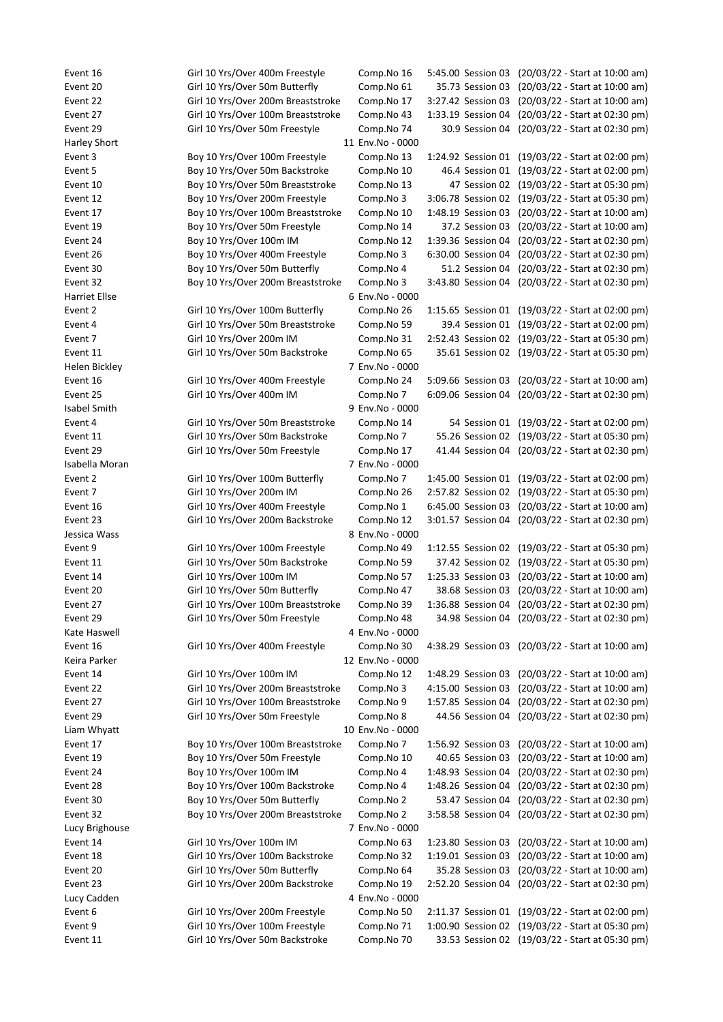Event 16 Girl 10 Yrs/Over 400m Freestyle Comp.No 16 5:45.00 Session 03 (20/03/22 - Start at 10:00 am) Event 20 Girl 10 Yrs/Over 50m Butterfly Comp.No 61 35.73 Session 03 (20/03/22 - Start at 10:00 am) Event 22 Girl 10 Yrs/Over 200m Breaststroke Comp.No 17 3:27.42 Session 03 (20/03/22 - Start at 10:00 am) Event 27 Girl 10 Yrs/Over 100m Breaststroke Comp.No 43 1:33.19 Session 04 (20/03/22 - Start at 02:30 pm) Event 29 Girl 10 Yrs/Over 50m Freestyle Comp.No 74 30.9 Session 04 (20/03/22 - Start at 02:30 pm) Harley Short 11 Env.No - 0000 Event 3 Boy 10 Yrs/Over 100m Freestyle Comp.No 13 1:24.92 Session 01 (19/03/22 - Start at 02:00 pm) Event 5 Boy 10 Yrs/Over 50m Backstroke Comp.No 10 46.4 Session 01 (19/03/22 - Start at 02:00 pm) Event 10 Boy 10 Yrs/Over 50m Breaststroke Comp.No 13 47 Session 02 (19/03/22 - Start at 05:30 pm) Event 12 Boy 10 Yrs/Over 200m Freestyle Comp.No 3 3:06.78 Session 02 (19/03/22 - Start at 05:30 pm) Event 17 Boy 10 Yrs/Over 100m Breaststroke Comp.No 10 1:48.19 Session 03 (20/03/22 - Start at 10:00 am) Event 19 Boy 10 Yrs/Over 50m Freestyle Comp.No 14 37.2 Session 03 (20/03/22 - Start at 10:00 am) Event 24 Boy 10 Yrs/Over 100m IM Comp.No 12 1:39.36 Session 04 (20/03/22 - Start at 02:30 pm) Event 26 Boy 10 Yrs/Over 400m Freestyle Comp.No 3 6:30.00 Session 04 (20/03/22 - Start at 02:30 pm) Event 30 Boy 10 Yrs/Over 50m Butterfly Comp.No 4 51.2 Session 04 (20/03/22 - Start at 02:30 pm) Event 32 Boy 10 Yrs/Over 200m Breaststroke Comp.No 3 3:43.80 Session 04 (20/03/22 - Start at 02:30 pm) Harriet Ellse 6 Env.No - 0000 Event 2 Girl 10 Yrs/Over 100m Butterfly Comp.No 26 1:15.65 Session 01 (19/03/22 - Start at 02:00 pm) Event 4 Girl 10 Yrs/Over 50m Breaststroke Comp.No 59 39.4 Session 01 (19/03/22 - Start at 02:00 pm) Event 7 Girl 10 Yrs/Over 200m IM Comp.No 31 2:52.43 Session 02 (19/03/22 - Start at 05:30 pm) Event 11 Girl 10 Yrs/Over 50m Backstroke Comp.No 65 35.61 Session 02 (19/03/22 - Start at 05:30 pm) Helen Bickley 7 Env.No - 0000 Event 16 Girl 10 Yrs/Over 400m Freestyle Comp.No 24 5:09.66 Session 03 (20/03/22 - Start at 10:00 am) Event 25 Girl 10 Yrs/Over 400m IM Comp.No 7 6:09.06 Session 04 (20/03/22 - Start at 02:30 pm) Isabel Smith 9 Env.No - 0000 Event 4 Girl 10 Yrs/Over 50m Breaststroke Comp.No 14 54 Session 01 (19/03/22 - Start at 02:00 pm) Event 11 Girl 10 Yrs/Over 50m Backstroke Comp.No 7 55.26 Session 02 (19/03/22 - Start at 05:30 pm) Event 29 Girl 10 Yrs/Over 50m Freestyle Comp.No 17 41.44 Session 04 (20/03/22 - Start at 02:30 pm) Isabella Moran 7 Env.No - 0000 Event 2 Girl 10 Yrs/Over 100m Butterfly Comp.No 7 1:45.00 Session 01 (19/03/22 - Start at 02:00 pm) Event 7 Girl 10 Yrs/Over 200m IM Comp.No 26 2:57.82 Session 02 (19/03/22 - Start at 05:30 pm) Event 16 Girl 10 Yrs/Over 400m Freestyle Comp.No 1 6:45.00 Session 03 (20/03/22 - Start at 10:00 am) Event 23 Girl 10 Yrs/Over 200m Backstroke Comp.No 12 3:01.57 Session 04 (20/03/22 - Start at 02:30 pm) Jessica Wass 8 Env.No - 0000 Event 9 Girl 10 Yrs/Over 100m Freestyle Comp.No 49 1:12.55 Session 02 (19/03/22 - Start at 05:30 pm) Event 11 Girl 10 Yrs/Over 50m Backstroke Comp.No 59 37.42 Session 02 (19/03/22 - Start at 05:30 pm) Event 14 Girl 10 Yrs/Over 100m IM Comp.No 57 1:25.33 Session 03 (20/03/22 - Start at 10:00 am) Event 20 Girl 10 Yrs/Over 50m Butterfly Comp.No 47 38.68 Session 03 (20/03/22 - Start at 10:00 am) Event 27 Girl 10 Yrs/Over 100m Breaststroke Comp.No 39 1:36.88 Session 04 (20/03/22 - Start at 02:30 pm) Event 29 Girl 10 Yrs/Over 50m Freestyle Comp.No 48 34.98 Session 04 (20/03/22 - Start at 02:30 pm) Kate Haswell **Accord 2 ACCO 4 Env.No** - 0000 Event 16 Girl 10 Yrs/Over 400m Freestyle Comp.No 30 4:38.29 Session 03 (20/03/22 - Start at 10:00 am) Keira Parker 12 Env.No - 0000 Event 14 Girl 10 Yrs/Over 100m IM Comp.No 12 1:48.29 Session 03 (20/03/22 - Start at 10:00 am) Event 22 Girl 10 Yrs/Over 200m Breaststroke Comp.No 3 4:15.00 Session 03 (20/03/22 - Start at 10:00 am) Event 27 Girl 10 Yrs/Over 100m Breaststroke Comp.No 9 1:57.85 Session 04 (20/03/22 - Start at 02:30 pm) Event 29 Girl 10 Yrs/Over 50m Freestyle Comp.No 8 44.56 Session 04 (20/03/22 - Start at 02:30 pm) Liam Whyatt 10 Env.No - 0000 Event 17 Boy 10 Yrs/Over 100m Breaststroke Comp.No 7 1:56.92 Session 03 (20/03/22 - Start at 10:00 am) Event 19 Boy 10 Yrs/Over 50m Freestyle Comp.No 10 40.65 Session 03 (20/03/22 - Start at 10:00 am) Event 24 Boy 10 Yrs/Over 100m IM Comp.No 4 1:48.93 Session 04 (20/03/22 - Start at 02:30 pm) Event 28 Boy 10 Yrs/Over 100m Backstroke Comp.No 4 1:48.26 Session 04 (20/03/22 - Start at 02:30 pm) Event 30 Boy 10 Yrs/Over 50m Butterfly Comp.No 2 53.47 Session 04 (20/03/22 - Start at 02:30 pm) Event 32 Boy 10 Yrs/Over 200m Breaststroke Comp.No 2 3:58.58 Session 04 (20/03/22 - Start at 02:30 pm) Lucy Brighouse 7 Env.No - 0000 Event 14 Girl 10 Yrs/Over 100m IM Comp.No 63 1:23.80 Session 03 (20/03/22 - Start at 10:00 am) Event 18 Girl 10 Yrs/Over 100m Backstroke Comp.No 32 1:19.01 Session 03 (20/03/22 - Start at 10:00 am) Event 20 Girl 10 Yrs/Over 50m Butterfly Comp.No 64 35.28 Session 03 (20/03/22 - Start at 10:00 am) Event 23 Girl 10 Yrs/Over 200m Backstroke Comp.No 19 2:52.20 Session 04 (20/03/22 - Start at 02:30 pm) Lucy Cadden 4 Env.No - 0000 Event 6 Girl 10 Yrs/Over 200m Freestyle Comp.No 50 2:11.37 Session 01 (19/03/22 - Start at 02:00 pm) Event 9 Girl 10 Yrs/Over 100m Freestyle Comp.No 71 1:00.90 Session 02 (19/03/22 - Start at 05:30 pm) Event 11 Girl 10 Yrs/Over 50m Backstroke Comp.No 70 33.53 Session 02 (19/03/22 - Start at 05:30 pm)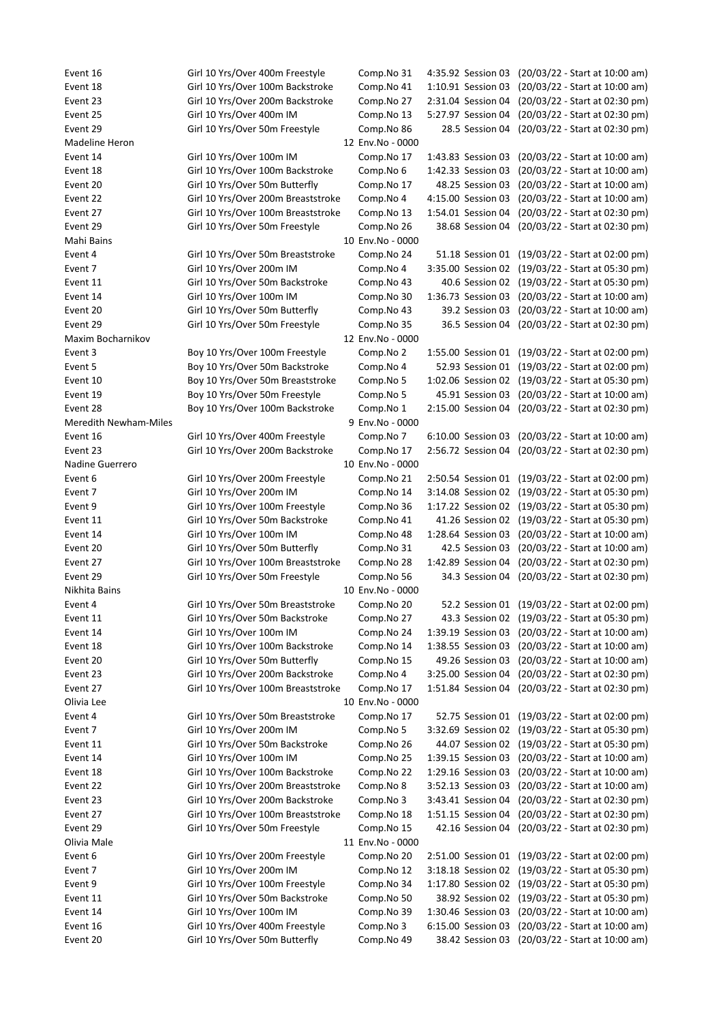Event 16 Girl 10 Yrs/Over 400m Freestyle Comp.No 31 4:35.92 Session 03 (20/03/22 - Start at 10:00 am) Event 18 Girl 10 Yrs/Over 100m Backstroke Comp.No 41 1:10.91 Session 03 (20/03/22 - Start at 10:00 am) Event 23 Girl 10 Yrs/Over 200m Backstroke Comp.No 27 2:31.04 Session 04 (20/03/22 - Start at 02:30 pm) Event 25 Girl 10 Yrs/Over 400m IM Comp.No 13 5:27.97 Session 04 (20/03/22 - Start at 02:30 pm) Event 29 Girl 10 Yrs/Over 50m Freestyle Comp.No 86 28.5 Session 04 (20/03/22 - Start at 02:30 pm) Madeline Heron 12 Env.No - 0000 Event 14 Girl 10 Yrs/Over 100m IM Comp.No 17 1:43.83 Session 03 (20/03/22 - Start at 10:00 am) Event 18 Girl 10 Yrs/Over 100m Backstroke Comp.No 6 1:42.33 Session 03 (20/03/22 - Start at 10:00 am) Event 20 Girl 10 Yrs/Over 50m Butterfly Comp.No 17 48.25 Session 03 (20/03/22 - Start at 10:00 am) Event 22 Girl 10 Yrs/Over 200m Breaststroke Comp.No 4 4:15.00 Session 03 (20/03/22 - Start at 10:00 am) Event 27 Girl 10 Yrs/Over 100m Breaststroke Comp.No 13 1:54.01 Session 04 (20/03/22 - Start at 02:30 pm) Event 29 Girl 10 Yrs/Over 50m Freestyle Comp.No 26 38.68 Session 04 (20/03/22 - Start at 02:30 pm) Mahi Bains 10 Env.No - 0000 Event 4 Girl 10 Yrs/Over 50m Breaststroke Comp.No 24 51.18 Session 01 (19/03/22 - Start at 02:00 pm) Event 7 Girl 10 Yrs/Over 200m IM Comp.No 4 3:35.00 Session 02 (19/03/22 - Start at 05:30 pm) Event 11 Girl 10 Yrs/Over 50m Backstroke Comp.No 43 40.6 Session 02 (19/03/22 - Start at 05:30 pm) Event 14 Girl 10 Yrs/Over 100m IM Comp.No 30 1:36.73 Session 03 (20/03/22 - Start at 10:00 am) Event 20 Girl 10 Yrs/Over 50m Butterfly Comp.No 43 39.2 Session 03 (20/03/22 - Start at 10:00 am) Event 29 Girl 10 Yrs/Over 50m Freestyle Comp.No 35 36.5 Session 04 (20/03/22 - Start at 02:30 pm) Maxim Bocharnikov 12 Env.No - 0000 Event 3 Boy 10 Yrs/Over 100m Freestyle Comp.No 2 1:55.00 Session 01 (19/03/22 - Start at 02:00 pm) Event 5 Boy 10 Yrs/Over 50m Backstroke Comp.No 4 52.93 Session 01 (19/03/22 - Start at 02:00 pm) Event 10 Boy 10 Yrs/Over 50m Breaststroke Comp.No 5 1:02.06 Session 02 (19/03/22 - Start at 05:30 pm) Event 19 Boy 10 Yrs/Over 50m Freestyle Comp.No 5 45.91 Session 03 (20/03/22 - Start at 10:00 am) Event 28 Boy 10 Yrs/Over 100m Backstroke Comp.No 1 2:15.00 Session 04 (20/03/22 - Start at 02:30 pm) Meredith Newham-Miles 8 and 19 and 19 and 19 and 19 and 19 and 19 and 19 and 19 and 19 and 19 and 19 and 19 and 19 and 19 and 19 and 19 and 19 and 19 and 19 and 19 and 19 and 19 and 19 and 19 and 19 and 19 and 19 and 19 an Event 16 Girl 10 Yrs/Over 400m Freestyle Comp.No 7 6:10.00 Session 03 (20/03/22 - Start at 10:00 am) Event 23 Girl 10 Yrs/Over 200m Backstroke Comp.No 17 2:56.72 Session 04 (20/03/22 - Start at 02:30 pm) Nadine Guerrero 10 Env.No - 0000 Event 6 Girl 10 Yrs/Over 200m Freestyle Comp.No 21 2:50.54 Session 01 (19/03/22 - Start at 02:00 pm) Event 7 Girl 10 Yrs/Over 200m IM Comp.No 14 3:14.08 Session 02 (19/03/22 - Start at 05:30 pm) Event 9 Girl 10 Yrs/Over 100m Freestyle Comp.No 36 1:17.22 Session 02 (19/03/22 - Start at 05:30 pm) Event 11 Girl 10 Yrs/Over 50m Backstroke Comp.No 41 41.26 Session 02 (19/03/22 - Start at 05:30 pm) Event 14 Girl 10 Yrs/Over 100m IM Comp.No 48 1:28.64 Session 03 (20/03/22 - Start at 10:00 am) Event 20 Girl 10 Yrs/Over 50m Butterfly Comp.No 31 42.5 Session 03 (20/03/22 - Start at 10:00 am) Event 27 Girl 10 Yrs/Over 100m Breaststroke Comp.No 28 1:42.89 Session 04 (20/03/22 - Start at 02:30 pm) Event 29 Girl 10 Yrs/Over 50m Freestyle Comp.No 56 34.3 Session 04 (20/03/22 - Start at 02:30 pm) Nikhita Bains 10 Env.No - 0000 Event 4 Girl 10 Yrs/Over 50m Breaststroke Comp.No 20 52.2 Session 01 (19/03/22 - Start at 02:00 pm) Event 11 Girl 10 Yrs/Over 50m Backstroke Comp.No 27 43.3 Session 02 (19/03/22 - Start at 05:30 pm) Event 14 Girl 10 Yrs/Over 100m IM Comp.No 24 1:39.19 Session 03 (20/03/22 - Start at 10:00 am) Event 18 Girl 10 Yrs/Over 100m Backstroke Comp.No 14 1:38.55 Session 03 (20/03/22 - Start at 10:00 am) Event 20 Girl 10 Yrs/Over 50m Butterfly Comp.No 15 49.26 Session 03 (20/03/22 - Start at 10:00 am) Event 23 Girl 10 Yrs/Over 200m Backstroke Comp.No 4 3:25.00 Session 04 (20/03/22 - Start at 02:30 pm) Event 27 Girl 10 Yrs/Over 100m Breaststroke Comp.No 17 1:51.84 Session 04 (20/03/22 - Start at 02:30 pm) Olivia Lee 2000 2012 10 Env.No - 0000 Event 4 Girl 10 Yrs/Over 50m Breaststroke Comp.No 17 52.75 Session 01 (19/03/22 - Start at 02:00 pm) Event 7 Girl 10 Yrs/Over 200m IM Comp.No 5 3:32.69 Session 02 (19/03/22 - Start at 05:30 pm) Event 11 Girl 10 Yrs/Over 50m Backstroke Comp.No 26 44.07 Session 02 (19/03/22 - Start at 05:30 pm) Event 14 Girl 10 Yrs/Over 100m IM Comp.No 25 1:39.15 Session 03 (20/03/22 - Start at 10:00 am) Event 18 Girl 10 Yrs/Over 100m Backstroke Comp.No 22 1:29.16 Session 03 (20/03/22 - Start at 10:00 am) Event 22 Girl 10 Yrs/Over 200m Breaststroke Comp.No 8 3:52.13 Session 03 (20/03/22 - Start at 10:00 am) Event 23 Girl 10 Yrs/Over 200m Backstroke Comp.No 3 3:43.41 Session 04 (20/03/22 - Start at 02:30 pm) Event 27 Girl 10 Yrs/Over 100m Breaststroke Comp.No 18 1:51.15 Session 04 (20/03/22 - Start at 02:30 pm) Event 29 Girl 10 Yrs/Over 50m Freestyle Comp.No 15 42.16 Session 04 (20/03/22 - Start at 02:30 pm) Olivia Male 2000 2012 2022 2023 2024 2024 2022 2022 2023 2024 2022 2023 2024 2022 2023 2024 2022 2023 2024 202 Event 6 Girl 10 Yrs/Over 200m Freestyle Comp.No 20 2:51.00 Session 01 (19/03/22 - Start at 02:00 pm) Event 7 Girl 10 Yrs/Over 200m IM Comp.No 12 3:18.18 Session 02 (19/03/22 - Start at 05:30 pm) Event 9 Girl 10 Yrs/Over 100m Freestyle Comp.No 34 1:17.80 Session 02 (19/03/22 - Start at 05:30 pm) Event 11 Girl 10 Yrs/Over 50m Backstroke Comp.No 50 38.92 Session 02 (19/03/22 - Start at 05:30 pm) Event 14 Girl 10 Yrs/Over 100m IM Comp.No 39 1:30.46 Session 03 (20/03/22 - Start at 10:00 am) Event 16 Girl 10 Yrs/Over 400m Freestyle Comp.No 3 6:15.00 Session 03 (20/03/22 - Start at 10:00 am) Event 20 Girl 10 Yrs/Over 50m Butterfly Comp.No 49 38.42 Session 03 (20/03/22 - Start at 10:00 am)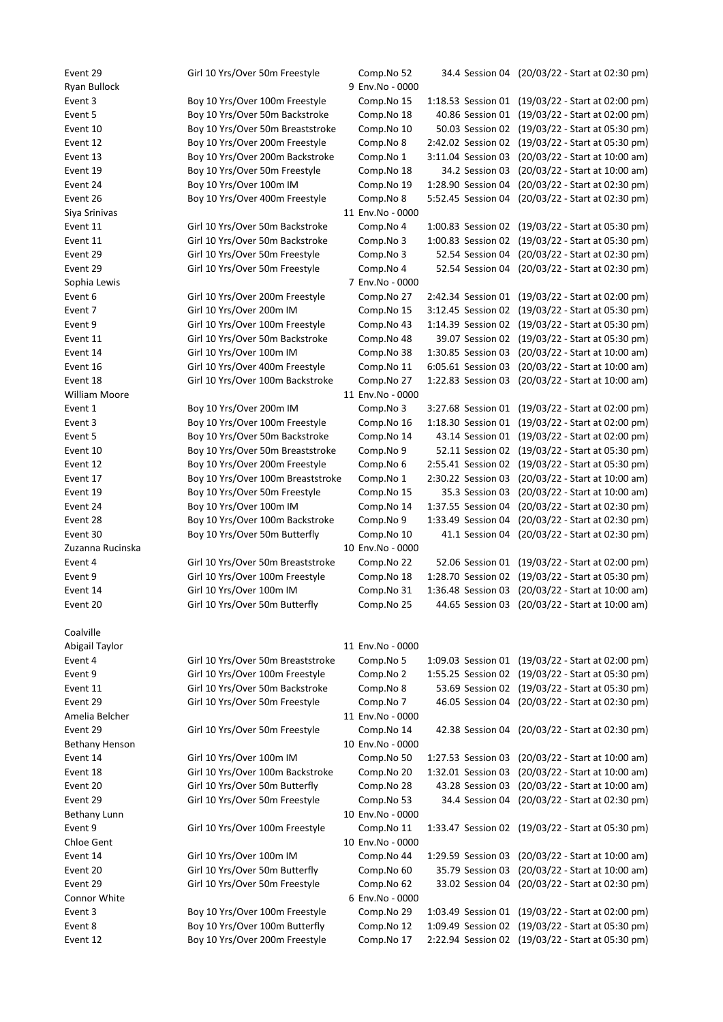Event 29 Girl 10 Yrs/Over 50m Freestyle Comp.No 52 34.4 Session 04 (20/03/22 - Start at 02:30 pm) Ryan Bullock 9 Env.No - 0000 Event 3 Boy 10 Yrs/Over 100m Freestyle Comp.No 15 1:18.53 Session 01 (19/03/22 - Start at 02:00 pm) Event 5 Boy 10 Yrs/Over 50m Backstroke Comp.No 18 40.86 Session 01 (19/03/22 - Start at 02:00 pm) Event 10 Boy 10 Yrs/Over 50m Breaststroke Comp.No 10 50.03 Session 02 (19/03/22 - Start at 05:30 pm) Event 12 Boy 10 Yrs/Over 200m Freestyle Comp.No 8 2:42.02 Session 02 (19/03/22 - Start at 05:30 pm) Event 13 Boy 10 Yrs/Over 200m Backstroke Comp.No 1 3:11.04 Session 03 (20/03/22 - Start at 10:00 am) Event 19 Boy 10 Yrs/Over 50m Freestyle Comp.No 18 34.2 Session 03 (20/03/22 - Start at 10:00 am) Event 24 Boy 10 Yrs/Over 100m IM Comp.No 19 1:28.90 Session 04 (20/03/22 - Start at 02:30 pm) Event 26 Boy 10 Yrs/Over 400m Freestyle Comp.No 8 5:52.45 Session 04 (20/03/22 - Start at 02:30 pm) Siya Srinivas 11 Env.No - 0000 Event 11 Girl 10 Yrs/Over 50m Backstroke Comp.No 4 1:00.83 Session 02 (19/03/22 - Start at 05:30 pm) Event 11 Girl 10 Yrs/Over 50m Backstroke Comp.No 3 1:00.83 Session 02 (19/03/22 - Start at 05:30 pm) Event 29 Girl 10 Yrs/Over 50m Freestyle Comp.No 3 52.54 Session 04 (20/03/22 - Start at 02:30 pm) Event 29 Girl 10 Yrs/Over 50m Freestyle Comp.No 4 52.54 Session 04 (20/03/22 - Start at 02:30 pm) Sophia Lewis 7 Env.No - 0000 Event 6 Girl 10 Yrs/Over 200m Freestyle Comp.No 27 2:42.34 Session 01 (19/03/22 - Start at 02:00 pm) Event 7 Girl 10 Yrs/Over 200m IM Comp.No 15 3:12.45 Session 02 (19/03/22 - Start at 05:30 pm) Event 9 Girl 10 Yrs/Over 100m Freestyle Comp.No 43 1:14.39 Session 02 (19/03/22 - Start at 05:30 pm) Event 11 Girl 10 Yrs/Over 50m Backstroke Comp.No 48 39.07 Session 02 (19/03/22 - Start at 05:30 pm) Event 14 Girl 10 Yrs/Over 100m IM Comp.No 38 1:30.85 Session 03 (20/03/22 - Start at 10:00 am) Event 16 Girl 10 Yrs/Over 400m Freestyle Comp.No 11 6:05.61 Session 03 (20/03/22 - Start at 10:00 am) Event 18 Girl 10 Yrs/Over 100m Backstroke Comp.No 27 1:22.83 Session 03 (20/03/22 - Start at 10:00 am) William Moore 11 Env.No - 0000 Event 1 Boy 10 Yrs/Over 200m IM Comp.No 3 3:27.68 Session 01 (19/03/22 - Start at 02:00 pm) Event 3 Boy 10 Yrs/Over 100m Freestyle Comp.No 16 1:18.30 Session 01 (19/03/22 - Start at 02:00 pm) Event 5 Boy 10 Yrs/Over 50m Backstroke Comp.No 14 43.14 Session 01 (19/03/22 - Start at 02:00 pm) Event 10 Boy 10 Yrs/Over 50m Breaststroke Comp.No 9 52.11 Session 02 (19/03/22 - Start at 05:30 pm) Event 12 Boy 10 Yrs/Over 200m Freestyle Comp.No 6 2:55.41 Session 02 (19/03/22 - Start at 05:30 pm) Event 17 Boy 10 Yrs/Over 100m Breaststroke Comp.No 1 2:30.22 Session 03 (20/03/22 - Start at 10:00 am) Event 19 Boy 10 Yrs/Over 50m Freestyle Comp.No 15 35.3 Session 03 (20/03/22 - Start at 10:00 am) Event 24 Boy 10 Yrs/Over 100m IM Comp.No 14 1:37.55 Session 04 (20/03/22 - Start at 02:30 pm) Event 28 Boy 10 Yrs/Over 100m Backstroke Comp.No 9 1:33.49 Session 04 (20/03/22 - Start at 02:30 pm) Event 30 Boy 10 Yrs/Over 50m Butterfly Comp.No 10 41.1 Session 04 (20/03/22 - Start at 02:30 pm) Zuzanna Rucinska 10 Env.No - 0000 Event 4 Girl 10 Yrs/Over 50m Breaststroke Comp.No 22 52.06 Session 01 (19/03/22 - Start at 02:00 pm) Event 9 Girl 10 Yrs/Over 100m Freestyle Comp.No 18 1:28.70 Session 02 (19/03/22 - Start at 05:30 pm) Event 14 Girl 10 Yrs/Over 100m IM Comp.No 31 1:36.48 Session 03 (20/03/22 - Start at 10:00 am) Event 20 Girl 10 Yrs/Over 50m Butterfly Comp.No 25 44.65 Session 03 (20/03/22 - Start at 10:00 am) Coalville Abigail Taylor 11 Env.No - 0000 Event 4 Girl 10 Yrs/Over 50m Breaststroke Comp.No 5 1:09.03 Session 01 (19/03/22 - Start at 02:00 pm) Event 9 Girl 10 Yrs/Over 100m Freestyle Comp.No 2 1:55.25 Session 02 (19/03/22 - Start at 05:30 pm) Event 11 Girl 10 Yrs/Over 50m Backstroke Comp.No 8 53.69 Session 02 (19/03/22 - Start at 05:30 pm) Event 29 Girl 10 Yrs/Over 50m Freestyle Comp.No 7 46.05 Session 04 (20/03/22 - Start at 02:30 pm) Amelia Belcher 11 Env.No - 0000 Event 29 Girl 10 Yrs/Over 50m Freestyle Comp.No 14 42.38 Session 04 (20/03/22 - Start at 02:30 pm) Bethany Henson 2000 and 20 Env.No - 0000 and 20 Env.No - 0000 and 20 Env.No - 0000 and 20 Env.No - 0000 and 20 Event 14 Girl 10 Yrs/Over 100m IM Comp.No 50 1:27.53 Session 03 (20/03/22 - Start at 10:00 am) Event 18 Girl 10 Yrs/Over 100m Backstroke Comp.No 20 1:32.01 Session 03 (20/03/22 - Start at 10:00 am) Event 20 Girl 10 Yrs/Over 50m Butterfly Comp.No 28 43.28 Session 03 (20/03/22 - Start at 10:00 am) Event 29 Girl 10 Yrs/Over 50m Freestyle Comp.No 53 34.4 Session 04 (20/03/22 - Start at 02:30 pm) Bethany Lunn 10 Env.No - 0000 Event 9 Girl 10 Yrs/Over 100m Freestyle Comp.No 11 1:33.47 Session 02 (19/03/22 - Start at 05:30 pm) Chloe Gent 10 Env.No - 0000 Event 14 Girl 10 Yrs/Over 100m IM Comp.No 44 1:29.59 Session 03 (20/03/22 - Start at 10:00 am) Event 20 Girl 10 Yrs/Over 50m Butterfly Comp.No 60 35.79 Session 03 (20/03/22 - Start at 10:00 am) Event 29 Girl 10 Yrs/Over 50m Freestyle Comp.No 62 33.02 Session 04 (20/03/22 - Start at 02:30 pm) Connor White 6 Env.No - 0000 Event 3 Boy 10 Yrs/Over 100m Freestyle Comp.No 29 1:03.49 Session 01 (19/03/22 - Start at 02:00 pm) Event 8 Boy 10 Yrs/Over 100m Butterfly Comp.No 12 1:09.49 Session 02 (19/03/22 - Start at 05:30 pm) Event 12 Boy 10 Yrs/Over 200m Freestyle Comp.No 17 2:22.94 Session 02 (19/03/22 - Start at 05:30 pm)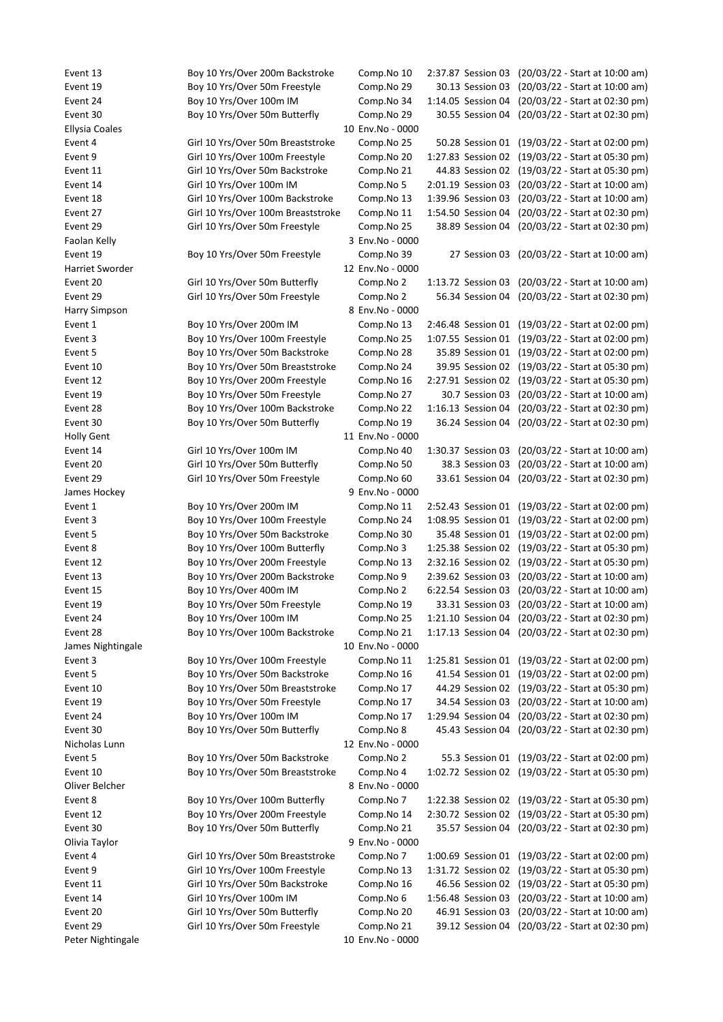Event 13 Boy 10 Yrs/Over 200m Backstroke Comp.No 10 2:37.87 Session 03 (20/03/22 - Start at 10:00 am) Event 19 Boy 10 Yrs/Over 50m Freestyle Comp.No 29 30.13 Session 03 (20/03/22 - Start at 10:00 am) Event 24 Boy 10 Yrs/Over 100m IM Comp.No 34 1:14.05 Session 04 (20/03/22 - Start at 02:30 pm) Event 30 Boy 10 Yrs/Over 50m Butterfly Comp.No 29 30.55 Session 04 (20/03/22 - Start at 02:30 pm) Ellysia Coales 10 Env.No - 0000 Event 4 Girl 10 Yrs/Over 50m Breaststroke Comp.No 25 50.28 Session 01 (19/03/22 - Start at 02:00 pm) Event 9 Girl 10 Yrs/Over 100m Freestyle Comp.No 20 1:27.83 Session 02 (19/03/22 - Start at 05:30 pm) Event 11 Girl 10 Yrs/Over 50m Backstroke Comp.No 21 44.83 Session 02 (19/03/22 - Start at 05:30 pm) Event 14 Girl 10 Yrs/Over 100m IM Comp.No 5 2:01.19 Session 03 (20/03/22 - Start at 10:00 am) Event 18 Girl 10 Yrs/Over 100m Backstroke Comp.No 13 1:39.96 Session 03 (20/03/22 - Start at 10:00 am) Event 27 Girl 10 Yrs/Over 100m Breaststroke Comp.No 11 1:54.50 Session 04 (20/03/22 - Start at 02:30 pm) Event 29 Girl 10 Yrs/Over 50m Freestyle Comp.No 25 38.89 Session 04 (20/03/22 - Start at 02:30 pm) Faolan Kelly 3 Env.No - 0000 Event 19 Boy 10 Yrs/Over 50m Freestyle Comp.No 39 27 Session 03 (20/03/22 - Start at 10:00 am) Harriet Sworder 12 Env.No - 0000 Event 20 Girl 10 Yrs/Over 50m Butterfly Comp.No 2 1:13.72 Session 03 (20/03/22 - Start at 10:00 am) Event 29 Girl 10 Yrs/Over 50m Freestyle Comp.No 2 56.34 Session 04 (20/03/22 - Start at 02:30 pm) Harry Simpson 8 Env.No - 0000 Event 1 Boy 10 Yrs/Over 200m IM Comp.No 13 2:46.48 Session 01 (19/03/22 - Start at 02:00 pm) Event 3 Boy 10 Yrs/Over 100m Freestyle Comp.No 25 1:07.55 Session 01 (19/03/22 - Start at 02:00 pm) Event 5 Boy 10 Yrs/Over 50m Backstroke Comp.No 28 35.89 Session 01 (19/03/22 - Start at 02:00 pm) Event 10 Boy 10 Yrs/Over 50m Breaststroke Comp.No 24 39.95 Session 02 (19/03/22 - Start at 05:30 pm) Event 12 Boy 10 Yrs/Over 200m Freestyle Comp.No 16 2:27.91 Session 02 (19/03/22 - Start at 05:30 pm) Event 19 Boy 10 Yrs/Over 50m Freestyle Comp.No 27 30.7 Session 03 (20/03/22 - Start at 10:00 am) Event 28 Boy 10 Yrs/Over 100m Backstroke Comp.No 22 1:16.13 Session 04 (20/03/22 - Start at 02:30 pm) Event 30 Boy 10 Yrs/Over 50m Butterfly Comp.No 19 36.24 Session 04 (20/03/22 - Start at 02:30 pm) Holly Gent 11 Env.No - 0000 Event 14 Girl 10 Yrs/Over 100m IM Comp.No 40 1:30.37 Session 03 (20/03/22 - Start at 10:00 am) Event 20 Girl 10 Yrs/Over 50m Butterfly Comp.No 50 38.3 Session 03 (20/03/22 - Start at 10:00 am) Event 29 Girl 10 Yrs/Over 50m Freestyle Comp.No 60 33.61 Session 04 (20/03/22 - Start at 02:30 pm) James Hockey **9 Env.No** - 0000 Event 1 Boy 10 Yrs/Over 200m IM Comp.No 11 2:52.43 Session 01 (19/03/22 - Start at 02:00 pm) Event 3 Boy 10 Yrs/Over 100m Freestyle Comp.No 24 1:08.95 Session 01 (19/03/22 - Start at 02:00 pm) Event 5 Boy 10 Yrs/Over 50m Backstroke Comp.No 30 35.48 Session 01 (19/03/22 - Start at 02:00 pm) Event 8 Boy 10 Yrs/Over 100m Butterfly Comp.No 3 1:25.38 Session 02 (19/03/22 - Start at 05:30 pm) Event 12 Boy 10 Yrs/Over 200m Freestyle Comp.No 13 2:32.16 Session 02 (19/03/22 - Start at 05:30 pm) Event 13 Boy 10 Yrs/Over 200m Backstroke Comp.No 9 2:39.62 Session 03 (20/03/22 - Start at 10:00 am) Event 15 Boy 10 Yrs/Over 400m IM Comp.No 2 6:22.54 Session 03 (20/03/22 - Start at 10:00 am) Event 19 Boy 10 Yrs/Over 50m Freestyle Comp.No 19 33.31 Session 03 (20/03/22 - Start at 10:00 am) Event 24 Boy 10 Yrs/Over 100m IM Comp.No 25 1:21.10 Session 04 (20/03/22 - Start at 02:30 pm) Event 28 Boy 10 Yrs/Over 100m Backstroke Comp.No 21 1:17.13 Session 04 (20/03/22 - Start at 02:30 pm) James Nightingale 10 Env.No - 0000 Event 3 Boy 10 Yrs/Over 100m Freestyle Comp.No 11 1:25.81 Session 01 (19/03/22 - Start at 02:00 pm) Event 5 Boy 10 Yrs/Over 50m Backstroke Comp.No 16 41.54 Session 01 (19/03/22 - Start at 02:00 pm) Event 10 Boy 10 Yrs/Over 50m Breaststroke Comp.No 17 44.29 Session 02 (19/03/22 - Start at 05:30 pm) Event 19 Boy 10 Yrs/Over 50m Freestyle Comp.No 17 34.54 Session 03 (20/03/22 - Start at 10:00 am) Event 24 Boy 10 Yrs/Over 100m IM Comp.No 17 1:29.94 Session 04 (20/03/22 - Start at 02:30 pm) Event 30 Boy 10 Yrs/Over 50m Butterfly Comp.No 8 45.43 Session 04 (20/03/22 - Start at 02:30 pm) Nicholas Lunn 12 Env.No - 0000 Event 5 Boy 10 Yrs/Over 50m Backstroke Comp.No 2 55.3 Session 01 (19/03/22 - Start at 02:00 pm) Event 10 Boy 10 Yrs/Over 50m Breaststroke Comp.No 4 1:02.72 Session 02 (19/03/22 - Start at 05:30 pm) Oliver Belcher 8 Env.No - 0000 Event 8 Boy 10 Yrs/Over 100m Butterfly Comp.No 7 1:22.38 Session 02 (19/03/22 - Start at 05:30 pm) Event 12 Boy 10 Yrs/Over 200m Freestyle Comp.No 14 2:30.72 Session 02 (19/03/22 - Start at 05:30 pm) Event 30 Boy 10 Yrs/Over 50m Butterfly Comp.No 21 35.57 Session 04 (20/03/22 - Start at 02:30 pm) Olivia Taylor 9 Env.No - 0000 Event 4 Girl 10 Yrs/Over 50m Breaststroke Comp.No 7 1:00.69 Session 01 (19/03/22 - Start at 02:00 pm) Event 9 Girl 10 Yrs/Over 100m Freestyle Comp.No 13 1:31.72 Session 02 (19/03/22 - Start at 05:30 pm) Event 11 Girl 10 Yrs/Over 50m Backstroke Comp.No 16 46.56 Session 02 (19/03/22 - Start at 05:30 pm) Event 14 Girl 10 Yrs/Over 100m IM Comp.No 6 1:56.48 Session 03 (20/03/22 - Start at 10:00 am) Event 20 Girl 10 Yrs/Over 50m Butterfly Comp.No 20 46.91 Session 03 (20/03/22 - Start at 10:00 am) Event 29 Girl 10 Yrs/Over 50m Freestyle Comp.No 21 39.12 Session 04 (20/03/22 - Start at 02:30 pm) Peter Nightingale 10 Env.No - 0000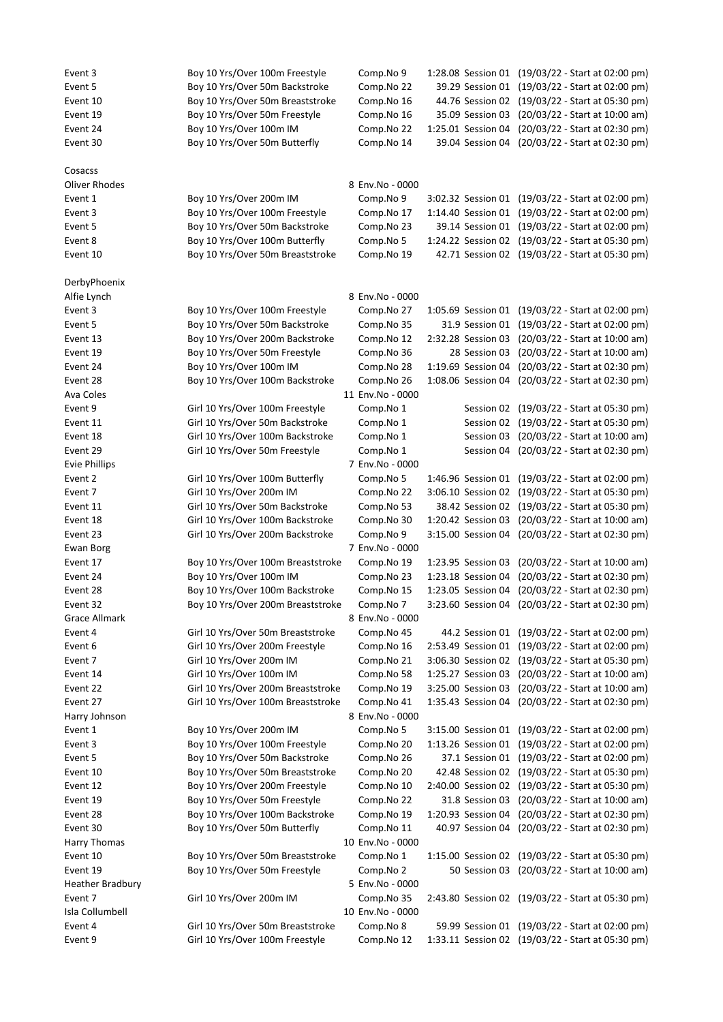| Event 3                 | Boy 10 Yrs/Over 100m Freestyle     | Comp.No 9        | 1:28.08 Session 01 | (19/03/22 - Start at 02:00 pm)                    |
|-------------------------|------------------------------------|------------------|--------------------|---------------------------------------------------|
| Event 5                 | Boy 10 Yrs/Over 50m Backstroke     | Comp.No 22       | 39.29 Session 01   | (19/03/22 - Start at 02:00 pm)                    |
| Event 10                | Boy 10 Yrs/Over 50m Breaststroke   | Comp.No 16       |                    | 44.76 Session 02 (19/03/22 - Start at 05:30 pm)   |
| Event 19                | Boy 10 Yrs/Over 50m Freestyle      | Comp.No 16       | 35.09 Session 03   | (20/03/22 - Start at 10:00 am)                    |
| Event 24                | Boy 10 Yrs/Over 100m IM            | Comp.No 22       | 1:25.01 Session 04 | (20/03/22 - Start at 02:30 pm)                    |
| Event 30                | Boy 10 Yrs/Over 50m Butterfly      | Comp.No 14       | 39.04 Session 04   | (20/03/22 - Start at 02:30 pm)                    |
| Cosacss                 |                                    |                  |                    |                                                   |
| Oliver Rhodes           |                                    | 8 Env.No - 0000  |                    |                                                   |
| Event 1                 | Boy 10 Yrs/Over 200m IM            | Comp.No 9        |                    | 3:02.32 Session 01 (19/03/22 - Start at 02:00 pm) |
| Event 3                 | Boy 10 Yrs/Over 100m Freestyle     | Comp.No 17       |                    | 1:14.40 Session 01 (19/03/22 - Start at 02:00 pm) |
| Event 5                 | Boy 10 Yrs/Over 50m Backstroke     | Comp.No 23       | 39.14 Session 01   | (19/03/22 - Start at 02:00 pm)                    |
| Event 8                 | Boy 10 Yrs/Over 100m Butterfly     | Comp.No 5        | 1:24.22 Session 02 | (19/03/22 - Start at 05:30 pm)                    |
| Event 10                | Boy 10 Yrs/Over 50m Breaststroke   | Comp.No 19       |                    | 42.71 Session 02 (19/03/22 - Start at 05:30 pm)   |
|                         |                                    |                  |                    |                                                   |
| DerbyPhoenix            |                                    |                  |                    |                                                   |
| Alfie Lynch             |                                    | 8 Env.No - 0000  |                    |                                                   |
| Event 3                 | Boy 10 Yrs/Over 100m Freestyle     | Comp.No 27       | 1:05.69 Session 01 | (19/03/22 - Start at 02:00 pm)                    |
| Event 5                 | Boy 10 Yrs/Over 50m Backstroke     | Comp.No 35       | 31.9 Session 01    | (19/03/22 - Start at 02:00 pm)                    |
| Event 13                | Boy 10 Yrs/Over 200m Backstroke    | Comp.No 12       | 2:32.28 Session 03 | (20/03/22 - Start at 10:00 am)                    |
| Event 19                | Boy 10 Yrs/Over 50m Freestyle      | Comp.No 36       | 28 Session 03      | (20/03/22 - Start at 10:00 am)                    |
| Event 24                | Boy 10 Yrs/Over 100m IM            | Comp.No 28       | 1:19.69 Session 04 | (20/03/22 - Start at 02:30 pm)                    |
| Event 28                | Boy 10 Yrs/Over 100m Backstroke    | Comp.No 26       | 1:08.06 Session 04 | (20/03/22 - Start at 02:30 pm)                    |
| Ava Coles               |                                    | 11 Env.No - 0000 |                    |                                                   |
| Event 9                 | Girl 10 Yrs/Over 100m Freestyle    | Comp.No 1        | Session 02         | (19/03/22 - Start at 05:30 pm)                    |
| Event 11                | Girl 10 Yrs/Over 50m Backstroke    | Comp.No 1        | Session 02         | (19/03/22 - Start at 05:30 pm)                    |
| Event 18                | Girl 10 Yrs/Over 100m Backstroke   | Comp.No 1        | Session 03         | (20/03/22 - Start at 10:00 am)                    |
| Event 29                | Girl 10 Yrs/Over 50m Freestyle     | Comp.No 1        | Session 04         | (20/03/22 - Start at 02:30 pm)                    |
| <b>Evie Phillips</b>    |                                    | 7 Env.No - 0000  |                    |                                                   |
| Event 2                 | Girl 10 Yrs/Over 100m Butterfly    | Comp.No 5        | 1:46.96 Session 01 | (19/03/22 - Start at 02:00 pm)                    |
| Event 7                 | Girl 10 Yrs/Over 200m IM           | Comp.No 22       | 3:06.10 Session 02 | (19/03/22 - Start at 05:30 pm)                    |
| Event 11                | Girl 10 Yrs/Over 50m Backstroke    | Comp.No 53       | 38.42 Session 02   | (19/03/22 - Start at 05:30 pm)                    |
| Event 18                | Girl 10 Yrs/Over 100m Backstroke   | Comp.No 30       | 1:20.42 Session 03 | (20/03/22 - Start at 10:00 am)                    |
| Event 23                | Girl 10 Yrs/Over 200m Backstroke   | Comp.No 9        | 3:15.00 Session 04 | (20/03/22 - Start at 02:30 pm)                    |
| Ewan Borg               |                                    | 7 Env.No - 0000  |                    |                                                   |
| Event 17                | Boy 10 Yrs/Over 100m Breaststroke  | Comp.No 19       | 1:23.95 Session 03 | (20/03/22 - Start at 10:00 am)                    |
| Event 24                | Boy 10 Yrs/Over 100m IM            | Comp.No 23       | 1:23.18 Session 04 | (20/03/22 - Start at 02:30 pm)                    |
| Event 28                | Boy 10 Yrs/Over 100m Backstroke    | Comp.No 15       | 1:23.05 Session 04 | (20/03/22 - Start at 02:30 pm)                    |
| Event 32                | Boy 10 Yrs/Over 200m Breaststroke  | Comp.No 7        | 3:23.60 Session 04 | (20/03/22 - Start at 02:30 pm)                    |
| <b>Grace Allmark</b>    |                                    | 8 Env.No - 0000  |                    |                                                   |
| Event 4                 | Girl 10 Yrs/Over 50m Breaststroke  | Comp.No 45       |                    | 44.2 Session 01 (19/03/22 - Start at 02:00 pm)    |
| Event 6                 | Girl 10 Yrs/Over 200m Freestyle    | Comp.No 16       | 2:53.49 Session 01 | (19/03/22 - Start at 02:00 pm)                    |
| Event 7                 | Girl 10 Yrs/Over 200m IM           | Comp.No 21       | 3:06.30 Session 02 | (19/03/22 - Start at 05:30 pm)                    |
| Event 14                | Girl 10 Yrs/Over 100m IM           | Comp.No 58       | 1:25.27 Session 03 | (20/03/22 - Start at 10:00 am)                    |
| Event 22                | Girl 10 Yrs/Over 200m Breaststroke | Comp.No 19       | 3:25.00 Session 03 | (20/03/22 - Start at 10:00 am)                    |
| Event 27                | Girl 10 Yrs/Over 100m Breaststroke | Comp.No 41       | 1:35.43 Session 04 | (20/03/22 - Start at 02:30 pm)                    |
| Harry Johnson           |                                    | 8 Env.No - 0000  |                    |                                                   |
| Event 1                 | Boy 10 Yrs/Over 200m IM            | Comp.No 5        |                    | 3:15.00 Session 01 (19/03/22 - Start at 02:00 pm) |
| Event 3                 | Boy 10 Yrs/Over 100m Freestyle     | Comp.No 20       | 1:13.26 Session 01 | (19/03/22 - Start at 02:00 pm)                    |
| Event 5                 | Boy 10 Yrs/Over 50m Backstroke     | Comp.No 26       |                    | 37.1 Session 01 (19/03/22 - Start at 02:00 pm)    |
| Event 10                | Boy 10 Yrs/Over 50m Breaststroke   | Comp.No 20       | 42.48 Session 02   | (19/03/22 - Start at 05:30 pm)                    |
| Event 12                | Boy 10 Yrs/Over 200m Freestyle     | Comp.No 10       | 2:40.00 Session 02 | (19/03/22 - Start at 05:30 pm)                    |
| Event 19                | Boy 10 Yrs/Over 50m Freestyle      | Comp.No 22       | 31.8 Session 03    | (20/03/22 - Start at 10:00 am)                    |
| Event 28                | Boy 10 Yrs/Over 100m Backstroke    | Comp.No 19       | 1:20.93 Session 04 | (20/03/22 - Start at 02:30 pm)                    |
| Event 30                | Boy 10 Yrs/Over 50m Butterfly      | Comp.No 11       | 40.97 Session 04   | (20/03/22 - Start at 02:30 pm)                    |
| Harry Thomas            |                                    | 10 Env.No - 0000 |                    |                                                   |
| Event 10                | Boy 10 Yrs/Over 50m Breaststroke   | Comp.No 1        |                    | 1:15.00 Session 02 (19/03/22 - Start at 05:30 pm) |
| Event 19                | Boy 10 Yrs/Over 50m Freestyle      | Comp.No 2        |                    | 50 Session 03 (20/03/22 - Start at 10:00 am)      |
| <b>Heather Bradbury</b> |                                    | 5 Env.No - 0000  |                    |                                                   |
| Event 7                 | Girl 10 Yrs/Over 200m IM           | Comp.No 35       |                    | 2:43.80 Session 02 (19/03/22 - Start at 05:30 pm) |
| Isla Collumbell         |                                    | 10 Env.No - 0000 |                    |                                                   |
| Event 4                 | Girl 10 Yrs/Over 50m Breaststroke  | Comp.No 8        |                    | 59.99 Session 01 (19/03/22 - Start at 02:00 pm)   |
| Event 9                 | Girl 10 Yrs/Over 100m Freestyle    | Comp.No 12       |                    | 1:33.11 Session 02 (19/03/22 - Start at 05:30 pm) |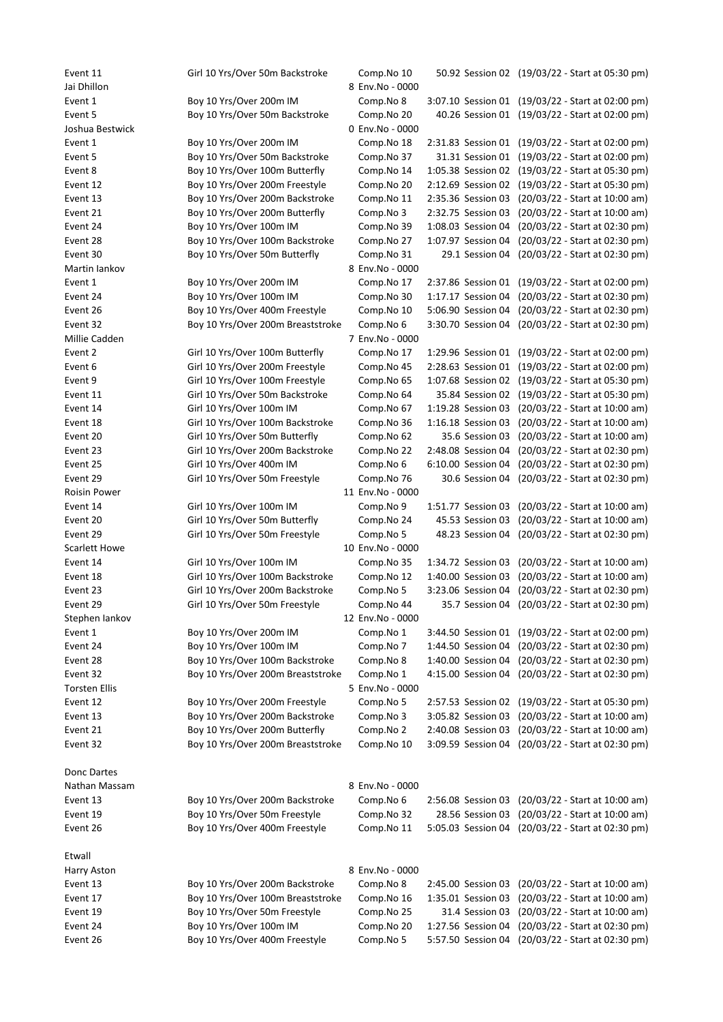Event 11 Girl 10 Yrs/Over 50m Backstroke Comp.No 10 50.92 Session 02 (19/03/22 - Start at 05:30 pm) Jai Dhillon 8 Env.No - 0000 Event 1 Boy 10 Yrs/Over 200m IM Comp.No 8 3:07.10 Session 01 (19/03/22 - Start at 02:00 pm) Event 5 Boy 10 Yrs/Over 50m Backstroke Comp.No 20 40.26 Session 01 (19/03/22 - Start at 02:00 pm) Joshua Bestwick 0 Env.No - 0000 Event 1 Boy 10 Yrs/Over 200m IM Comp.No 18 2:31.83 Session 01 (19/03/22 - Start at 02:00 pm) Event 5 Boy 10 Yrs/Over 50m Backstroke Comp.No 37 31.31 Session 01 (19/03/22 - Start at 02:00 pm) Event 8 Boy 10 Yrs/Over 100m Butterfly Comp.No 14 1:05.38 Session 02 (19/03/22 - Start at 05:30 pm) Event 12 Boy 10 Yrs/Over 200m Freestyle Comp.No 20 2:12.69 Session 02 (19/03/22 - Start at 05:30 pm) Event 13 Boy 10 Yrs/Over 200m Backstroke Comp.No 11 2:35.36 Session 03 (20/03/22 - Start at 10:00 am) Event 21 Boy 10 Yrs/Over 200m Butterfly Comp.No 3 2:32.75 Session 03 (20/03/22 - Start at 10:00 am) Event 24 Boy 10 Yrs/Over 100m IM Comp.No 39 1:08.03 Session 04 (20/03/22 - Start at 02:30 pm) Event 28 Boy 10 Yrs/Over 100m Backstroke Comp.No 27 1:07.97 Session 04 (20/03/22 - Start at 02:30 pm) Event 30 Boy 10 Yrs/Over 50m Butterfly Comp.No 31 29.1 Session 04 (20/03/22 - Start at 02:30 pm) Martin Iankov 8 Env.No - 0000 Event 1 Boy 10 Yrs/Over 200m IM Comp.No 17 2:37.86 Session 01 (19/03/22 - Start at 02:00 pm) Event 24 Boy 10 Yrs/Over 100m IM Comp.No 30 1:17.17 Session 04 (20/03/22 - Start at 02:30 pm) Event 26 Boy 10 Yrs/Over 400m Freestyle Comp.No 10 5:06.90 Session 04 (20/03/22 - Start at 02:30 pm) Event 32 Boy 10 Yrs/Over 200m Breaststroke Comp.No 6 3:30.70 Session 04 (20/03/22 - Start at 02:30 pm) Millie Cadden 7 Env.No - 0000 Event 2 Girl 10 Yrs/Over 100m Butterfly Comp.No 17 1:29.96 Session 01 (19/03/22 - Start at 02:00 pm) Event 6 Girl 10 Yrs/Over 200m Freestyle Comp.No 45 2:28.63 Session 01 (19/03/22 - Start at 02:00 pm) Event 9 Girl 10 Yrs/Over 100m Freestyle Comp.No 65 1:07.68 Session 02 (19/03/22 - Start at 05:30 pm) Event 11 Girl 10 Yrs/Over 50m Backstroke Comp.No 64 35.84 Session 02 (19/03/22 - Start at 05:30 pm) Event 14 Girl 10 Yrs/Over 100m IM Comp.No 67 1:19.28 Session 03 (20/03/22 - Start at 10:00 am) Event 18 Girl 10 Yrs/Over 100m Backstroke Comp.No 36 1:16.18 Session 03 (20/03/22 - Start at 10:00 am) Event 20 Girl 10 Yrs/Over 50m Butterfly Comp.No 62 35.6 Session 03 (20/03/22 - Start at 10:00 am) Event 23 Girl 10 Yrs/Over 200m Backstroke Comp.No 22 2:48.08 Session 04 (20/03/22 - Start at 02:30 pm) Event 25 Girl 10 Yrs/Over 400m IM Comp.No 6 6:10.00 Session 04 (20/03/22 - Start at 02:30 pm) Event 29 Girl 10 Yrs/Over 50m Freestyle Comp.No 76 30.6 Session 04 (20/03/22 - Start at 02:30 pm) Roisin Power 2000 11 Env.No - 0000 Event 14 Girl 10 Yrs/Over 100m IM Comp.No 9 1:51.77 Session 03 (20/03/22 - Start at 10:00 am) Event 20 Girl 10 Yrs/Over 50m Butterfly Comp.No 24 45.53 Session 03 (20/03/22 - Start at 10:00 am) Event 29 Girl 10 Yrs/Over 50m Freestyle Comp.No 5 48.23 Session 04 (20/03/22 - Start at 02:30 pm) Scarlett Howe 10 Env.No - 0000 Event 14 Girl 10 Yrs/Over 100m IM Comp.No 35 1:34.72 Session 03 (20/03/22 - Start at 10:00 am) Event 18 Girl 10 Yrs/Over 100m Backstroke Comp.No 12 1:40.00 Session 03 (20/03/22 - Start at 10:00 am) Event 23 Girl 10 Yrs/Over 200m Backstroke Comp.No 5 3:23.06 Session 04 (20/03/22 - Start at 02:30 pm) Event 29 Girl 10 Yrs/Over 50m Freestyle Comp.No 44 35.7 Session 04 (20/03/22 - Start at 02:30 pm) Stephen Iankov 12 Env.No - 0000 Event 1 Boy 10 Yrs/Over 200m IM Comp.No 1 3:44.50 Session 01 (19/03/22 - Start at 02:00 pm) Event 24 Boy 10 Yrs/Over 100m IM Comp.No 7 1:44.50 Session 04 (20/03/22 - Start at 02:30 pm) Event 28 Boy 10 Yrs/Over 100m Backstroke Comp.No 8 1:40.00 Session 04 (20/03/22 - Start at 02:30 pm) Event 32 Boy 10 Yrs/Over 200m Breaststroke Comp.No 1 4:15.00 Session 04 (20/03/22 - Start at 02:30 pm) Torsten Ellis **1988 1988 1988 1988 1988 1988 1988 1988 1988 1988 1988 1988 1988 1988 1988 1988 1988 1988 1988 1988 1988 1988 1988 1988 1988 1988 1988 1988 1988 1988** Event 12 Boy 10 Yrs/Over 200m Freestyle Comp.No 5 2:57.53 Session 02 (19/03/22 - Start at 05:30 pm) Event 13 Boy 10 Yrs/Over 200m Backstroke Comp.No 3 3:05.82 Session 03 (20/03/22 - Start at 10:00 am) Event 21 Boy 10 Yrs/Over 200m Butterfly Comp.No 2 2:40.08 Session 03 (20/03/22 - Start at 10:00 am) Event 32 Boy 10 Yrs/Over 200m Breaststroke Comp.No 10 3:09.59 Session 04 (20/03/22 - Start at 02:30 pm) Donc Dartes Nathan Massam 8 Env.No - 0000 Event 13 Boy 10 Yrs/Over 200m Backstroke Comp.No 6 2:56.08 Session 03 (20/03/22 - Start at 10:00 am) Event 19 Boy 10 Yrs/Over 50m Freestyle Comp.No 32 28.56 Session 03 (20/03/22 - Start at 10:00 am) Event 26 Boy 10 Yrs/Over 400m Freestyle Comp.No 11 5:05.03 Session 04 (20/03/22 - Start at 02:30 pm) Etwall Harry Aston 8 Env.No - 0000 Event 13 Boy 10 Yrs/Over 200m Backstroke Comp.No 8 2:45.00 Session 03 (20/03/22 - Start at 10:00 am) Event 17 Boy 10 Yrs/Over 100m Breaststroke Comp.No 16 1:35.01 Session 03 (20/03/22 - Start at 10:00 am) Event 19 Boy 10 Yrs/Over 50m Freestyle Comp.No 25 31.4 Session 03 (20/03/22 - Start at 10:00 am) Event 24 Boy 10 Yrs/Over 100m IM Comp.No 20 1:27.56 Session 04 (20/03/22 - Start at 02:30 pm) Event 26 Boy 10 Yrs/Over 400m Freestyle Comp.No 5 5:57.50 Session 04 (20/03/22 - Start at 02:30 pm)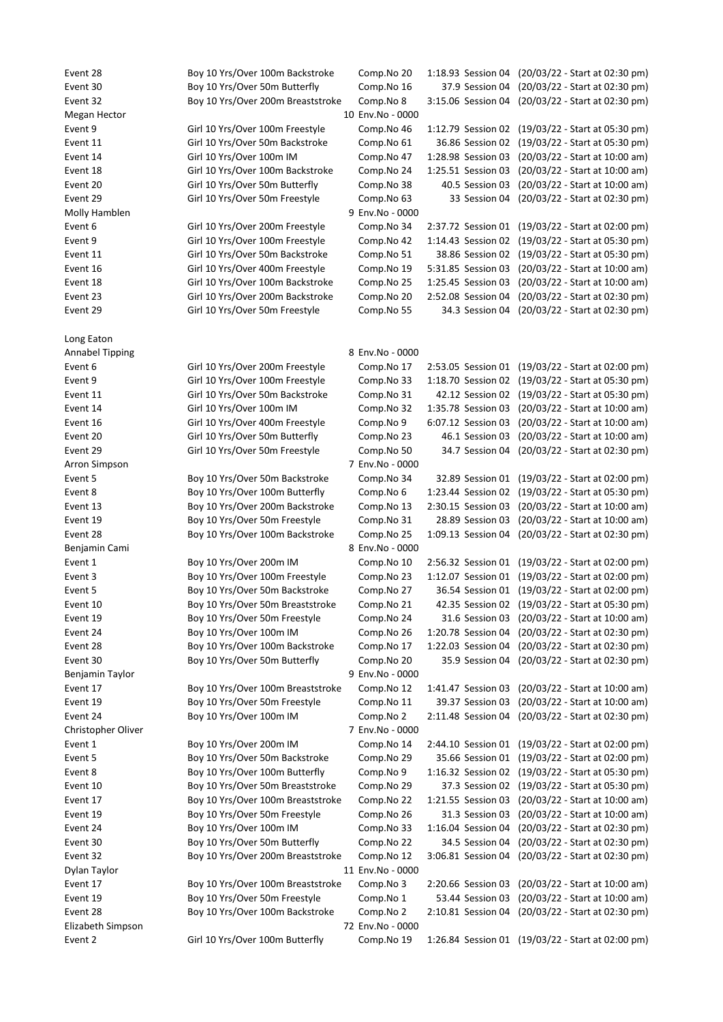Event 28 Boy 10 Yrs/Over 100m Backstroke Comp.No 20 1:18.93 Session 04 (20/03/22 - Start at 02:30 pm) Event 30 Boy 10 Yrs/Over 50m Butterfly Comp.No 16 37.9 Session 04 (20/03/22 - Start at 02:30 pm) Event 32 Boy 10 Yrs/Over 200m Breaststroke Comp.No 8 3:15.06 Session 04 (20/03/22 - Start at 02:30 pm) Megan Hector 10 Env.No - 0000 Event 9 Girl 10 Yrs/Over 100m Freestyle Comp.No 46 1:12.79 Session 02 (19/03/22 - Start at 05:30 pm) Event 11 Girl 10 Yrs/Over 50m Backstroke Comp.No 61 36.86 Session 02 (19/03/22 - Start at 05:30 pm) Event 14 Girl 10 Yrs/Over 100m IM Comp.No 47 1:28.98 Session 03 (20/03/22 - Start at 10:00 am) Event 18 Girl 10 Yrs/Over 100m Backstroke Comp.No 24 1:25.51 Session 03 (20/03/22 - Start at 10:00 am) Event 20 Girl 10 Yrs/Over 50m Butterfly Comp.No 38 40.5 Session 03 (20/03/22 - Start at 10:00 am) Event 29 Girl 10 Yrs/Over 50m Freestyle Comp.No 63 33 Session 04 (20/03/22 - Start at 02:30 pm) Molly Hamblen 9 Env.No - 0000 Event 6 Girl 10 Yrs/Over 200m Freestyle Comp.No 34 2:37.72 Session 01 (19/03/22 - Start at 02:00 pm) Event 9 Girl 10 Yrs/Over 100m Freestyle Comp.No 42 1:14.43 Session 02 (19/03/22 - Start at 05:30 pm) Event 11 Girl 10 Yrs/Over 50m Backstroke Comp.No 51 38.86 Session 02 (19/03/22 - Start at 05:30 pm) Event 16 Girl 10 Yrs/Over 400m Freestyle Comp.No 19 5:31.85 Session 03 (20/03/22 - Start at 10:00 am) Event 18 Girl 10 Yrs/Over 100m Backstroke Comp.No 25 1:25.45 Session 03 (20/03/22 - Start at 10:00 am) Event 23 Girl 10 Yrs/Over 200m Backstroke Comp.No 20 2:52.08 Session 04 (20/03/22 - Start at 02:30 pm) Event 29 Girl 10 Yrs/Over 50m Freestyle Comp.No 55 34.3 Session 04 (20/03/22 - Start at 02:30 pm) Long Eaton Annabel Tipping **8 Env.No** - 0000 Event 6 Girl 10 Yrs/Over 200m Freestyle Comp.No 17 2:53.05 Session 01 (19/03/22 - Start at 02:00 pm) Event 9 Girl 10 Yrs/Over 100m Freestyle Comp.No 33 1:18.70 Session 02 (19/03/22 - Start at 05:30 pm) Event 11 Girl 10 Yrs/Over 50m Backstroke Comp.No 31 42.12 Session 02 (19/03/22 - Start at 05:30 pm) Event 14 Girl 10 Yrs/Over 100m IM Comp.No 32 1:35.78 Session 03 (20/03/22 - Start at 10:00 am) Event 16 Girl 10 Yrs/Over 400m Freestyle Comp.No 9 6:07.12 Session 03 (20/03/22 - Start at 10:00 am) Event 20 Girl 10 Yrs/Over 50m Butterfly Comp.No 23 46.1 Session 03 (20/03/22 - Start at 10:00 am) Event 29 Girl 10 Yrs/Over 50m Freestyle Comp.No 50 34.7 Session 04 (20/03/22 - Start at 02:30 pm) Arron Simpson 7 Env.No - 0000 Event 5 Boy 10 Yrs/Over 50m Backstroke Comp.No 34 32.89 Session 01 (19/03/22 - Start at 02:00 pm) Event 8 Boy 10 Yrs/Over 100m Butterfly Comp.No 6 1:23.44 Session 02 (19/03/22 - Start at 05:30 pm) Event 13 Boy 10 Yrs/Over 200m Backstroke Comp.No 13 2:30.15 Session 03 (20/03/22 - Start at 10:00 am) Event 19 Boy 10 Yrs/Over 50m Freestyle Comp.No 31 28.89 Session 03 (20/03/22 - Start at 10:00 am) Event 28 Boy 10 Yrs/Over 100m Backstroke Comp.No 25 1:09.13 Session 04 (20/03/22 - Start at 02:30 pm) Benjamin Cami 8 Env.No - 0000 Event 1 Boy 10 Yrs/Over 200m IM Comp.No 10 2:56.32 Session 01 (19/03/22 - Start at 02:00 pm) Event 3 Boy 10 Yrs/Over 100m Freestyle Comp.No 23 1:12.07 Session 01 (19/03/22 - Start at 02:00 pm) Event 5 Boy 10 Yrs/Over 50m Backstroke Comp.No 27 36.54 Session 01 (19/03/22 - Start at 02:00 pm) Event 10 Boy 10 Yrs/Over 50m Breaststroke Comp.No 21 42.35 Session 02 (19/03/22 - Start at 05:30 pm) Event 19 Boy 10 Yrs/Over 50m Freestyle Comp.No 24 31.6 Session 03 (20/03/22 - Start at 10:00 am) Event 24 Boy 10 Yrs/Over 100m IM Comp.No 26 1:20.78 Session 04 (20/03/22 - Start at 02:30 pm) Event 28 Boy 10 Yrs/Over 100m Backstroke Comp.No 17 1:22.03 Session 04 (20/03/22 - Start at 02:30 pm) Event 30 Boy 10 Yrs/Over 50m Butterfly Comp.No 20 35.9 Session 04 (20/03/22 - Start at 02:30 pm) Benjamin Taylor **9 Env.No** - 0000 Event 17 Boy 10 Yrs/Over 100m Breaststroke Comp.No 12 1:41.47 Session 03 (20/03/22 - Start at 10:00 am) Event 19 Boy 10 Yrs/Over 50m Freestyle Comp.No 11 39.37 Session 03 (20/03/22 - Start at 10:00 am) Event 24 Boy 10 Yrs/Over 100m IM Comp.No 2 2:11.48 Session 04 (20/03/22 - Start at 02:30 pm) Christopher Oliver 7 Env.No - 0000 Event 1 Boy 10 Yrs/Over 200m IM Comp.No 14 2:44.10 Session 01 (19/03/22 - Start at 02:00 pm) Event 5 Boy 10 Yrs/Over 50m Backstroke Comp.No 29 35.66 Session 01 (19/03/22 - Start at 02:00 pm) Event 8 Boy 10 Yrs/Over 100m Butterfly Comp.No 9 1:16.32 Session 02 (19/03/22 - Start at 05:30 pm) Event 10 Boy 10 Yrs/Over 50m Breaststroke Comp.No 29 37.3 Session 02 (19/03/22 - Start at 05:30 pm) Event 17 Boy 10 Yrs/Over 100m Breaststroke Comp.No 22 1:21.55 Session 03 (20/03/22 - Start at 10:00 am) Event 19 Boy 10 Yrs/Over 50m Freestyle Comp.No 26 31.3 Session 03 (20/03/22 - Start at 10:00 am) Event 24 Boy 10 Yrs/Over 100m IM Comp.No 33 1:16.04 Session 04 (20/03/22 - Start at 02:30 pm) Event 30 Boy 10 Yrs/Over 50m Butterfly Comp.No 22 34.5 Session 04 (20/03/22 - Start at 02:30 pm) Event 32 Boy 10 Yrs/Over 200m Breaststroke Comp.No 12 3:06.81 Session 04 (20/03/22 - Start at 02:30 pm) Dylan Taylor 11 Env.No - 0000 Event 17 Boy 10 Yrs/Over 100m Breaststroke Comp.No 3 2:20.66 Session 03 (20/03/22 - Start at 10:00 am) Event 19 Boy 10 Yrs/Over 50m Freestyle Comp.No 1 53.44 Session 03 (20/03/22 - Start at 10:00 am) Event 28 Boy 10 Yrs/Over 100m Backstroke Comp.No 2 2:10.81 Session 04 (20/03/22 - Start at 02:30 pm) Elizabeth Simpson 72 Env.No - 0000 Event 2 Girl 10 Yrs/Over 100m Butterfly Comp.No 19 1:26.84 Session 01 (19/03/22 - Start at 02:00 pm)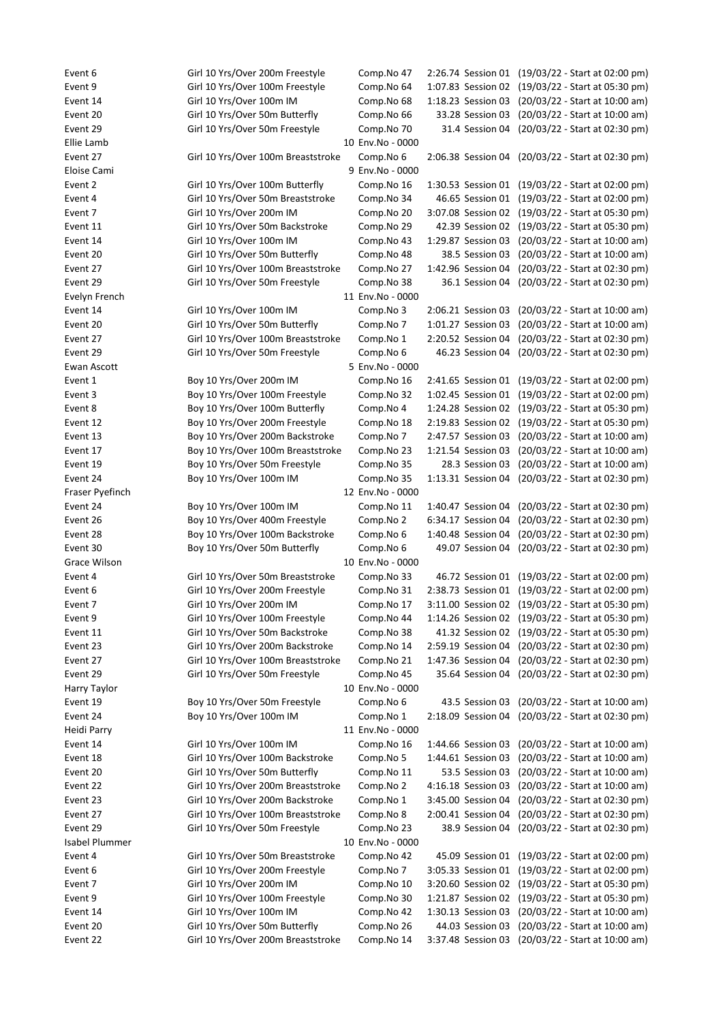Event 6 Girl 10 Yrs/Over 200m Freestyle Comp.No 47 2:26.74 Session 01 (19/03/22 - Start at 02:00 pm) Event 9 Girl 10 Yrs/Over 100m Freestyle Comp.No 64 1:07.83 Session 02 (19/03/22 - Start at 05:30 pm) Event 14 Girl 10 Yrs/Over 100m IM Comp.No 68 1:18.23 Session 03 (20/03/22 - Start at 10:00 am) Event 20 Girl 10 Yrs/Over 50m Butterfly Comp.No 66 33.28 Session 03 (20/03/22 - Start at 10:00 am) Event 29 Girl 10 Yrs/Over 50m Freestyle Comp.No 70 31.4 Session 04 (20/03/22 - Start at 02:30 pm) Ellie Lamb 10 Env.No - 0000 Event 27 Girl 10 Yrs/Over 100m Breaststroke Comp.No 6 2:06.38 Session 04 (20/03/22 - Start at 02:30 pm) Eloise Cami 9 Env.No - 0000 Event 2 Girl 10 Yrs/Over 100m Butterfly Comp.No 16 1:30.53 Session 01 (19/03/22 - Start at 02:00 pm) Event 4 Girl 10 Yrs/Over 50m Breaststroke Comp.No 34 46.65 Session 01 (19/03/22 - Start at 02:00 pm) Event 7 Girl 10 Yrs/Over 200m IM Comp.No 20 3:07.08 Session 02 (19/03/22 - Start at 05:30 pm) Event 11 Girl 10 Yrs/Over 50m Backstroke Comp.No 29 42.39 Session 02 (19/03/22 - Start at 05:30 pm) Event 14 Girl 10 Yrs/Over 100m IM Comp.No 43 1:29.87 Session 03 (20/03/22 - Start at 10:00 am) Event 20 Girl 10 Yrs/Over 50m Butterfly Comp.No 48 38.5 Session 03 (20/03/22 - Start at 10:00 am) Event 27 Girl 10 Yrs/Over 100m Breaststroke Comp.No 27 1:42.96 Session 04 (20/03/22 - Start at 02:30 pm) Event 29 Girl 10 Yrs/Over 50m Freestyle Comp.No 38 36.1 Session 04 (20/03/22 - Start at 02:30 pm) Evelyn French 11 Env.No - 0000 Event 14 Girl 10 Yrs/Over 100m IM Comp.No 3 2:06.21 Session 03 (20/03/22 - Start at 10:00 am) Event 20 Girl 10 Yrs/Over 50m Butterfly Comp.No 7 1:01.27 Session 03 (20/03/22 - Start at 10:00 am) Event 27 Girl 10 Yrs/Over 100m Breaststroke Comp.No 1 2:20.52 Session 04 (20/03/22 - Start at 02:30 pm) Event 29 Girl 10 Yrs/Over 50m Freestyle Comp.No 6 46.23 Session 04 (20/03/22 - Start at 02:30 pm) Ewan Ascott 5 Env.No - 0000 Event 1 Boy 10 Yrs/Over 200m IM Comp.No 16 2:41.65 Session 01 (19/03/22 - Start at 02:00 pm) Event 3 Boy 10 Yrs/Over 100m Freestyle Comp.No 32 1:02.45 Session 01 (19/03/22 - Start at 02:00 pm) Event 8 Boy 10 Yrs/Over 100m Butterfly Comp.No 4 1:24.28 Session 02 (19/03/22 - Start at 05:30 pm) Event 12 Boy 10 Yrs/Over 200m Freestyle Comp.No 18 2:19.83 Session 02 (19/03/22 - Start at 05:30 pm) Event 13 Boy 10 Yrs/Over 200m Backstroke Comp.No 7 2:47.57 Session 03 (20/03/22 - Start at 10:00 am) Event 17 Boy 10 Yrs/Over 100m Breaststroke Comp.No 23 1:21.54 Session 03 (20/03/22 - Start at 10:00 am) Event 19 Boy 10 Yrs/Over 50m Freestyle Comp.No 35 28.3 Session 03 (20/03/22 - Start at 10:00 am) Event 24 Boy 10 Yrs/Over 100m IM Comp.No 35 1:13.31 Session 04 (20/03/22 - Start at 02:30 pm) Fraser Pyefinch 12 Env.No - 0000 Event 24 Boy 10 Yrs/Over 100m IM Comp.No 11 1:40.47 Session 04 (20/03/22 - Start at 02:30 pm) Event 26 Boy 10 Yrs/Over 400m Freestyle Comp.No 2 6:34.17 Session 04 (20/03/22 - Start at 02:30 pm) Event 28 Boy 10 Yrs/Over 100m Backstroke Comp.No 6 1:40.48 Session 04 (20/03/22 - Start at 02:30 pm) Event 30 Boy 10 Yrs/Over 50m Butterfly Comp.No 6 49.07 Session 04 (20/03/22 - Start at 02:30 pm) Grace Wilson **10 Env.No** - 0000 Event 4 Girl 10 Yrs/Over 50m Breaststroke Comp.No 33 46.72 Session 01 (19/03/22 - Start at 02:00 pm) Event 6 Girl 10 Yrs/Over 200m Freestyle Comp.No 31 2:38.73 Session 01 (19/03/22 - Start at 02:00 pm) Event 7 Girl 10 Yrs/Over 200m IM Comp.No 17 3:11.00 Session 02 (19/03/22 - Start at 05:30 pm) Event 9 Girl 10 Yrs/Over 100m Freestyle Comp.No 44 1:14.26 Session 02 (19/03/22 - Start at 05:30 pm) Event 11 Girl 10 Yrs/Over 50m Backstroke Comp.No 38 41.32 Session 02 (19/03/22 - Start at 05:30 pm) Event 23 Girl 10 Yrs/Over 200m Backstroke Comp.No 14 2:59.19 Session 04 (20/03/22 - Start at 02:30 pm) Event 27 Girl 10 Yrs/Over 100m Breaststroke Comp.No 21 1:47.36 Session 04 (20/03/22 - Start at 02:30 pm) Event 29 Girl 10 Yrs/Over 50m Freestyle Comp.No 45 35.64 Session 04 (20/03/22 - Start at 02:30 pm) Harry Taylor 10 Env.No - 0000 Event 19 Boy 10 Yrs/Over 50m Freestyle Comp.No 6 43.5 Session 03 (20/03/22 - Start at 10:00 am) Event 24 Boy 10 Yrs/Over 100m IM Comp.No 1 2:18.09 Session 04 (20/03/22 - Start at 02:30 pm) Heidi Parry 11 Env.No - 0000 Event 14 Girl 10 Yrs/Over 100m IM Comp.No 16 1:44.66 Session 03 (20/03/22 - Start at 10:00 am) Event 18 Girl 10 Yrs/Over 100m Backstroke Comp.No 5 1:44.61 Session 03 (20/03/22 - Start at 10:00 am) Event 20 Girl 10 Yrs/Over 50m Butterfly Comp.No 11 53.5 Session 03 (20/03/22 - Start at 10:00 am) Event 22 Girl 10 Yrs/Over 200m Breaststroke Comp.No 2 4:16.18 Session 03 (20/03/22 - Start at 10:00 am) Event 23 Girl 10 Yrs/Over 200m Backstroke Comp.No 1 3:45.00 Session 04 (20/03/22 - Start at 02:30 pm) Event 27 Girl 10 Yrs/Over 100m Breaststroke Comp.No 8 2:00.41 Session 04 (20/03/22 - Start at 02:30 pm) Event 29 Girl 10 Yrs/Over 50m Freestyle Comp.No 23 38.9 Session 04 (20/03/22 - Start at 02:30 pm) Isabel Plummer 10 Env.No - 0000 Event 4 Girl 10 Yrs/Over 50m Breaststroke Comp.No 42 45.09 Session 01 (19/03/22 - Start at 02:00 pm) Event 6 Girl 10 Yrs/Over 200m Freestyle Comp.No 7 3:05.33 Session 01 (19/03/22 - Start at 02:00 pm) Event 7 Girl 10 Yrs/Over 200m IM Comp.No 10 3:20.60 Session 02 (19/03/22 - Start at 05:30 pm) Event 9 Girl 10 Yrs/Over 100m Freestyle Comp.No 30 1:21.87 Session 02 (19/03/22 - Start at 05:30 pm) Event 14 Girl 10 Yrs/Over 100m IM Comp.No 42 1:30.13 Session 03 (20/03/22 - Start at 10:00 am) Event 20 Girl 10 Yrs/Over 50m Butterfly Comp.No 26 44.03 Session 03 (20/03/22 - Start at 10:00 am) Event 22 Girl 10 Yrs/Over 200m Breaststroke Comp.No 14 3:37.48 Session 03 (20/03/22 - Start at 10:00 am)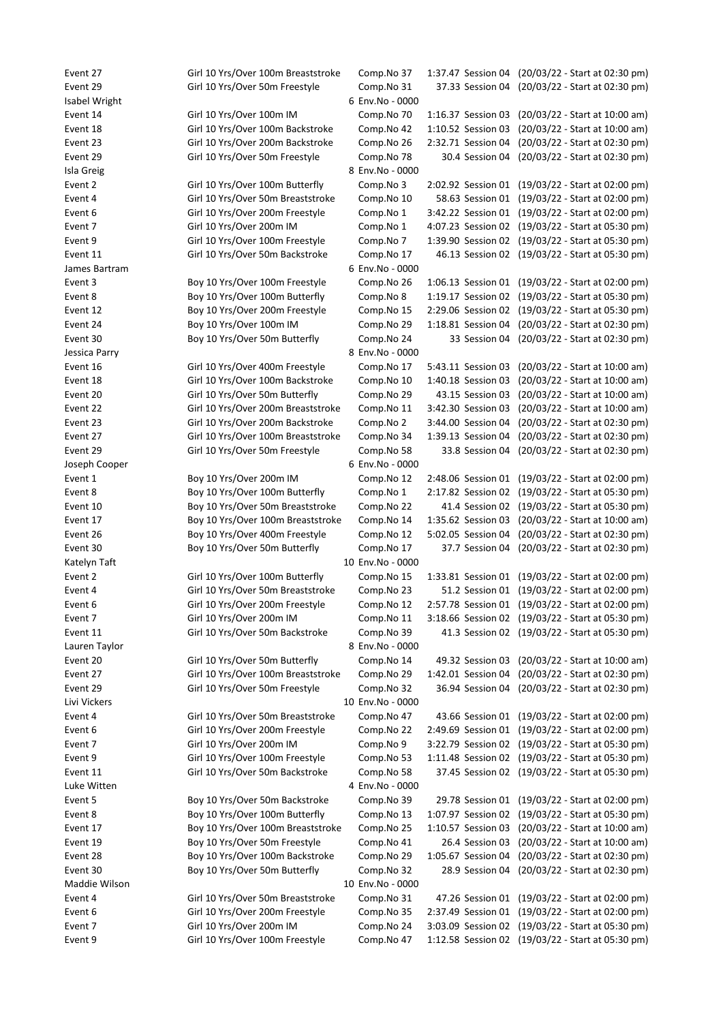Event 27 Girl 10 Yrs/Over 100m Breaststroke Comp.No 37 1:37.47 Session 04 (20/03/22 - Start at 02:30 pm) Event 29 Girl 10 Yrs/Over 50m Freestyle Comp.No 31 37.33 Session 04 (20/03/22 - Start at 02:30 pm) Isabel Wright 6 Env.No - 0000 Event 14 Girl 10 Yrs/Over 100m IM Comp.No 70 1:16.37 Session 03 (20/03/22 - Start at 10:00 am) Event 18 Girl 10 Yrs/Over 100m Backstroke Comp.No 42 1:10.52 Session 03 (20/03/22 - Start at 10:00 am) Event 23 Girl 10 Yrs/Over 200m Backstroke Comp.No 26 2:32.71 Session 04 (20/03/22 - Start at 02:30 pm) Event 29 Girl 10 Yrs/Over 50m Freestyle Comp.No 78 30.4 Session 04 (20/03/22 - Start at 02:30 pm) Isla Greig 8 Env.No - 0000 Event 2 Girl 10 Yrs/Over 100m Butterfly Comp.No 3 2:02.92 Session 01 (19/03/22 - Start at 02:00 pm) Event 4 Girl 10 Yrs/Over 50m Breaststroke Comp.No 10 58.63 Session 01 (19/03/22 - Start at 02:00 pm) Event 6 Girl 10 Yrs/Over 200m Freestyle Comp.No 1 3:42.22 Session 01 (19/03/22 - Start at 02:00 pm) Event 7 Girl 10 Yrs/Over 200m IM Comp.No 1 4:07.23 Session 02 (19/03/22 - Start at 05:30 pm) Event 9 Girl 10 Yrs/Over 100m Freestyle Comp.No 7 1:39.90 Session 02 (19/03/22 - Start at 05:30 pm) Event 11 Girl 10 Yrs/Over 50m Backstroke Comp.No 17 46.13 Session 02 (19/03/22 - Start at 05:30 pm) James Bartram 6 Env.No - 0000 Event 3 Boy 10 Yrs/Over 100m Freestyle Comp.No 26 1:06.13 Session 01 (19/03/22 - Start at 02:00 pm) Event 8 Boy 10 Yrs/Over 100m Butterfly Comp.No 8 1:19.17 Session 02 (19/03/22 - Start at 05:30 pm) Event 12 Boy 10 Yrs/Over 200m Freestyle Comp.No 15 2:29.06 Session 02 (19/03/22 - Start at 05:30 pm) Event 24 Boy 10 Yrs/Over 100m IM Comp.No 29 1:18.81 Session 04 (20/03/22 - Start at 02:30 pm) Event 30 Boy 10 Yrs/Over 50m Butterfly Comp.No 24 33 Session 04 (20/03/22 - Start at 02:30 pm) Jessica Parry 8 Env.No - 0000 Event 16 Girl 10 Yrs/Over 400m Freestyle Comp.No 17 5:43.11 Session 03 (20/03/22 - Start at 10:00 am) Event 18 Girl 10 Yrs/Over 100m Backstroke Comp.No 10 1:40.18 Session 03 (20/03/22 - Start at 10:00 am) Event 20 Girl 10 Yrs/Over 50m Butterfly Comp.No 29 43.15 Session 03 (20/03/22 - Start at 10:00 am) Event 22 Girl 10 Yrs/Over 200m Breaststroke Comp.No 11 3:42.30 Session 03 (20/03/22 - Start at 10:00 am) Event 23 Girl 10 Yrs/Over 200m Backstroke Comp.No 2 3:44.00 Session 04 (20/03/22 - Start at 02:30 pm) Event 27 Girl 10 Yrs/Over 100m Breaststroke Comp.No 34 1:39.13 Session 04 (20/03/22 - Start at 02:30 pm) Event 29 Girl 10 Yrs/Over 50m Freestyle Comp.No 58 33.8 Session 04 (20/03/22 - Start at 02:30 pm) Joseph Cooper 6 Env.No - 0000 Event 1 Boy 10 Yrs/Over 200m IM Comp.No 12 2:48.06 Session 01 (19/03/22 - Start at 02:00 pm) Event 8 Boy 10 Yrs/Over 100m Butterfly Comp.No 1 2:17.82 Session 02 (19/03/22 - Start at 05:30 pm) Event 10 Boy 10 Yrs/Over 50m Breaststroke Comp.No 22 41.4 Session 02 (19/03/22 - Start at 05:30 pm) Event 17 Boy 10 Yrs/Over 100m Breaststroke Comp.No 14 1:35.62 Session 03 (20/03/22 - Start at 10:00 am) Event 26 Boy 10 Yrs/Over 400m Freestyle Comp.No 12 5:02.05 Session 04 (20/03/22 - Start at 02:30 pm) Event 30 Boy 10 Yrs/Over 50m Butterfly Comp.No 17 37.7 Session 04 (20/03/22 - Start at 02:30 pm) Katelyn Taft 10 Env.No - 0000 Event 2 Girl 10 Yrs/Over 100m Butterfly Comp.No 15 1:33.81 Session 01 (19/03/22 - Start at 02:00 pm) Event 4 Girl 10 Yrs/Over 50m Breaststroke Comp.No 23 51.2 Session 01 (19/03/22 - Start at 02:00 pm) Event 6 Girl 10 Yrs/Over 200m Freestyle Comp.No 12 2:57.78 Session 01 (19/03/22 - Start at 02:00 pm) Event 7 Girl 10 Yrs/Over 200m IM Comp.No 11 3:18.66 Session 02 (19/03/22 - Start at 05:30 pm) Event 11 Girl 10 Yrs/Over 50m Backstroke Comp.No 39 41.3 Session 02 (19/03/22 - Start at 05:30 pm) Lauren Taylor 8 Env.No - 0000 Event 20 Girl 10 Yrs/Over 50m Butterfly Comp.No 14 49.32 Session 03 (20/03/22 - Start at 10:00 am) Event 27 Girl 10 Yrs/Over 100m Breaststroke Comp.No 29 1:42.01 Session 04 (20/03/22 - Start at 02:30 pm) Event 29 Girl 10 Yrs/Over 50m Freestyle Comp.No 32 36.94 Session 04 (20/03/22 - Start at 02:30 pm) Livi Vickers 10 Env.No - 0000 Event 4 Girl 10 Yrs/Over 50m Breaststroke Comp.No 47 43.66 Session 01 (19/03/22 - Start at 02:00 pm) Event 6 Girl 10 Yrs/Over 200m Freestyle Comp.No 22 2:49.69 Session 01 (19/03/22 - Start at 02:00 pm) Event 7 Girl 10 Yrs/Over 200m IM Comp.No 9 3:22.79 Session 02 (19/03/22 - Start at 05:30 pm) Event 9 Girl 10 Yrs/Over 100m Freestyle Comp.No 53 1:11.48 Session 02 (19/03/22 - Start at 05:30 pm) Event 11 Girl 10 Yrs/Over 50m Backstroke Comp.No 58 37.45 Session 02 (19/03/22 - Start at 05:30 pm) Luke Witten 4 Env.No - 0000 Event 5 Boy 10 Yrs/Over 50m Backstroke Comp.No 39 29.78 Session 01 (19/03/22 - Start at 02:00 pm) Event 8 Boy 10 Yrs/Over 100m Butterfly Comp.No 13 1:07.97 Session 02 (19/03/22 - Start at 05:30 pm) Event 17 Boy 10 Yrs/Over 100m Breaststroke Comp.No 25 1:10.57 Session 03 (20/03/22 - Start at 10:00 am) Event 19 Boy 10 Yrs/Over 50m Freestyle Comp.No 41 26.4 Session 03 (20/03/22 - Start at 10:00 am) Event 28 Boy 10 Yrs/Over 100m Backstroke Comp.No 29 1:05.67 Session 04 (20/03/22 - Start at 02:30 pm) Event 30 Boy 10 Yrs/Over 50m Butterfly Comp.No 32 28.9 Session 04 (20/03/22 - Start at 02:30 pm) Maddie Wilson 10 Env.No - 0000 Event 4 Girl 10 Yrs/Over 50m Breaststroke Comp.No 31 47.26 Session 01 (19/03/22 - Start at 02:00 pm) Event 6 Girl 10 Yrs/Over 200m Freestyle Comp.No 35 2:37.49 Session 01 (19/03/22 - Start at 02:00 pm) Event 7 Girl 10 Yrs/Over 200m IM Comp.No 24 3:03.09 Session 02 (19/03/22 - Start at 05:30 pm) Event 9 Girl 10 Yrs/Over 100m Freestyle Comp.No 47 1:12.58 Session 02 (19/03/22 - Start at 05:30 pm)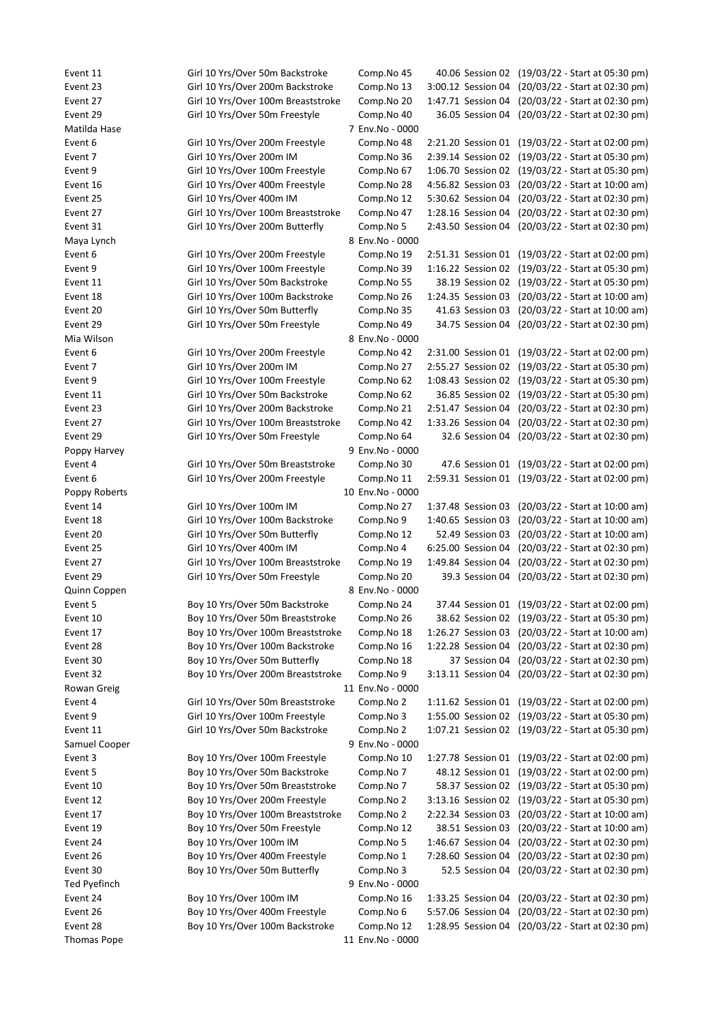Thomas Pope 11 Env.No - 0000

Event 11 Girl 10 Yrs/Over 50m Backstroke Comp.No 45 40.06 Session 02 (19/03/22 - Start at 05:30 pm) Event 23 Girl 10 Yrs/Over 200m Backstroke Comp.No 13 3:00.12 Session 04 (20/03/22 - Start at 02:30 pm) Event 27 Girl 10 Yrs/Over 100m Breaststroke Comp.No 20 1:47.71 Session 04 (20/03/22 - Start at 02:30 pm) Event 29 Girl 10 Yrs/Over 50m Freestyle Comp.No 40 36.05 Session 04 (20/03/22 - Start at 02:30 pm) Matilda Hase 7 Env.No - 0000 Event 6 Girl 10 Yrs/Over 200m Freestyle Comp.No 48 2:21.20 Session 01 (19/03/22 - Start at 02:00 pm) Event 7 Girl 10 Yrs/Over 200m IM Comp.No 36 2:39.14 Session 02 (19/03/22 - Start at 05:30 pm) Event 9 Girl 10 Yrs/Over 100m Freestyle Comp.No 67 1:06.70 Session 02 (19/03/22 - Start at 05:30 pm) Event 16 Girl 10 Yrs/Over 400m Freestyle Comp.No 28 4:56.82 Session 03 (20/03/22 - Start at 10:00 am) Event 25 Girl 10 Yrs/Over 400m IM Comp.No 12 5:30.62 Session 04 (20/03/22 - Start at 02:30 pm) Event 27 Girl 10 Yrs/Over 100m Breaststroke Comp.No 47 1:28.16 Session 04 (20/03/22 - Start at 02:30 pm) Event 31 Girl 10 Yrs/Over 200m Butterfly Comp.No 5 2:43.50 Session 04 (20/03/22 - Start at 02:30 pm) Maya Lynch 8 Env.No - 0000 Event 6 Girl 10 Yrs/Over 200m Freestyle Comp.No 19 2:51.31 Session 01 (19/03/22 - Start at 02:00 pm) Event 9 Girl 10 Yrs/Over 100m Freestyle Comp.No 39 1:16.22 Session 02 (19/03/22 - Start at 05:30 pm) Event 11 Girl 10 Yrs/Over 50m Backstroke Comp.No 55 38.19 Session 02 (19/03/22 - Start at 05:30 pm) Event 18 Girl 10 Yrs/Over 100m Backstroke Comp.No 26 1:24.35 Session 03 (20/03/22 - Start at 10:00 am) Event 20 Girl 10 Yrs/Over 50m Butterfly Comp.No 35 41.63 Session 03 (20/03/22 - Start at 10:00 am) Event 29 Girl 10 Yrs/Over 50m Freestyle Comp.No 49 34.75 Session 04 (20/03/22 - Start at 02:30 pm) Mia Wilson 8 Env.No - 0000 Event 6 Girl 10 Yrs/Over 200m Freestyle Comp.No 42 2:31.00 Session 01 (19/03/22 - Start at 02:00 pm) Event 7 Girl 10 Yrs/Over 200m IM Comp.No 27 2:55.27 Session 02 (19/03/22 - Start at 05:30 pm) Event 9 Girl 10 Yrs/Over 100m Freestyle Comp.No 62 1:08.43 Session 02 (19/03/22 - Start at 05:30 pm) Event 11 Girl 10 Yrs/Over 50m Backstroke Comp.No 62 36.85 Session 02 (19/03/22 - Start at 05:30 pm) Event 23 Girl 10 Yrs/Over 200m Backstroke Comp.No 21 2:51.47 Session 04 (20/03/22 - Start at 02:30 pm) Event 27 Girl 10 Yrs/Over 100m Breaststroke Comp.No 42 1:33.26 Session 04 (20/03/22 - Start at 02:30 pm) Event 29 Girl 10 Yrs/Over 50m Freestyle Comp.No 64 32.6 Session 04 (20/03/22 - Start at 02:30 pm) Poppy Harvey 9 Env.No - 0000 Event 4 Girl 10 Yrs/Over 50m Breaststroke Comp.No 30 47.6 Session 01 (19/03/22 - Start at 02:00 pm) Event 6 Girl 10 Yrs/Over 200m Freestyle Comp.No 11 2:59.31 Session 01 (19/03/22 - Start at 02:00 pm) Poppy Roberts 10 Env.No - 0000 Event 14 Girl 10 Yrs/Over 100m IM Comp.No 27 1:37.48 Session 03 (20/03/22 - Start at 10:00 am) Event 18 Girl 10 Yrs/Over 100m Backstroke Comp.No 9 1:40.65 Session 03 (20/03/22 - Start at 10:00 am) Event 20 Girl 10 Yrs/Over 50m Butterfly Comp.No 12 52.49 Session 03 (20/03/22 - Start at 10:00 am) Event 25 Girl 10 Yrs/Over 400m IM Comp.No 4 6:25.00 Session 04 (20/03/22 - Start at 02:30 pm) Event 27 Girl 10 Yrs/Over 100m Breaststroke Comp.No 19 1:49.84 Session 04 (20/03/22 - Start at 02:30 pm) Event 29 Girl 10 Yrs/Over 50m Freestyle Comp.No 20 39.3 Session 04 (20/03/22 - Start at 02:30 pm) Quinn Coppen 8 Env.No - 0000 Event 5 Boy 10 Yrs/Over 50m Backstroke Comp.No 24 37.44 Session 01 (19/03/22 - Start at 02:00 pm) Event 10 Boy 10 Yrs/Over 50m Breaststroke Comp.No 26 38.62 Session 02 (19/03/22 - Start at 05:30 pm) Event 17 Boy 10 Yrs/Over 100m Breaststroke Comp.No 18 1:26.27 Session 03 (20/03/22 - Start at 10:00 am) Event 28 Boy 10 Yrs/Over 100m Backstroke Comp.No 16 1:22.28 Session 04 (20/03/22 - Start at 02:30 pm) Event 30 Boy 10 Yrs/Over 50m Butterfly Comp.No 18 37 Session 04 (20/03/22 - Start at 02:30 pm) Event 32 Boy 10 Yrs/Over 200m Breaststroke Comp.No 9 3:13.11 Session 04 (20/03/22 - Start at 02:30 pm) Rowan Greig 11 Env.No - 0000 Event 4 Girl 10 Yrs/Over 50m Breaststroke Comp.No 2 1:11.62 Session 01 (19/03/22 - Start at 02:00 pm) Event 9 Girl 10 Yrs/Over 100m Freestyle Comp.No 3 1:55.00 Session 02 (19/03/22 - Start at 05:30 pm) Event 11 Girl 10 Yrs/Over 50m Backstroke Comp.No 2 1:07.21 Session 02 (19/03/22 - Start at 05:30 pm) Samuel Cooper 9 Env.No - 0000 Event 3 Boy 10 Yrs/Over 100m Freestyle Comp.No 10 1:27.78 Session 01 (19/03/22 - Start at 02:00 pm) Event 5 Boy 10 Yrs/Over 50m Backstroke Comp.No 7 48.12 Session 01 (19/03/22 - Start at 02:00 pm) Event 10 Boy 10 Yrs/Over 50m Breaststroke Comp.No 7 58.37 Session 02 (19/03/22 - Start at 05:30 pm) Event 12 Boy 10 Yrs/Over 200m Freestyle Comp.No 2 3:13.16 Session 02 (19/03/22 - Start at 05:30 pm) Event 17 Boy 10 Yrs/Over 100m Breaststroke Comp.No 2 2:22.34 Session 03 (20/03/22 - Start at 10:00 am) Event 19 Boy 10 Yrs/Over 50m Freestyle Comp.No 12 38.51 Session 03 (20/03/22 - Start at 10:00 am) Event 24 Boy 10 Yrs/Over 100m IM Comp.No 5 1:46.67 Session 04 (20/03/22 - Start at 02:30 pm) Event 26 Boy 10 Yrs/Over 400m Freestyle Comp.No 1 7:28.60 Session 04 (20/03/22 - Start at 02:30 pm) Event 30 Boy 10 Yrs/Over 50m Butterfly Comp.No 3 52.5 Session 04 (20/03/22 - Start at 02:30 pm) Ted Pyefinch **9 Env.No** - 0000 Event 24 Boy 10 Yrs/Over 100m IM Comp.No 16 1:33.25 Session 04 (20/03/22 - Start at 02:30 pm) Event 26 Boy 10 Yrs/Over 400m Freestyle Comp.No 6 5:57.06 Session 04 (20/03/22 - Start at 02:30 pm) Event 28 Boy 10 Yrs/Over 100m Backstroke Comp.No 12 1:28.95 Session 04 (20/03/22 - Start at 02:30 pm)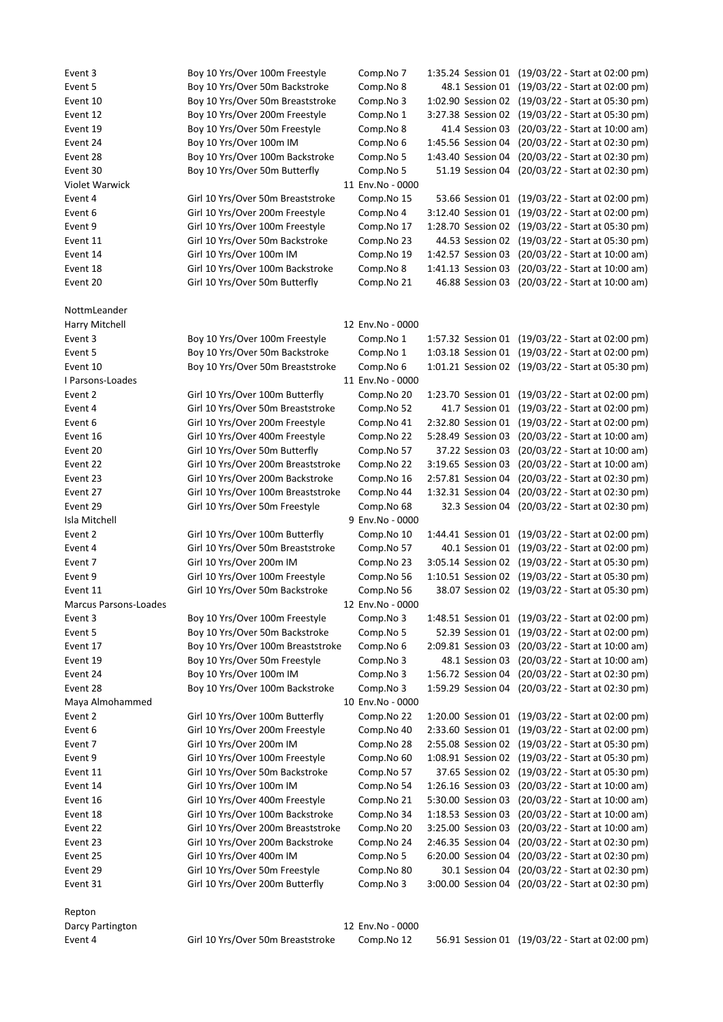| Event 3               | Boy 10 Yrs/Over 100m Freestyle                                    | Comp.No 7               |                                       | 1:35.24 Session 01 (19/03/22 - Start at 02:00 pm)                |
|-----------------------|-------------------------------------------------------------------|-------------------------|---------------------------------------|------------------------------------------------------------------|
| Event 5               |                                                                   |                         |                                       |                                                                  |
|                       | Boy 10 Yrs/Over 50m Backstroke                                    | Comp.No 8               | 48.1 Session 01                       | (19/03/22 - Start at 02:00 pm)                                   |
| Event 10              | Boy 10 Yrs/Over 50m Breaststroke                                  | Comp.No 3               | 1:02.90 Session 02                    | (19/03/22 - Start at 05:30 pm)                                   |
| Event 12              | Boy 10 Yrs/Over 200m Freestyle                                    | Comp.No 1               | 3:27.38 Session 02                    | (19/03/22 - Start at 05:30 pm)                                   |
| Event 19              | Boy 10 Yrs/Over 50m Freestyle                                     | Comp.No 8               | 41.4 Session 03                       | (20/03/22 - Start at 10:00 am)                                   |
| Event 24              | Boy 10 Yrs/Over 100m IM                                           | Comp.No 6               | 1:45.56 Session 04                    | (20/03/22 - Start at 02:30 pm)                                   |
| Event 28              | Boy 10 Yrs/Over 100m Backstroke                                   | Comp.No 5               | 1:43.40 Session 04                    | (20/03/22 - Start at 02:30 pm)                                   |
| Event 30              | Boy 10 Yrs/Over 50m Butterfly                                     | Comp.No 5               | 51.19 Session 04                      | (20/03/22 - Start at 02:30 pm)                                   |
| <b>Violet Warwick</b> |                                                                   | 11 Env.No - 0000        |                                       |                                                                  |
| Event 4               | Girl 10 Yrs/Over 50m Breaststroke                                 | Comp.No 15              | 53.66 Session 01                      | (19/03/22 - Start at 02:00 pm)                                   |
| Event 6               | Girl 10 Yrs/Over 200m Freestyle                                   | Comp.No 4               | 3:12.40 Session 01                    | (19/03/22 - Start at 02:00 pm)                                   |
| Event 9               | Girl 10 Yrs/Over 100m Freestyle                                   | Comp.No 17              | 1:28.70 Session 02                    | (19/03/22 - Start at 05:30 pm)                                   |
| Event 11              | Girl 10 Yrs/Over 50m Backstroke                                   | Comp.No 23              | 44.53 Session 02                      | (19/03/22 - Start at 05:30 pm)                                   |
| Event 14              | Girl 10 Yrs/Over 100m IM                                          | Comp.No 19              | 1:42.57 Session 03                    | (20/03/22 - Start at 10:00 am)                                   |
|                       |                                                                   |                         |                                       |                                                                  |
| Event 18              | Girl 10 Yrs/Over 100m Backstroke                                  | Comp.No 8               | 1:41.13 Session 03                    | (20/03/22 - Start at 10:00 am)                                   |
| Event 20              | Girl 10 Yrs/Over 50m Butterfly                                    | Comp.No 21              | 46.88 Session 03                      | (20/03/22 - Start at 10:00 am)                                   |
| NottmLeander          |                                                                   |                         |                                       |                                                                  |
| Harry Mitchell        |                                                                   | 12 Env.No - 0000        |                                       |                                                                  |
| Event 3               | Boy 10 Yrs/Over 100m Freestyle                                    | Comp.No 1               |                                       | 1:57.32 Session 01 (19/03/22 - Start at 02:00 pm)                |
| Event 5               | Boy 10 Yrs/Over 50m Backstroke                                    | Comp.No 1               |                                       | 1:03.18 Session 01 (19/03/22 - Start at 02:00 pm)                |
| Event 10              | Boy 10 Yrs/Over 50m Breaststroke                                  | Comp.No 6               |                                       | 1:01.21 Session 02 (19/03/22 - Start at 05:30 pm)                |
| I Parsons-Loades      |                                                                   | 11 Env.No - 0000        |                                       |                                                                  |
| Event 2               | Girl 10 Yrs/Over 100m Butterfly                                   | Comp.No 20              |                                       | 1:23.70 Session 01 (19/03/22 - Start at 02:00 pm)                |
| Event 4               | Girl 10 Yrs/Over 50m Breaststroke                                 | Comp.No 52              | 41.7 Session 01                       | (19/03/22 - Start at 02:00 pm)                                   |
| Event 6               | Girl 10 Yrs/Over 200m Freestyle                                   | Comp.No 41              | 2:32.80 Session 01                    | (19/03/22 - Start at 02:00 pm)                                   |
| Event 16              | Girl 10 Yrs/Over 400m Freestyle                                   | Comp.No 22              | 5:28.49 Session 03                    | (20/03/22 - Start at 10:00 am)                                   |
| Event 20              | Girl 10 Yrs/Over 50m Butterfly                                    | Comp.No 57              | 37.22 Session 03                      | (20/03/22 - Start at 10:00 am)                                   |
| Event 22              | Girl 10 Yrs/Over 200m Breaststroke                                | Comp.No 22              | 3:19.65 Session 03                    | (20/03/22 - Start at 10:00 am)                                   |
| Event 23              | Girl 10 Yrs/Over 200m Backstroke                                  | Comp.No 16              | 2:57.81 Session 04                    | (20/03/22 - Start at 02:30 pm)                                   |
| Event 27              | Girl 10 Yrs/Over 100m Breaststroke                                |                         | 1:32.31 Session 04                    |                                                                  |
|                       |                                                                   | Comp.No 44              |                                       | (20/03/22 - Start at 02:30 pm)                                   |
| Event 29              | Girl 10 Yrs/Over 50m Freestyle                                    | Comp.No 68              | 32.3 Session 04                       | (20/03/22 - Start at 02:30 pm)                                   |
| Isla Mitchell         |                                                                   | 9 Env.No - 0000         |                                       |                                                                  |
| Event 2               | Girl 10 Yrs/Over 100m Butterfly                                   | Comp.No 10              | 1:44.41 Session 01                    | (19/03/22 - Start at 02:00 pm)                                   |
| Event 4               | Girl 10 Yrs/Over 50m Breaststroke                                 | Comp.No 57              | 40.1 Session 01                       | (19/03/22 - Start at 02:00 pm)                                   |
| Event 7               | Girl 10 Yrs/Over 200m IM                                          | Comp.No 23              |                                       | 3:05.14 Session 02 (19/03/22 - Start at 05:30 pm)                |
| Event 9               | Girl 10 Yrs/Over 100m Freestyle                                   | Comp.No 56              |                                       | 1:10.51 Session 02 (19/03/22 - Start at 05:30 pm)                |
| Event 11              | Girl 10 Yrs/Over 50m Backstroke                                   | Comp.No 56              |                                       | 38.07 Session 02 (19/03/22 - Start at 05:30 pm)                  |
| Marcus Parsons-Loades |                                                                   | 12 Env.No - 0000        |                                       |                                                                  |
| Event 3               | Boy 10 Yrs/Over 100m Freestyle                                    | Comp.No 3               |                                       | 1:48.51 Session 01 (19/03/22 - Start at 02:00 pm)                |
| Event 5               | Boy 10 Yrs/Over 50m Backstroke                                    | Comp.No 5               | 52.39 Session 01                      | (19/03/22 - Start at 02:00 pm)                                   |
| Event 17              | Boy 10 Yrs/Over 100m Breaststroke                                 | Comp.No 6               | 2:09.81 Session 03                    | (20/03/22 - Start at 10:00 am)                                   |
| Event 19              | Boy 10 Yrs/Over 50m Freestyle                                     | Comp.No 3               | 48.1 Session 03                       | (20/03/22 - Start at 10:00 am)                                   |
| Event 24              | Boy 10 Yrs/Over 100m IM                                           | Comp.No 3               | 1:56.72 Session 04                    | (20/03/22 - Start at 02:30 pm)                                   |
| Event 28              | Boy 10 Yrs/Over 100m Backstroke                                   | Comp.No 3               |                                       | 1:59.29 Session 04 (20/03/22 - Start at 02:30 pm)                |
| Maya Almohammed       |                                                                   | 10 Env.No - 0000        |                                       |                                                                  |
| Event 2               | Girl 10 Yrs/Over 100m Butterfly                                   | Comp.No 22              | 1:20.00 Session 01                    | (19/03/22 - Start at 02:00 pm)                                   |
| Event 6               | Girl 10 Yrs/Over 200m Freestyle                                   | Comp.No 40              | 2:33.60 Session 01                    | (19/03/22 - Start at 02:00 pm)                                   |
| Event 7               | Girl 10 Yrs/Over 200m IM                                          | Comp.No 28              | 2:55.08 Session 02                    | (19/03/22 - Start at 05:30 pm)                                   |
| Event 9               | Girl 10 Yrs/Over 100m Freestyle                                   | Comp.No 60              |                                       | 1:08.91 Session 02 (19/03/22 - Start at 05:30 pm)                |
| Event 11              | Girl 10 Yrs/Over 50m Backstroke                                   | Comp.No 57              |                                       | 37.65 Session 02 (19/03/22 - Start at 05:30 pm)                  |
| Event 14              | Girl 10 Yrs/Over 100m IM                                          | Comp.No 54              | 1:26.16 Session 03                    | (20/03/22 - Start at 10:00 am)                                   |
| Event 16              | Girl 10 Yrs/Over 400m Freestyle                                   | Comp.No 21              | 5:30.00 Session 03                    | (20/03/22 - Start at 10:00 am)                                   |
| Event 18              | Girl 10 Yrs/Over 100m Backstroke                                  | Comp.No 34              | 1:18.53 Session 03                    | (20/03/22 - Start at 10:00 am)                                   |
| Event 22              | Girl 10 Yrs/Over 200m Breaststroke                                | Comp.No 20              | 3:25.00 Session 03                    | (20/03/22 - Start at 10:00 am)                                   |
| Event 23              | Girl 10 Yrs/Over 200m Backstroke                                  | Comp.No 24              | 2:46.35 Session 04                    | (20/03/22 - Start at 02:30 pm)                                   |
| Event 25              | Girl 10 Yrs/Over 400m IM                                          | Comp.No 5               | 6:20.00 Session 04                    | (20/03/22 - Start at 02:30 pm)                                   |
|                       |                                                                   |                         |                                       |                                                                  |
| Event 29<br>Event 31  | Girl 10 Yrs/Over 50m Freestyle<br>Girl 10 Yrs/Over 200m Butterfly | Comp.No 80<br>Comp.No 3 | 30.1 Session 04<br>3:00.00 Session 04 | (20/03/22 - Start at 02:30 pm)<br>(20/03/22 - Start at 02:30 pm) |
|                       |                                                                   |                         |                                       |                                                                  |
| Repton                |                                                                   |                         |                                       |                                                                  |
| Darcy Partington      |                                                                   | 12 Env.No - 0000        |                                       |                                                                  |
| Event 4               | Girl 10 Yrs/Over 50m Breaststroke                                 | Comp.No 12              |                                       | 56.91 Session 01 (19/03/22 - Start at 02:00 pm)                  |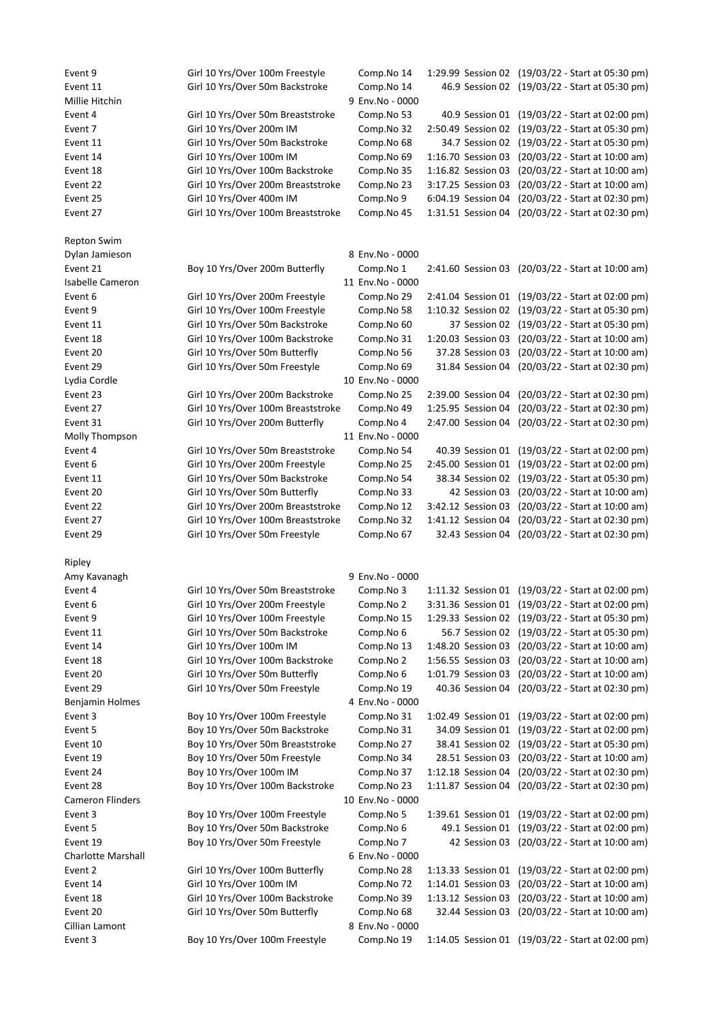| Event 9                   | Girl 10 Yrs/Over 100m Freestyle    | Comp.No 14                    |                    | 1:29.99 Session 02 (19/03/22 - Start at 05:30 pm) |
|---------------------------|------------------------------------|-------------------------------|--------------------|---------------------------------------------------|
| Event 11                  | Girl 10 Yrs/Over 50m Backstroke    | Comp.No 14                    |                    | 46.9 Session 02 (19/03/22 - Start at 05:30 pm)    |
| Millie Hitchin            |                                    | 9 Env.No - 0000               |                    |                                                   |
| Event 4                   | Girl 10 Yrs/Over 50m Breaststroke  | Comp.No 53                    | 40.9 Session 01    | (19/03/22 - Start at 02:00 pm)                    |
| Event 7                   | Girl 10 Yrs/Over 200m IM           | Comp.No 32                    | 2:50.49 Session 02 | (19/03/22 - Start at 05:30 pm)                    |
| Event 11                  | Girl 10 Yrs/Over 50m Backstroke    | Comp.No 68                    | 34.7 Session 02    | (19/03/22 - Start at 05:30 pm)                    |
| Event 14                  | Girl 10 Yrs/Over 100m IM           | Comp.No 69                    | 1:16.70 Session 03 | (20/03/22 - Start at 10:00 am)                    |
| Event 18                  | Girl 10 Yrs/Over 100m Backstroke   | Comp.No 35                    | 1:16.82 Session 03 | (20/03/22 - Start at 10:00 am)                    |
| Event 22                  | Girl 10 Yrs/Over 200m Breaststroke | Comp.No 23                    | 3:17.25 Session 03 | (20/03/22 - Start at 10:00 am)                    |
| Event 25                  | Girl 10 Yrs/Over 400m IM           | Comp.No 9                     | 6:04.19 Session 04 | (20/03/22 - Start at 02:30 pm)                    |
| Event 27                  | Girl 10 Yrs/Over 100m Breaststroke | Comp.No 45                    | 1:31.51 Session 04 | (20/03/22 - Start at 02:30 pm)                    |
|                           |                                    |                               |                    |                                                   |
| Repton Swim               |                                    |                               |                    |                                                   |
| Dylan Jamieson            |                                    | 8 Env.No - 0000               |                    |                                                   |
| Event 21                  | Boy 10 Yrs/Over 200m Butterfly     | Comp.No 1                     |                    | 2:41.60 Session 03 (20/03/22 - Start at 10:00 am) |
| <b>Isabelle Cameron</b>   |                                    | 11 Env.No - 0000              |                    |                                                   |
| Event 6                   | Girl 10 Yrs/Over 200m Freestyle    | Comp.No 29                    | 2:41.04 Session 01 | (19/03/22 - Start at 02:00 pm)                    |
| Event 9                   | Girl 10 Yrs/Over 100m Freestyle    | Comp.No 58                    | 1:10.32 Session 02 | (19/03/22 - Start at 05:30 pm)                    |
| Event 11                  | Girl 10 Yrs/Over 50m Backstroke    | Comp.No 60                    | 37 Session 02      | (19/03/22 - Start at 05:30 pm)                    |
| Event 18                  | Girl 10 Yrs/Over 100m Backstroke   | Comp.No 31                    | 1:20.03 Session 03 | (20/03/22 - Start at 10:00 am)                    |
| Event 20                  | Girl 10 Yrs/Over 50m Butterfly     | Comp.No 56                    | 37.28 Session 03   | (20/03/22 - Start at 10:00 am)                    |
| Event 29                  | Girl 10 Yrs/Over 50m Freestyle     | Comp.No 69                    |                    | 31.84 Session 04 (20/03/22 - Start at 02:30 pm)   |
| Lydia Cordle              |                                    | 10 Env.No - 0000              |                    |                                                   |
| Event 23                  | Girl 10 Yrs/Over 200m Backstroke   | Comp.No 25                    | 2:39.00 Session 04 | (20/03/22 - Start at 02:30 pm)                    |
| Event 27                  | Girl 10 Yrs/Over 100m Breaststroke | Comp.No 49                    | 1:25.95 Session 04 | (20/03/22 - Start at 02:30 pm)                    |
| Event 31                  | Girl 10 Yrs/Over 200m Butterfly    | Comp.No 4                     |                    | 2:47.00 Session 04 (20/03/22 - Start at 02:30 pm) |
| Molly Thompson            |                                    | 11 Env.No - 0000              |                    |                                                   |
| Event 4                   | Girl 10 Yrs/Over 50m Breaststroke  | Comp.No 54                    |                    | 40.39 Session 01 (19/03/22 - Start at 02:00 pm)   |
| Event 6                   | Girl 10 Yrs/Over 200m Freestyle    | Comp.No 25                    | 2:45.00 Session 01 | (19/03/22 - Start at 02:00 pm)                    |
| Event 11                  | Girl 10 Yrs/Over 50m Backstroke    | Comp.No 54                    | 38.34 Session 02   | (19/03/22 - Start at 05:30 pm)                    |
| Event 20                  | Girl 10 Yrs/Over 50m Butterfly     | Comp.No 33                    | 42 Session 03      | (20/03/22 - Start at 10:00 am)                    |
| Event 22                  | Girl 10 Yrs/Over 200m Breaststroke | Comp.No 12                    | 3:42.12 Session 03 | (20/03/22 - Start at 10:00 am)                    |
|                           |                                    |                               |                    |                                                   |
| Event 27                  | Girl 10 Yrs/Over 100m Breaststroke | Comp.No 32                    | 1:41.12 Session 04 | (20/03/22 - Start at 02:30 pm)                    |
| Event 29                  | Girl 10 Yrs/Over 50m Freestyle     | Comp.No 67                    | 32.43 Session 04   | (20/03/22 - Start at 02:30 pm)                    |
|                           |                                    |                               |                    |                                                   |
| Ripley                    |                                    |                               |                    |                                                   |
| Amy Kavanagh              |                                    | 9 Env.No - 0000               |                    |                                                   |
| Event 4                   | Girl 10 Yrs/Over 50m Breaststroke  | Comp.No 3                     |                    | 1:11.32 Session 01 (19/03/22 - Start at 02:00 pm) |
| Event 6                   | Girl 10 Yrs/Over 200m Freestyle    | Comp.No 2                     |                    | 3:31.36 Session 01 (19/03/22 - Start at 02:00 pm) |
| Event 9                   | Girl 10 Yrs/Over 100m Freestyle    | Comp.No 15                    |                    | 1:29.33 Session 02 (19/03/22 - Start at 05:30 pm) |
| Event 11                  | Girl 10 Yrs/Over 50m Backstroke    | Comp.No 6                     |                    | 56.7 Session 02 (19/03/22 - Start at 05:30 pm)    |
| Event 14                  | Girl 10 Yrs/Over 100m IM           | Comp.No 13                    |                    | 1:48.20 Session 03 (20/03/22 - Start at 10:00 am) |
| Event 18                  | Girl 10 Yrs/Over 100m Backstroke   | Comp.No 2                     | 1:56.55 Session 03 | (20/03/22 - Start at 10:00 am)                    |
| Event 20                  | Girl 10 Yrs/Over 50m Butterfly     | Comp.No 6                     | 1:01.79 Session 03 | (20/03/22 - Start at 10:00 am)                    |
| Event 29                  | Girl 10 Yrs/Over 50m Freestyle     | Comp.No 19                    |                    | 40.36 Session 04 (20/03/22 - Start at 02:30 pm)   |
| Benjamin Holmes           |                                    | 4 Env.No - 0000               |                    |                                                   |
| Event 3                   | Boy 10 Yrs/Over 100m Freestyle     | Comp.No 31                    |                    | 1:02.49 Session 01 (19/03/22 - Start at 02:00 pm) |
| Event 5                   | Boy 10 Yrs/Over 50m Backstroke     | Comp.No 31                    | 34.09 Session 01   | (19/03/22 - Start at 02:00 pm)                    |
| Event 10                  | Boy 10 Yrs/Over 50m Breaststroke   | Comp.No 27                    | 38.41 Session 02   | (19/03/22 - Start at 05:30 pm)                    |
| Event 19                  | Boy 10 Yrs/Over 50m Freestyle      | Comp.No 34                    | 28.51 Session 03   | (20/03/22 - Start at 10:00 am)                    |
| Event 24                  | Boy 10 Yrs/Over 100m IM            | Comp.No 37                    | 1:12.18 Session 04 | (20/03/22 - Start at 02:30 pm)                    |
| Event 28                  | Boy 10 Yrs/Over 100m Backstroke    | Comp.No 23                    |                    | 1:11.87 Session 04 (20/03/22 - Start at 02:30 pm) |
| Cameron Flinders          |                                    | 10 Env.No - 0000              |                    |                                                   |
| Event 3                   | Boy 10 Yrs/Over 100m Freestyle     | Comp.No 5                     |                    | 1:39.61 Session 01 (19/03/22 - Start at 02:00 pm) |
| Event 5                   | Boy 10 Yrs/Over 50m Backstroke     | Comp.No 6                     | 49.1 Session 01    | (19/03/22 - Start at 02:00 pm)                    |
| Event 19                  | Boy 10 Yrs/Over 50m Freestyle      | Comp.No 7                     |                    | 42 Session 03 (20/03/22 - Start at 10:00 am)      |
| <b>Charlotte Marshall</b> |                                    | 6 Env.No - 0000               |                    |                                                   |
| Event 2                   | Girl 10 Yrs/Over 100m Butterfly    | Comp.No 28                    |                    | 1:13.33 Session 01 (19/03/22 - Start at 02:00 pm) |
| Event 14                  | Girl 10 Yrs/Over 100m IM           | Comp.No 72                    | 1:14.01 Session 03 | (20/03/22 - Start at 10:00 am)                    |
| Event 18<br>Event 20      | Girl 10 Yrs/Over 100m Backstroke   | Comp.No 39                    | 1:13.12 Session 03 | (20/03/22 - Start at 10:00 am)                    |
| Cillian Lamont            | Girl 10 Yrs/Over 50m Butterfly     | Comp.No 68<br>8 Env.No - 0000 |                    | 32.44 Session 03 (20/03/22 - Start at 10:00 am)   |
| Event 3                   | Boy 10 Yrs/Over 100m Freestyle     | Comp.No 19                    |                    | 1:14.05 Session 01 (19/03/22 - Start at 02:00 pm) |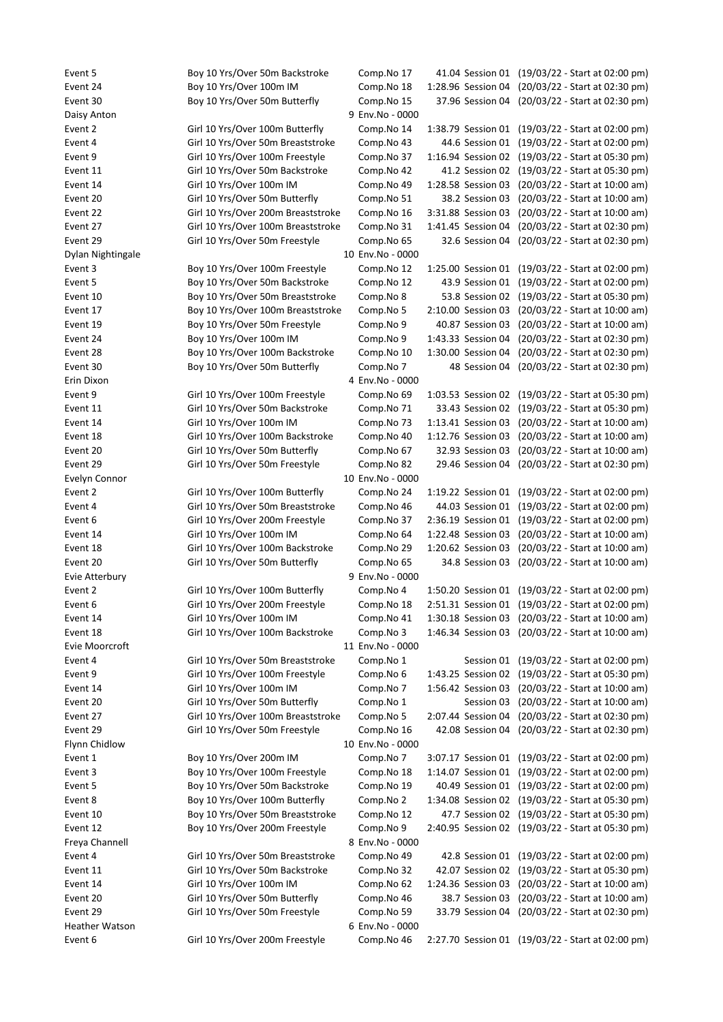Event 5 Boy 10 Yrs/Over 50m Backstroke Comp.No 17 41.04 Session 01 (19/03/22 - Start at 02:00 pm) Event 24 Boy 10 Yrs/Over 100m IM Comp.No 18 1:28.96 Session 04 (20/03/22 - Start at 02:30 pm) Event 30 Boy 10 Yrs/Over 50m Butterfly Comp.No 15 37.96 Session 04 (20/03/22 - Start at 02:30 pm) Daisy Anton 9 Env.No - 0000 Event 2 Girl 10 Yrs/Over 100m Butterfly Comp.No 14 1:38.79 Session 01 (19/03/22 - Start at 02:00 pm) Event 4 Girl 10 Yrs/Over 50m Breaststroke Comp.No 43 44.6 Session 01 (19/03/22 - Start at 02:00 pm) Event 9 Girl 10 Yrs/Over 100m Freestyle Comp.No 37 1:16.94 Session 02 (19/03/22 - Start at 05:30 pm) Event 11 Girl 10 Yrs/Over 50m Backstroke Comp.No 42 41.2 Session 02 (19/03/22 - Start at 05:30 pm) Event 14 Girl 10 Yrs/Over 100m IM Comp.No 49 1:28.58 Session 03 (20/03/22 - Start at 10:00 am) Event 20 Girl 10 Yrs/Over 50m Butterfly Comp.No 51 38.2 Session 03 (20/03/22 - Start at 10:00 am) Event 22 Girl 10 Yrs/Over 200m Breaststroke Comp.No 16 3:31.88 Session 03 (20/03/22 - Start at 10:00 am) Event 27 Girl 10 Yrs/Over 100m Breaststroke Comp.No 31 1:41.45 Session 04 (20/03/22 - Start at 02:30 pm) Event 29 Girl 10 Yrs/Over 50m Freestyle Comp.No 65 32.6 Session 04 (20/03/22 - Start at 02:30 pm) Dylan Nightingale 10 Env.No - 0000 Event 3 Boy 10 Yrs/Over 100m Freestyle Comp.No 12 1:25.00 Session 01 (19/03/22 - Start at 02:00 pm) Event 5 Boy 10 Yrs/Over 50m Backstroke Comp.No 12 43.9 Session 01 (19/03/22 - Start at 02:00 pm) Event 10 Boy 10 Yrs/Over 50m Breaststroke Comp.No 8 53.8 Session 02 (19/03/22 - Start at 05:30 pm) Event 17 Boy 10 Yrs/Over 100m Breaststroke Comp.No 5 2:10.00 Session 03 (20/03/22 - Start at 10:00 am) Event 19 Boy 10 Yrs/Over 50m Freestyle Comp.No 9 40.87 Session 03 (20/03/22 - Start at 10:00 am) Event 24 Boy 10 Yrs/Over 100m IM Comp.No 9 1:43.33 Session 04 (20/03/22 - Start at 02:30 pm) Event 28 Boy 10 Yrs/Over 100m Backstroke Comp.No 10 1:30.00 Session 04 (20/03/22 - Start at 02:30 pm) Event 30 Boy 10 Yrs/Over 50m Butterfly Comp.No 7 48 Session 04 (20/03/22 - Start at 02:30 pm) Erin Dixon 4 Env.No - 0000 Event 9 Girl 10 Yrs/Over 100m Freestyle Comp.No 69 1:03.53 Session 02 (19/03/22 - Start at 05:30 pm) Event 11 Girl 10 Yrs/Over 50m Backstroke Comp.No 71 33.43 Session 02 (19/03/22 - Start at 05:30 pm) Event 14 Girl 10 Yrs/Over 100m IM Comp.No 73 1:13.41 Session 03 (20/03/22 - Start at 10:00 am) Event 18 Girl 10 Yrs/Over 100m Backstroke Comp.No 40 1:12.76 Session 03 (20/03/22 - Start at 10:00 am) Event 20 Girl 10 Yrs/Over 50m Butterfly Comp.No 67 32.93 Session 03 (20/03/22 - Start at 10:00 am) Event 29 Girl 10 Yrs/Over 50m Freestyle Comp.No 82 29.46 Session 04 (20/03/22 - Start at 02:30 pm) Evelyn Connor 10 Env.No - 0000 Event 2 Girl 10 Yrs/Over 100m Butterfly Comp.No 24 1:19.22 Session 01 (19/03/22 - Start at 02:00 pm) Event 4 Girl 10 Yrs/Over 50m Breaststroke Comp.No 46 44.03 Session 01 (19/03/22 - Start at 02:00 pm) Event 6 Girl 10 Yrs/Over 200m Freestyle Comp.No 37 2:36.19 Session 01 (19/03/22 - Start at 02:00 pm) Event 14 Girl 10 Yrs/Over 100m IM Comp.No 64 1:22.48 Session 03 (20/03/22 - Start at 10:00 am) Event 18 Girl 10 Yrs/Over 100m Backstroke Comp.No 29 1:20.62 Session 03 (20/03/22 - Start at 10:00 am) Event 20 Girl 10 Yrs/Over 50m Butterfly Comp.No 65 34.8 Session 03 (20/03/22 - Start at 10:00 am) Evie Atterbury 9 Env.No - 0000 Event 2 Girl 10 Yrs/Over 100m Butterfly Comp.No 4 1:50.20 Session 01 (19/03/22 - Start at 02:00 pm) Event 6 Girl 10 Yrs/Over 200m Freestyle Comp.No 18 2:51.31 Session 01 (19/03/22 - Start at 02:00 pm) Event 14 Girl 10 Yrs/Over 100m IM Comp.No 41 1:30.18 Session 03 (20/03/22 - Start at 10:00 am) Event 18 Girl 10 Yrs/Over 100m Backstroke Comp.No 3 1:46.34 Session 03 (20/03/22 - Start at 10:00 am) Evie Moorcroft 11 Env.No - 0000 Event 4 Girl 10 Yrs/Over 50m Breaststroke Comp.No 1 Session 01 (19/03/22 - Start at 02:00 pm) Event 9 Girl 10 Yrs/Over 100m Freestyle Comp.No 6 1:43.25 Session 02 (19/03/22 - Start at 05:30 pm) Event 14 Girl 10 Yrs/Over 100m IM Comp.No 7 1:56.42 Session 03 (20/03/22 - Start at 10:00 am) Event 20 Girl 10 Yrs/Over 50m Butterfly Comp.No 1 Session 03 (20/03/22 - Start at 10:00 am) Event 27 Girl 10 Yrs/Over 100m Breaststroke Comp.No 5 2:07.44 Session 04 (20/03/22 - Start at 02:30 pm) Event 29 Girl 10 Yrs/Over 50m Freestyle Comp.No 16 42.08 Session 04 (20/03/22 - Start at 02:30 pm) Flynn Chidlow 10 Env.No - 0000 Event 1 Boy 10 Yrs/Over 200m IM Comp.No 7 3:07.17 Session 01 (19/03/22 - Start at 02:00 pm) Event 3 Boy 10 Yrs/Over 100m Freestyle Comp.No 18 1:14.07 Session 01 (19/03/22 - Start at 02:00 pm) Event 5 Boy 10 Yrs/Over 50m Backstroke Comp.No 19 40.49 Session 01 (19/03/22 - Start at 02:00 pm) Event 8 Boy 10 Yrs/Over 100m Butterfly Comp.No 2 1:34.08 Session 02 (19/03/22 - Start at 05:30 pm) Event 10 Boy 10 Yrs/Over 50m Breaststroke Comp.No 12 47.7 Session 02 (19/03/22 - Start at 05:30 pm) Event 12 Boy 10 Yrs/Over 200m Freestyle Comp.No 9 2:40.95 Session 02 (19/03/22 - Start at 05:30 pm) Freya Channell 8 Env.No - 0000 Event 4 Girl 10 Yrs/Over 50m Breaststroke Comp.No 49 42.8 Session 01 (19/03/22 - Start at 02:00 pm) Event 11 Girl 10 Yrs/Over 50m Backstroke Comp.No 32 42.07 Session 02 (19/03/22 - Start at 05:30 pm) Event 14 Girl 10 Yrs/Over 100m IM Comp.No 62 1:24.36 Session 03 (20/03/22 - Start at 10:00 am) Event 20 Girl 10 Yrs/Over 50m Butterfly Comp.No 46 38.7 Session 03 (20/03/22 - Start at 10:00 am) Event 29 Girl 10 Yrs/Over 50m Freestyle Comp.No 59 33.79 Session 04 (20/03/22 - Start at 02:30 pm) Heather Watson **6 Env.No** - 0000

Event 6 Girl 10 Yrs/Over 200m Freestyle Comp.No 46 2:27.70 Session 01 (19/03/22 - Start at 02:00 pm)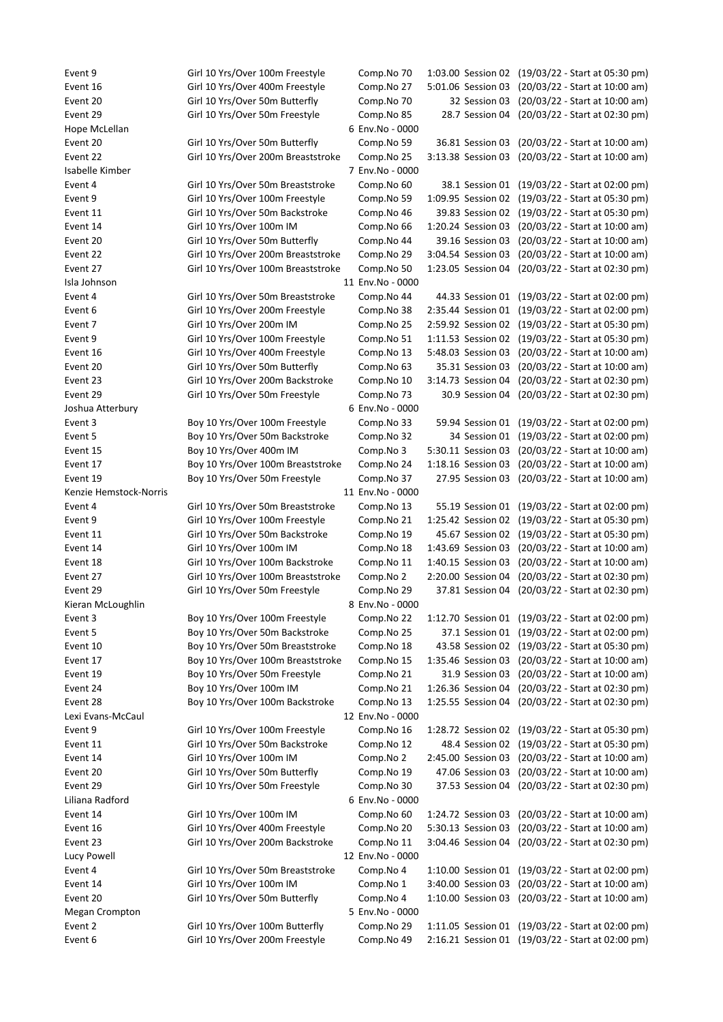Event 6 Girl 10 Yrs/Over 200m Freestyle Comp.No 49 2:16.21 Session 01 (19/03/22 - Start at 02:00 pm)

Event 9 Girl 10 Yrs/Over 100m Freestyle Comp.No 70 1:03.00 Session 02 (19/03/22 - Start at 05:30 pm) Event 16 Girl 10 Yrs/Over 400m Freestyle Comp.No 27 5:01.06 Session 03 (20/03/22 - Start at 10:00 am) Event 20 Girl 10 Yrs/Over 50m Butterfly Comp.No 70 32 Session 03 (20/03/22 - Start at 10:00 am) Event 29 Girl 10 Yrs/Over 50m Freestyle Comp.No 85 28.7 Session 04 (20/03/22 - Start at 02:30 pm) Hope McLellan 6 Env.No - 0000 Event 20 Girl 10 Yrs/Over 50m Butterfly Comp.No 59 36.81 Session 03 (20/03/22 - Start at 10:00 am) Event 22 Girl 10 Yrs/Over 200m Breaststroke Comp.No 25 3:13.38 Session 03 (20/03/22 - Start at 10:00 am) Isabelle Kimber 7 Env.No - 0000 Event 4 Girl 10 Yrs/Over 50m Breaststroke Comp.No 60 38.1 Session 01 (19/03/22 - Start at 02:00 pm) Event 9 Girl 10 Yrs/Over 100m Freestyle Comp.No 59 1:09.95 Session 02 (19/03/22 - Start at 05:30 pm) Event 11 Girl 10 Yrs/Over 50m Backstroke Comp.No 46 39.83 Session 02 (19/03/22 - Start at 05:30 pm) Event 14 Girl 10 Yrs/Over 100m IM Comp.No 66 1:20.24 Session 03 (20/03/22 - Start at 10:00 am) Event 20 Girl 10 Yrs/Over 50m Butterfly Comp.No 44 39.16 Session 03 (20/03/22 - Start at 10:00 am) Event 22 Girl 10 Yrs/Over 200m Breaststroke Comp.No 29 3:04.54 Session 03 (20/03/22 - Start at 10:00 am) Event 27 Girl 10 Yrs/Over 100m Breaststroke Comp.No 50 1:23.05 Session 04 (20/03/22 - Start at 02:30 pm) Isla Johnson 11 Env.No - 0000 Event 4 Girl 10 Yrs/Over 50m Breaststroke Comp.No 44 44.33 Session 01 (19/03/22 - Start at 02:00 pm) Event 6 Girl 10 Yrs/Over 200m Freestyle Comp.No 38 2:35.44 Session 01 (19/03/22 - Start at 02:00 pm) Event 7 Girl 10 Yrs/Over 200m IM Comp.No 25 2:59.92 Session 02 (19/03/22 - Start at 05:30 pm) Event 9 Girl 10 Yrs/Over 100m Freestyle Comp.No 51 1:11.53 Session 02 (19/03/22 - Start at 05:30 pm) Event 16 Girl 10 Yrs/Over 400m Freestyle Comp.No 13 5:48.03 Session 03 (20/03/22 - Start at 10:00 am) Event 20 Girl 10 Yrs/Over 50m Butterfly Comp.No 63 35.31 Session 03 (20/03/22 - Start at 10:00 am) Event 23 Girl 10 Yrs/Over 200m Backstroke Comp.No 10 3:14.73 Session 04 (20/03/22 - Start at 02:30 pm) Event 29 Girl 10 Yrs/Over 50m Freestyle Comp.No 73 30.9 Session 04 (20/03/22 - Start at 02:30 pm) Joshua Atterbury 6 Env.No - 0000 Event 3 Boy 10 Yrs/Over 100m Freestyle Comp.No 33 59.94 Session 01 (19/03/22 - Start at 02:00 pm) Event 5 Boy 10 Yrs/Over 50m Backstroke Comp.No 32 34 Session 01 (19/03/22 - Start at 02:00 pm) Event 15 Boy 10 Yrs/Over 400m IM Comp.No 3 5:30.11 Session 03 (20/03/22 - Start at 10:00 am) Event 17 Boy 10 Yrs/Over 100m Breaststroke Comp.No 24 1:18.16 Session 03 (20/03/22 - Start at 10:00 am) Event 19 Boy 10 Yrs/Over 50m Freestyle Comp.No 37 27.95 Session 03 (20/03/22 - Start at 10:00 am) Kenzie Hemstock-Norris and a state of the state of the 11 Env.No - 0000 Event 4 Girl 10 Yrs/Over 50m Breaststroke Comp.No 13 55.19 Session 01 (19/03/22 - Start at 02:00 pm) Event 9 Girl 10 Yrs/Over 100m Freestyle Comp.No 21 1:25.42 Session 02 (19/03/22 - Start at 05:30 pm) Event 11 Girl 10 Yrs/Over 50m Backstroke Comp.No 19 45.67 Session 02 (19/03/22 - Start at 05:30 pm) Event 14 Girl 10 Yrs/Over 100m IM Comp.No 18 1:43.69 Session 03 (20/03/22 - Start at 10:00 am) Event 18 Girl 10 Yrs/Over 100m Backstroke Comp.No 11 1:40.15 Session 03 (20/03/22 - Start at 10:00 am) Event 27 Girl 10 Yrs/Over 100m Breaststroke Comp.No 2 2:20.00 Session 04 (20/03/22 - Start at 02:30 pm) Event 29 Girl 10 Yrs/Over 50m Freestyle Comp.No 29 37.81 Session 04 (20/03/22 - Start at 02:30 pm) Kieran McLoughlin **Kieran McLoughlin Account 10 Account 10 Account 10 Account 10 Account 10 Account 10 Account 10 Account 10 Account 10 Account 10 Account 10 Account 10 Account 10 Account 10 Account 10 Account 10 Account** Event 3 Boy 10 Yrs/Over 100m Freestyle Comp.No 22 1:12.70 Session 01 (19/03/22 - Start at 02:00 pm) Event 5 Boy 10 Yrs/Over 50m Backstroke Comp.No 25 37.1 Session 01 (19/03/22 - Start at 02:00 pm) Event 10 Boy 10 Yrs/Over 50m Breaststroke Comp.No 18 43.58 Session 02 (19/03/22 - Start at 05:30 pm) Event 17 Boy 10 Yrs/Over 100m Breaststroke Comp.No 15 1:35.46 Session 03 (20/03/22 - Start at 10:00 am) Event 19 Boy 10 Yrs/Over 50m Freestyle Comp.No 21 31.9 Session 03 (20/03/22 - Start at 10:00 am) Event 24 Boy 10 Yrs/Over 100m IM Comp.No 21 1:26.36 Session 04 (20/03/22 - Start at 02:30 pm) Event 28 Boy 10 Yrs/Over 100m Backstroke Comp.No 13 1:25.55 Session 04 (20/03/22 - Start at 02:30 pm) Lexi Evans-McCaul 12 Env.No - 0000 Event 9 Girl 10 Yrs/Over 100m Freestyle Comp.No 16 1:28.72 Session 02 (19/03/22 - Start at 05:30 pm) Event 11 Girl 10 Yrs/Over 50m Backstroke Comp.No 12 48.4 Session 02 (19/03/22 - Start at 05:30 pm) Event 14 Girl 10 Yrs/Over 100m IM Comp.No 2 2:45.00 Session 03 (20/03/22 - Start at 10:00 am) Event 20 Girl 10 Yrs/Over 50m Butterfly Comp.No 19 47.06 Session 03 (20/03/22 - Start at 10:00 am) Event 29 Girl 10 Yrs/Over 50m Freestyle Comp.No 30 37.53 Session 04 (20/03/22 - Start at 02:30 pm) Liliana Radford 6 Env.No - 0000 Event 14 Girl 10 Yrs/Over 100m IM Comp.No 60 1:24.72 Session 03 (20/03/22 - Start at 10:00 am) Event 16 Girl 10 Yrs/Over 400m Freestyle Comp.No 20 5:30.13 Session 03 (20/03/22 - Start at 10:00 am) Event 23 Girl 10 Yrs/Over 200m Backstroke Comp.No 11 3:04.46 Session 04 (20/03/22 - Start at 02:30 pm) Lucy Powell 12 Env.No - 0000 Event 4 Girl 10 Yrs/Over 50m Breaststroke Comp.No 4 1:10.00 Session 01 (19/03/22 - Start at 02:00 pm) Event 14 Girl 10 Yrs/Over 100m IM Comp.No 1 3:40.00 Session 03 (20/03/22 - Start at 10:00 am) Event 20 Girl 10 Yrs/Over 50m Butterfly Comp.No 4 1:10.00 Session 03 (20/03/22 - Start at 10:00 am) Megan Crompton 6 and 100 and 100 and 100 and 100 and 100 and 100 and 100 and 100 and 100 and 100 and 100 and 100 and 100 and 100 and 100 and 100 and 100 and 100 and 100 and 100 and 100 and 100 and 100 and 100 and 100 and 1 Event 2 Girl 10 Yrs/Over 100m Butterfly Comp.No 29 1:11.05 Session 01 (19/03/22 - Start at 02:00 pm)